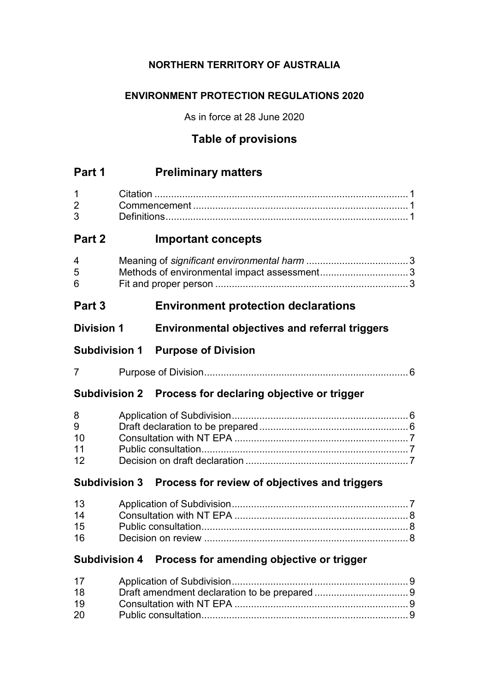# **NORTHERN TERRITORY OF AUSTRALIA**

# **ENVIRONMENT PROTECTION REGULATIONS 2020**

As in force at 28 June 2020

# **Table of provisions**

| Part 1                   | <b>Preliminary matters</b>                                  |  |
|--------------------------|-------------------------------------------------------------|--|
| 1<br>$\overline{2}$<br>3 |                                                             |  |
| Part 2                   | <b>Important concepts</b>                                   |  |
| 4<br>5<br>6              |                                                             |  |
| Part 3                   | <b>Environment protection declarations</b>                  |  |
| <b>Division 1</b>        | <b>Environmental objectives and referral triggers</b>       |  |
|                          | <b>Subdivision 1 Purpose of Division</b>                    |  |
| 7                        |                                                             |  |
|                          | Subdivision 2 Process for declaring objective or trigger    |  |
| 8<br>9<br>10<br>11<br>12 |                                                             |  |
|                          | Subdivision 3 Process for review of objectives and triggers |  |
| 13<br>14<br>15<br>16     |                                                             |  |
| <b>Subdivision 4</b>     | Process for amending objective or trigger                   |  |
| 17<br>18<br>19<br>20     |                                                             |  |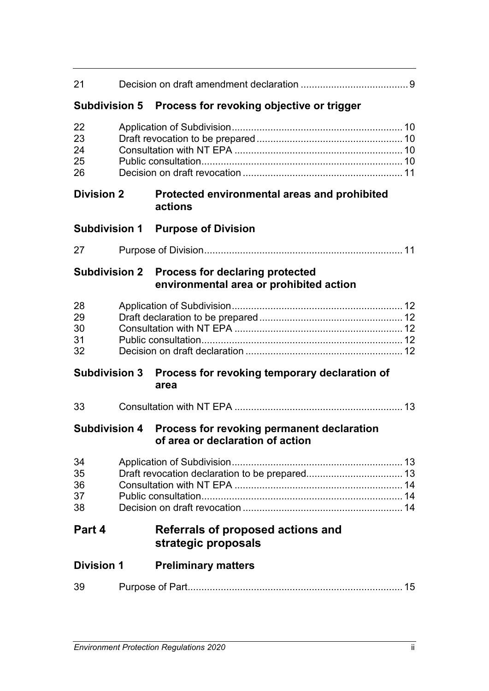| 21                         |  |                                                                                          |  |
|----------------------------|--|------------------------------------------------------------------------------------------|--|
| <b>Subdivision 5</b>       |  | Process for revoking objective or trigger                                                |  |
| 22<br>23<br>24<br>25<br>26 |  |                                                                                          |  |
| <b>Division 2</b>          |  | Protected environmental areas and prohibited<br>actions                                  |  |
| <b>Subdivision 1</b>       |  | <b>Purpose of Division</b>                                                               |  |
| 27                         |  |                                                                                          |  |
|                            |  | Subdivision 2 Process for declaring protected<br>environmental area or prohibited action |  |
| 28<br>29<br>30<br>31<br>32 |  |                                                                                          |  |
| <b>Subdivision 3</b>       |  | Process for revoking temporary declaration of<br>area                                    |  |
| 33                         |  |                                                                                          |  |
| <b>Subdivision 4</b>       |  | Process for revoking permanent declaration<br>of area or declaration of action           |  |
| 34<br>35<br>36<br>37<br>38 |  |                                                                                          |  |
| Part 4                     |  | Referrals of proposed actions and<br>strategic proposals                                 |  |
| <b>Division 1</b>          |  | <b>Preliminary matters</b>                                                               |  |
| 39                         |  |                                                                                          |  |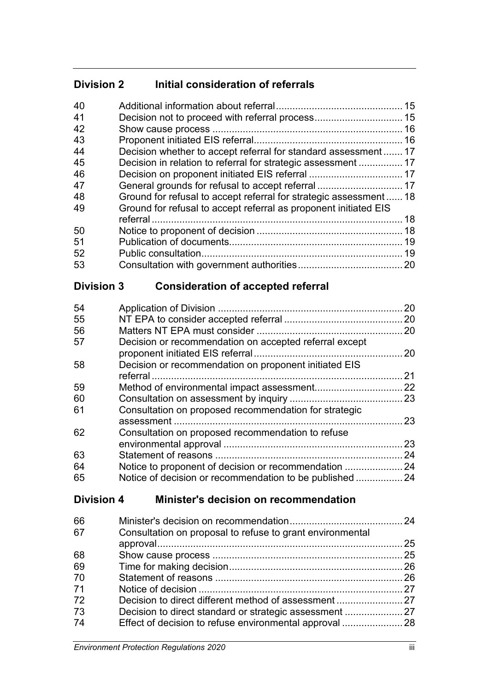# **Division 2 Initial consideration of referrals**

| 40 |                                                                   |    |
|----|-------------------------------------------------------------------|----|
| 41 |                                                                   |    |
| 42 |                                                                   |    |
| 43 |                                                                   |    |
| 44 | Decision whether to accept referral for standard assessment 17    |    |
| 45 |                                                                   |    |
| 46 |                                                                   |    |
| 47 |                                                                   |    |
| 48 | Ground for refusal to accept referral for strategic assessment 18 |    |
| 49 | Ground for refusal to accept referral as proponent initiated EIS  |    |
|    |                                                                   | 18 |
| 50 |                                                                   |    |
| 51 |                                                                   | 19 |
| 52 |                                                                   |    |
| 53 |                                                                   |    |
|    |                                                                   |    |

# **Division 3 Consideration of accepted referral**

| 54 |                                                        | 20   |
|----|--------------------------------------------------------|------|
| 55 |                                                        | . 20 |
| 56 |                                                        | 20   |
| 57 | Decision or recommendation on accepted referral except |      |
|    |                                                        | .20  |
| 58 | Decision or recommendation on proponent initiated EIS  |      |
|    |                                                        | 21   |
| 59 |                                                        | 22   |
| 60 |                                                        |      |
| 61 | Consultation on proposed recommendation for strategic  |      |
|    |                                                        | 23   |
| 62 | Consultation on proposed recommendation to refuse      |      |
|    |                                                        | 23   |
| 63 |                                                        | 24   |
| 64 | Notice to proponent of decision or recommendation      | .24  |
| 65 | Notice of decision or recommendation to be published   | 24   |

# **Division 4 Minister's decision on recommendation**

| 66 |                                                           |  |
|----|-----------------------------------------------------------|--|
| 67 | Consultation on proposal to refuse to grant environmental |  |
|    |                                                           |  |
| 68 |                                                           |  |
| 69 |                                                           |  |
| 70 |                                                           |  |
| 71 |                                                           |  |
| 72 |                                                           |  |
| 73 |                                                           |  |
| 74 | Effect of decision to refuse environmental approval  28   |  |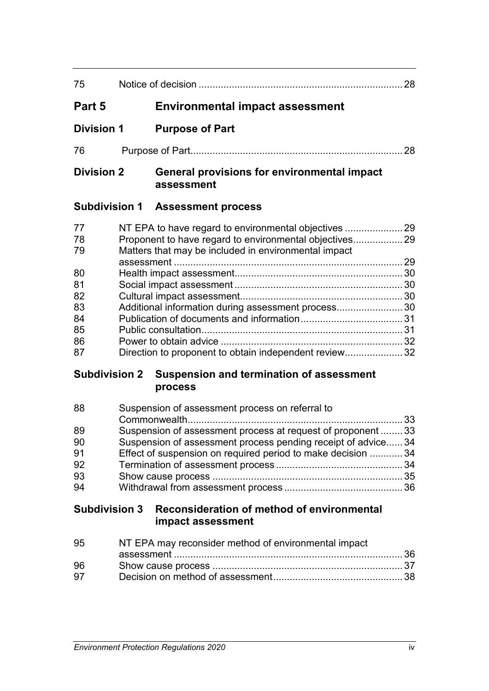| 75                |                                                           | 28 |
|-------------------|-----------------------------------------------------------|----|
| Part 5            | <b>Environmental impact assessment</b>                    |    |
| <b>Division 1</b> | <b>Purpose of Part</b>                                    |    |
| 76                |                                                           | 28 |
| <b>Division 2</b> | General provisions for environmental impact<br>assessment |    |
|                   | <b>Subdivision 1 Assessment process</b>                   |    |
| 77<br>78<br>79    | Matters that may be included in environmental impact      |    |
| 80                |                                                           |    |
| 81<br>82          |                                                           |    |
| 83<br>84          | Additional information during assessment process 30       |    |
| 85<br>86          |                                                           |    |
| 87                | Direction to proponent to obtain independent review32     |    |

# **Subdivision 2 Suspension and termination of assessment process**

| 88 | Suspension of assessment process on referral to              |  |
|----|--------------------------------------------------------------|--|
|    |                                                              |  |
| 89 | Suspension of assessment process at request of proponent  33 |  |
| 90 | Suspension of assessment process pending receipt of advice34 |  |
| 91 | Effect of suspension on required period to make decision 34  |  |
| 92 |                                                              |  |
| 93 |                                                              |  |
| 94 |                                                              |  |

# **Subdivision 3 Reconsideration of method of environmental impact assessment**

| 95 | NT EPA may reconsider method of environmental impact |  |
|----|------------------------------------------------------|--|
|    |                                                      |  |
| 96 |                                                      |  |
| 97 |                                                      |  |
|    |                                                      |  |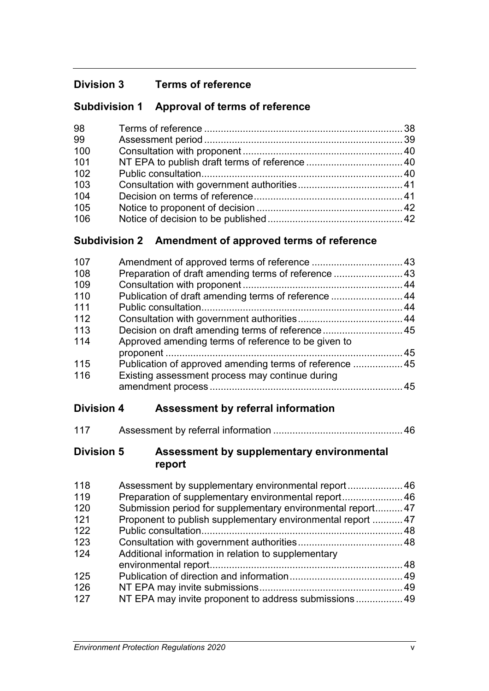# **Division 3 Terms of reference**

# **Subdivision 1 Approval of terms of reference**

| 98  |  |
|-----|--|
| 99  |  |
| 100 |  |
| 101 |  |
| 102 |  |
| 103 |  |
| 104 |  |
| 105 |  |
| 106 |  |

# **Subdivision 2 Amendment of approved terms of reference**

| 107 |                                                         |  |
|-----|---------------------------------------------------------|--|
| 108 | Preparation of draft amending terms of reference  43    |  |
| 109 |                                                         |  |
| 110 | Publication of draft amending terms of reference  44    |  |
| 111 |                                                         |  |
| 112 |                                                         |  |
| 113 |                                                         |  |
| 114 | Approved amending terms of reference to be given to     |  |
|     |                                                         |  |
| 115 | Publication of approved amending terms of reference  45 |  |
| 116 | Existing assessment process may continue during         |  |
|     |                                                         |  |

# **Division 4 Assessment by referral information**

| 117 |  |  |
|-----|--|--|
|-----|--|--|

## **Division 5 Assessment by supplementary environmental report**

| 118 |                                                             |  |
|-----|-------------------------------------------------------------|--|
| 119 | Preparation of supplementary environmental report 46        |  |
| 120 | Submission period for supplementary environmental report 47 |  |
| 121 | Proponent to publish supplementary environmental report  47 |  |
| 122 |                                                             |  |
| 123 |                                                             |  |
| 124 | Additional information in relation to supplementary         |  |
|     |                                                             |  |
| 125 |                                                             |  |
| 126 |                                                             |  |
| 127 | NT EPA may invite proponent to address submissions 49       |  |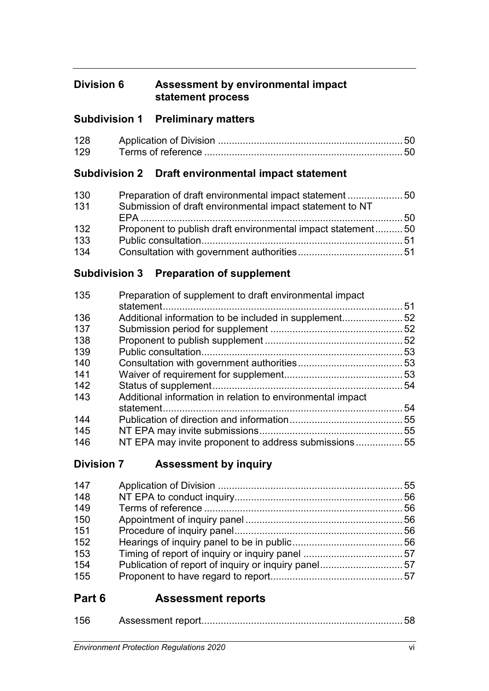# **Division 6 Assessment by environmental impact statement process**

# **Subdivision 1 Preliminary matters**

| 128 |  |
|-----|--|
| 129 |  |

# **Subdivision 2 Draft environmental impact statement**

| 130 | Preparation of draft environmental impact statement50       |  |
|-----|-------------------------------------------------------------|--|
| 131 | Submission of draft environmental impact statement to NT    |  |
|     |                                                             |  |
| 132 | Proponent to publish draft environmental impact statement50 |  |
| 133 |                                                             |  |
| 134 |                                                             |  |

# **Subdivision 3 Preparation of supplement**

| 135 | Preparation of supplement to draft environmental impact    |    |
|-----|------------------------------------------------------------|----|
|     |                                                            | 51 |
| 136 | Additional information to be included in supplement52      |    |
| 137 |                                                            |    |
| 138 |                                                            | 52 |
| 139 |                                                            | 53 |
| 140 |                                                            | 53 |
| 141 |                                                            |    |
| 142 |                                                            | 54 |
| 143 | Additional information in relation to environmental impact |    |
|     |                                                            | 54 |
| 144 |                                                            | 55 |
| 145 |                                                            | 55 |
| 146 | NT EPA may invite proponent to address submissions55       |    |
|     |                                                            |    |

# **Division 7 Assessment by inquiry**

| Publication of report of inquiry or inquiry panel57 |
|-----------------------------------------------------|
|                                                     |
|                                                     |

# **Part 6 Assessment reports**

| ATC |  |  |
|-----|--|--|
|-----|--|--|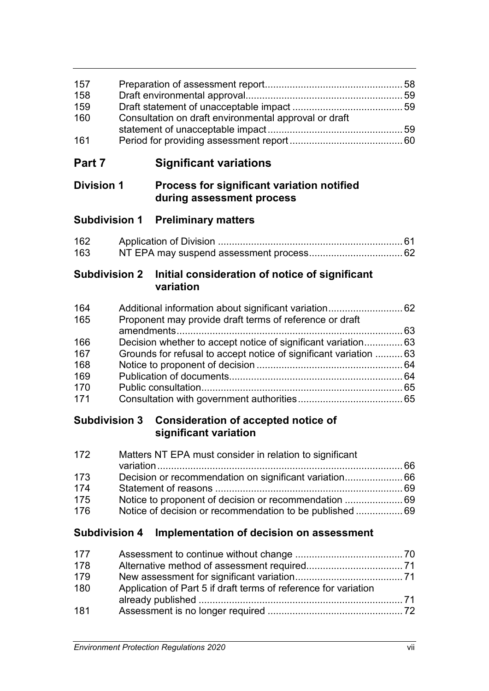| Consultation on draft environmental approval or draft |  |
|-------------------------------------------------------|--|
|                                                       |  |
|                                                       |  |
|                                                       |  |

# **Part 7 Significant variations**

# **Division 1 Process for significant variation notified during assessment process**

# **Subdivision 1 Preliminary matters**

| 162 |  |
|-----|--|
| 163 |  |

## **Subdivision 2 Initial consideration of notice of significant variation**

| 164 |                                                                   |  |
|-----|-------------------------------------------------------------------|--|
| 165 | Proponent may provide draft terms of reference or draft           |  |
|     |                                                                   |  |
| 166 |                                                                   |  |
| 167 | Grounds for refusal to accept notice of significant variation  63 |  |
| 168 |                                                                   |  |
| 169 |                                                                   |  |
| 170 |                                                                   |  |
| 171 |                                                                   |  |

# **Subdivision 3 Consideration of accepted notice of significant variation**

| 172 | Matters NT EPA must consider in relation to significant |  |
|-----|---------------------------------------------------------|--|
|     |                                                         |  |
| 173 |                                                         |  |
| 174 |                                                         |  |
| 175 |                                                         |  |
| 176 |                                                         |  |

# **Subdivision 4 Implementation of decision on assessment**

| 177 |                                                                 |  |
|-----|-----------------------------------------------------------------|--|
| 178 |                                                                 |  |
| 179 |                                                                 |  |
| 180 | Application of Part 5 if draft terms of reference for variation |  |
|     |                                                                 |  |
| 181 |                                                                 |  |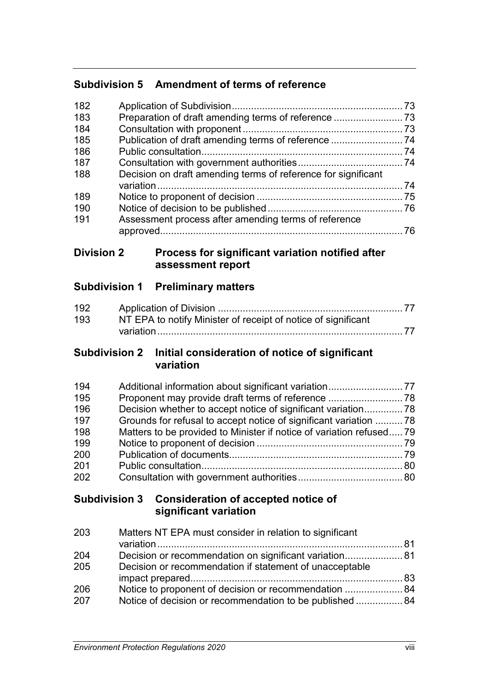# **Subdivision 5 Amendment of terms of reference**

| 182 |                                                               |     |
|-----|---------------------------------------------------------------|-----|
| 183 |                                                               |     |
| 184 |                                                               |     |
| 185 |                                                               |     |
| 186 |                                                               |     |
| 187 |                                                               |     |
| 188 | Decision on draft amending terms of reference for significant |     |
|     |                                                               | .74 |
| 189 |                                                               |     |
| 190 |                                                               |     |
| 191 | Assessment process after amending terms of reference          |     |
|     |                                                               |     |
|     |                                                               |     |

## **Division 2 Process for significant variation notified after assessment report**

# **Subdivision 1 Preliminary matters**

| 192 |                                                               |  |
|-----|---------------------------------------------------------------|--|
| 193 | NT EPA to notify Minister of receipt of notice of significant |  |
|     |                                                               |  |

## **Subdivision 2 Initial consideration of notice of significant variation**

| 194 | Additional information about significant variation 77                |  |
|-----|----------------------------------------------------------------------|--|
| 195 |                                                                      |  |
| 196 | Decision whether to accept notice of significant variation 78        |  |
| 197 | Grounds for refusal to accept notice of significant variation  78    |  |
| 198 | Matters to be provided to Minister if notice of variation refused 79 |  |
| 199 |                                                                      |  |
| 200 |                                                                      |  |
| 201 |                                                                      |  |
| 202 |                                                                      |  |

# **Subdivision 3 Consideration of accepted notice of significant variation**

| Matters NT EPA must consider in relation to significant  |  |
|----------------------------------------------------------|--|
|                                                          |  |
| Decision or recommendation on significant variation 81   |  |
| Decision or recommendation if statement of unacceptable  |  |
|                                                          |  |
| Notice to proponent of decision or recommendation  84    |  |
| Notice of decision or recommendation to be published  84 |  |
|                                                          |  |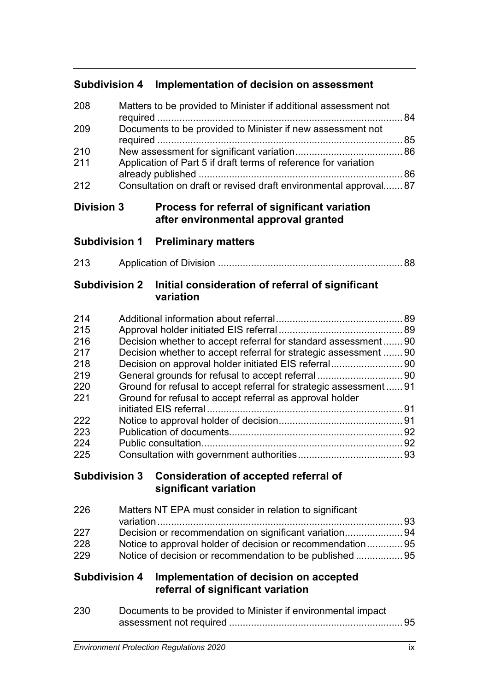# **Subdivision 4 Implementation of decision on assessment**

| 208 | Matters to be provided to Minister if additional assessment not | 84 |
|-----|-----------------------------------------------------------------|----|
| 209 | Documents to be provided to Minister if new assessment not      | 85 |
| 210 |                                                                 |    |
| 211 | Application of Part 5 if draft terms of reference for variation |    |
| 212 | Consultation on draft or revised draft environmental approval87 |    |

## **Division 3 Process for referral of significant variation after environmental approval granted**

# **Subdivision 1 Preliminary matters**

213 Application of Division ................................................................... 88

## **Subdivision 2 Initial consideration of referral of significant variation**

| 214  |                                                                  | 89  |
|------|------------------------------------------------------------------|-----|
| 215  |                                                                  |     |
| 216  | Decision whether to accept referral for standard assessment 90   |     |
| 217  | Decision whether to accept referral for strategic assessment  90 |     |
| 218  |                                                                  |     |
| 219  |                                                                  |     |
| 220  | Ground for refusal to accept referral for strategic assessment91 |     |
| -221 | Ground for refusal to accept referral as approval holder         |     |
|      |                                                                  | .91 |
| 222  |                                                                  | .91 |
| 223  |                                                                  | 92  |
| 224  |                                                                  | 92  |
| 225  |                                                                  | 93  |

# **Subdivision 3 Consideration of accepted referral of significant variation**

| 226 | Matters NT EPA must consider in relation to significant    |  |
|-----|------------------------------------------------------------|--|
|     |                                                            |  |
| 227 | Decision or recommendation on significant variation94      |  |
| 228 | Notice to approval holder of decision or recommendation 95 |  |
| 229 | Notice of decision or recommendation to be published  95   |  |
|     |                                                            |  |

# **Subdivision 4 Implementation of decision on accepted referral of significant variation**

| 230 | Documents to be provided to Minister if environmental impact |  |  |
|-----|--------------------------------------------------------------|--|--|
|     |                                                              |  |  |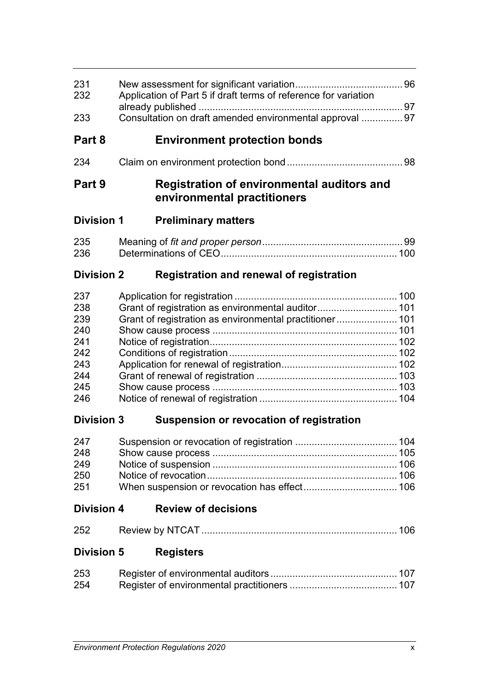| 231<br>232        | Application of Part 5 if draft terms of reference for variation |                                                                                  |  |  |  |
|-------------------|-----------------------------------------------------------------|----------------------------------------------------------------------------------|--|--|--|
| 233               | Consultation on draft amended environmental approval  97        |                                                                                  |  |  |  |
|                   |                                                                 |                                                                                  |  |  |  |
| Part 8            |                                                                 | <b>Environment protection bonds</b>                                              |  |  |  |
| 234               |                                                                 |                                                                                  |  |  |  |
| Part 9            |                                                                 | <b>Registration of environmental auditors and</b><br>environmental practitioners |  |  |  |
| <b>Division 1</b> |                                                                 | <b>Preliminary matters</b>                                                       |  |  |  |
| 235<br>236        |                                                                 |                                                                                  |  |  |  |
| <b>Division 2</b> |                                                                 | <b>Registration and renewal of registration</b>                                  |  |  |  |
| 237               |                                                                 |                                                                                  |  |  |  |
| 238               |                                                                 | Grant of registration as environmental auditor 101                               |  |  |  |
| 239               |                                                                 | Grant of registration as environmental practitioner 101                          |  |  |  |
| 240               |                                                                 |                                                                                  |  |  |  |
| 241               |                                                                 |                                                                                  |  |  |  |
| 242               |                                                                 |                                                                                  |  |  |  |
| 243               |                                                                 |                                                                                  |  |  |  |
| 244               |                                                                 |                                                                                  |  |  |  |
| 245               |                                                                 |                                                                                  |  |  |  |
| 246               |                                                                 |                                                                                  |  |  |  |
| <b>Division 3</b> |                                                                 | Suspension or revocation of registration                                         |  |  |  |
| 247               |                                                                 |                                                                                  |  |  |  |
| 248               |                                                                 |                                                                                  |  |  |  |
| 249               |                                                                 |                                                                                  |  |  |  |
| 250               |                                                                 |                                                                                  |  |  |  |
| 251               |                                                                 |                                                                                  |  |  |  |
| <b>Division 4</b> |                                                                 | <b>Review of decisions</b>                                                       |  |  |  |
| 252               |                                                                 |                                                                                  |  |  |  |
| <b>Division 5</b> |                                                                 | <b>Registers</b>                                                                 |  |  |  |
| 253               |                                                                 |                                                                                  |  |  |  |
| 254               |                                                                 |                                                                                  |  |  |  |
|                   |                                                                 |                                                                                  |  |  |  |
|                   |                                                                 |                                                                                  |  |  |  |
|                   |                                                                 |                                                                                  |  |  |  |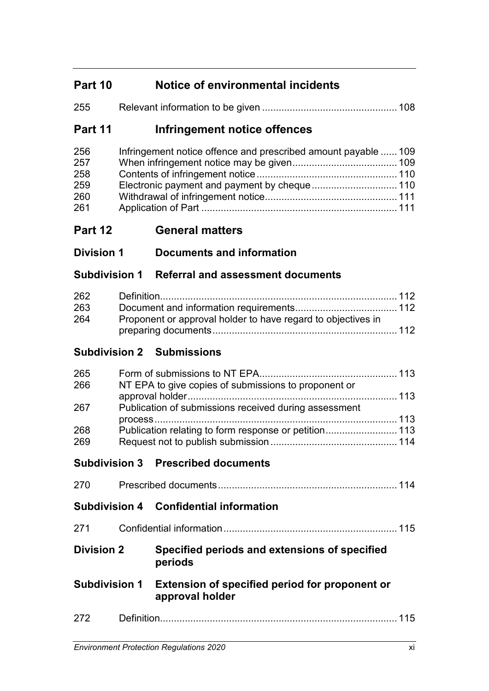# **Part 10 Notice of environmental incidents**

| 255 |  |
|-----|--|
|     |  |

# **Part 11 Infringement notice offences**

| 256 | Infringement notice offence and prescribed amount payable  109 |  |
|-----|----------------------------------------------------------------|--|
| 257 |                                                                |  |
| 258 |                                                                |  |
| 259 |                                                                |  |
| 260 |                                                                |  |
| 261 |                                                                |  |

- **Part 12 General matters**
- **Division 1 Documents and information**

# **Subdivision 1 Referral and assessment documents**

| 262 |                                                              |  |
|-----|--------------------------------------------------------------|--|
| 263 |                                                              |  |
| 264 | Proponent or approval holder to have regard to objectives in |  |
|     |                                                              |  |

# **Subdivision 2 Submissions**

| 265 |                                                       |  |
|-----|-------------------------------------------------------|--|
| 266 | NT EPA to give copies of submissions to proponent or  |  |
|     |                                                       |  |
| 267 | Publication of submissions received during assessment |  |
|     |                                                       |  |
| 268 | Publication relating to form response or petition 113 |  |
| 269 |                                                       |  |

# **Subdivision 3 Prescribed documents**

| 270                  |             |                                                                   | 114 |
|----------------------|-------------|-------------------------------------------------------------------|-----|
|                      |             | <b>Subdivision 4 Confidential information</b>                     |     |
| 271                  |             |                                                                   | 115 |
| <b>Division 2</b>    |             | Specified periods and extensions of specified<br>periods          |     |
| <b>Subdivision 1</b> |             | Extension of specified period for proponent or<br>approval holder |     |
| 272                  | Definition. |                                                                   | 15  |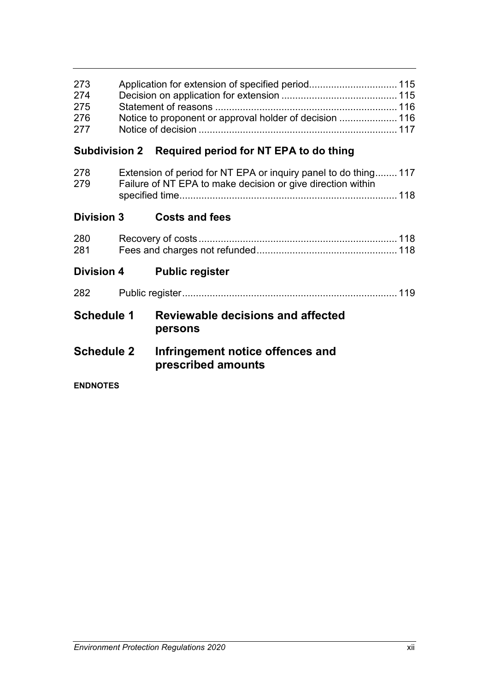| 273 |  |
|-----|--|
| 274 |  |
| 275 |  |
| 276 |  |
| 277 |  |
|     |  |

# **Subdivision 2 Required period for NT EPA to do thing**

| 278<br>279        | Extension of period for NT EPA or inquiry panel to do thing 117<br>Failure of NT EPA to make decision or give direction within |                                                        |  |
|-------------------|--------------------------------------------------------------------------------------------------------------------------------|--------------------------------------------------------|--|
| <b>Division 3</b> |                                                                                                                                | <b>Costs and fees</b>                                  |  |
| 280<br>281        |                                                                                                                                |                                                        |  |
|                   |                                                                                                                                | Division 4 Public register                             |  |
| 282               |                                                                                                                                |                                                        |  |
| <b>Schedule 1</b> |                                                                                                                                | <b>Reviewable decisions and affected</b><br>persons    |  |
| <b>Schedule 2</b> |                                                                                                                                | Infringement notice offences and<br>prescribed amounts |  |
| <b>ENDNOTES</b>   |                                                                                                                                |                                                        |  |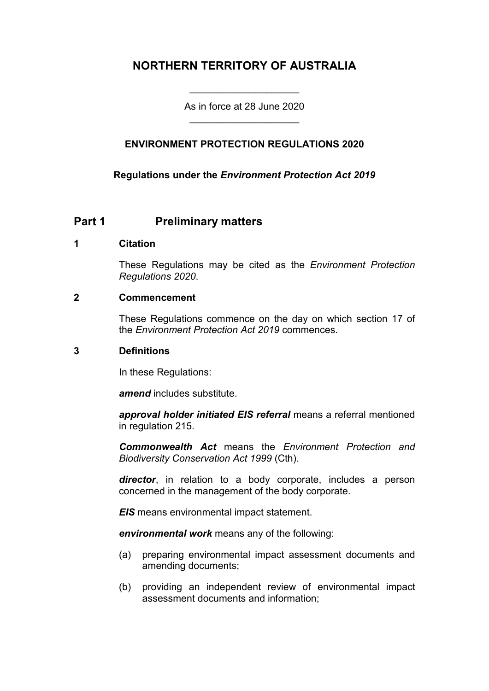# **NORTHERN TERRITORY OF AUSTRALIA**

As in force at 28 June 2020 \_\_\_\_\_\_\_\_\_\_\_\_\_\_\_\_\_\_\_\_

\_\_\_\_\_\_\_\_\_\_\_\_\_\_\_\_\_\_\_\_

### **ENVIRONMENT PROTECTION REGULATIONS 2020**

**Regulations under the** *Environment Protection Act 2019*

## **Part 1 Preliminary matters**

#### **1 Citation**

These Regulations may be cited as the *Environment Protection Regulations 2020*.

#### **2 Commencement**

These Regulations commence on the day on which section 17 of the *Environment Protection Act 2019* commences.

#### **3 Definitions**

In these Regulations:

*amend* includes substitute.

*approval holder initiated EIS referral* means a referral mentioned in regulation 215.

*Commonwealth Act* means the *Environment Protection and Biodiversity Conservation Act 1999* (Cth).

*director*, in relation to a body corporate, includes a person concerned in the management of the body corporate.

*EIS* means environmental impact statement.

*environmental work* means any of the following:

- (a) preparing environmental impact assessment documents and amending documents;
- (b) providing an independent review of environmental impact assessment documents and information;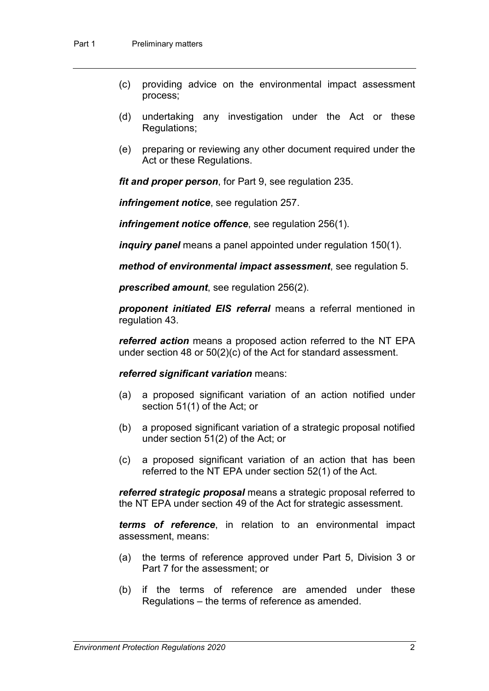- (c) providing advice on the environmental impact assessment process;
- (d) undertaking any investigation under the Act or these Regulations;
- (e) preparing or reviewing any other document required under the Act or these Regulations.

*fit and proper person*, for Part 9, see regulation 235.

*infringement notice*, see regulation 257.

*infringement notice offence*, see regulation 256(1).

*inquiry panel* means a panel appointed under regulation 150(1).

*method of environmental impact assessment*, see regulation 5.

*prescribed amount*, see regulation 256(2).

*proponent initiated EIS referral* means a referral mentioned in regulation 43.

*referred action* means a proposed action referred to the NT EPA under section 48 or 50(2)(c) of the Act for standard assessment.

#### *referred significant variation* means:

- (a) a proposed significant variation of an action notified under section 51(1) of the Act; or
- (b) a proposed significant variation of a strategic proposal notified under section 51(2) of the Act; or
- (c) a proposed significant variation of an action that has been referred to the NT EPA under section 52(1) of the Act.

*referred strategic proposal* means a strategic proposal referred to the NT EPA under section 49 of the Act for strategic assessment.

*terms of reference*, in relation to an environmental impact assessment, means:

- (a) the terms of reference approved under Part 5, Division 3 or Part 7 for the assessment; or
- (b) if the terms of reference are amended under these Regulations – the terms of reference as amended.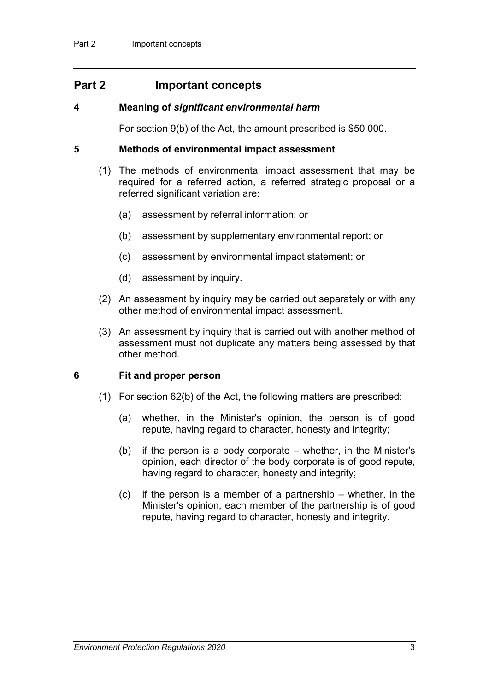## **Part 2 Important concepts**

#### **4 Meaning of** *significant environmental harm*

For section 9(b) of the Act, the amount prescribed is \$50 000.

#### **5 Methods of environmental impact assessment**

- (1) The methods of environmental impact assessment that may be required for a referred action, a referred strategic proposal or a referred significant variation are:
	- (a) assessment by referral information; or
	- (b) assessment by supplementary environmental report; or
	- (c) assessment by environmental impact statement; or
	- (d) assessment by inquiry.
- (2) An assessment by inquiry may be carried out separately or with any other method of environmental impact assessment.
- (3) An assessment by inquiry that is carried out with another method of assessment must not duplicate any matters being assessed by that other method.

#### **6 Fit and proper person**

- (1) For section 62(b) of the Act, the following matters are prescribed:
	- (a) whether, in the Minister's opinion, the person is of good repute, having regard to character, honesty and integrity;
	- (b) if the person is a body corporate whether, in the Minister's opinion, each director of the body corporate is of good repute, having regard to character, honesty and integrity;
	- (c) if the person is a member of a partnership whether, in the Minister's opinion, each member of the partnership is of good repute, having regard to character, honesty and integrity.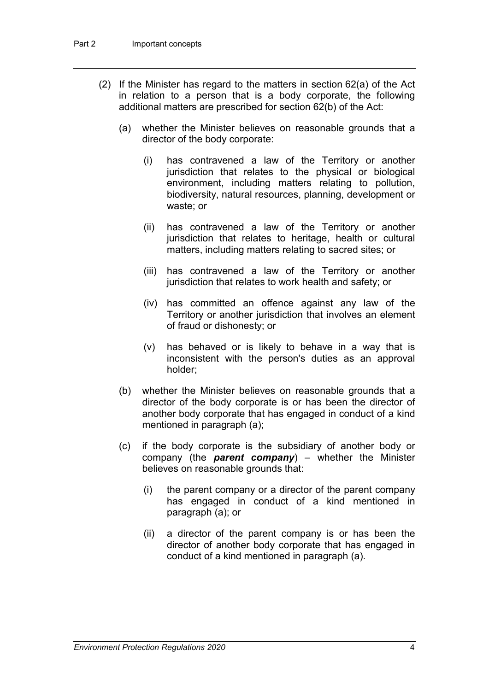- (2) If the Minister has regard to the matters in section 62(a) of the Act in relation to a person that is a body corporate, the following additional matters are prescribed for section 62(b) of the Act:
	- (a) whether the Minister believes on reasonable grounds that a director of the body corporate:
		- (i) has contravened a law of the Territory or another jurisdiction that relates to the physical or biological environment, including matters relating to pollution, biodiversity, natural resources, planning, development or waste; or
		- (ii) has contravened a law of the Territory or another jurisdiction that relates to heritage, health or cultural matters, including matters relating to sacred sites; or
		- (iii) has contravened a law of the Territory or another jurisdiction that relates to work health and safety; or
		- (iv) has committed an offence against any law of the Territory or another jurisdiction that involves an element of fraud or dishonesty; or
		- (v) has behaved or is likely to behave in a way that is inconsistent with the person's duties as an approval holder;
	- (b) whether the Minister believes on reasonable grounds that a director of the body corporate is or has been the director of another body corporate that has engaged in conduct of a kind mentioned in paragraph (a);
	- (c) if the body corporate is the subsidiary of another body or company (the *parent company*) – whether the Minister believes on reasonable grounds that:
		- (i) the parent company or a director of the parent company has engaged in conduct of a kind mentioned in paragraph (a); or
		- (ii) a director of the parent company is or has been the director of another body corporate that has engaged in conduct of a kind mentioned in paragraph (a).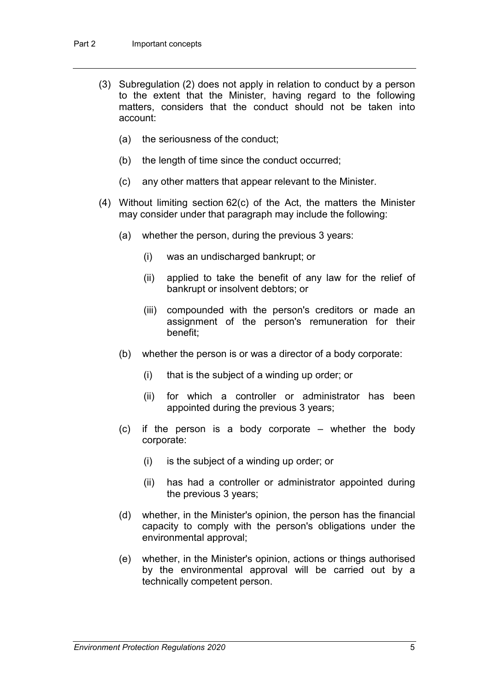- (3) Subregulation (2) does not apply in relation to conduct by a person to the extent that the Minister, having regard to the following matters, considers that the conduct should not be taken into account:
	- (a) the seriousness of the conduct;
	- (b) the length of time since the conduct occurred;
	- (c) any other matters that appear relevant to the Minister.
- (4) Without limiting section 62(c) of the Act, the matters the Minister may consider under that paragraph may include the following:
	- (a) whether the person, during the previous 3 years:
		- (i) was an undischarged bankrupt; or
		- (ii) applied to take the benefit of any law for the relief of bankrupt or insolvent debtors; or
		- (iii) compounded with the person's creditors or made an assignment of the person's remuneration for their benefit;
	- (b) whether the person is or was a director of a body corporate:
		- (i) that is the subject of a winding up order; or
		- (ii) for which a controller or administrator has been appointed during the previous 3 years;
	- (c) if the person is a body corporate whether the body corporate:
		- (i) is the subject of a winding up order; or
		- (ii) has had a controller or administrator appointed during the previous 3 years;
	- (d) whether, in the Minister's opinion, the person has the financial capacity to comply with the person's obligations under the environmental approval;
	- (e) whether, in the Minister's opinion, actions or things authorised by the environmental approval will be carried out by a technically competent person.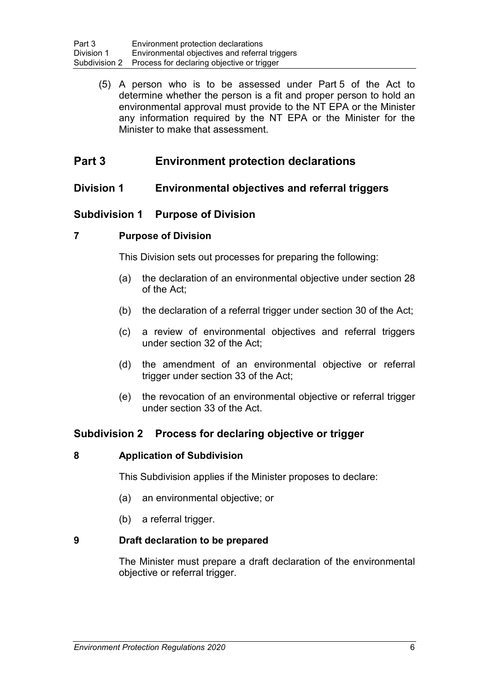(5) A person who is to be assessed under Part 5 of the Act to determine whether the person is a fit and proper person to hold an environmental approval must provide to the NT EPA or the Minister any information required by the NT EPA or the Minister for the Minister to make that assessment.

# **Part 3 Environment protection declarations**

## **Division 1 Environmental objectives and referral triggers**

## **Subdivision 1 Purpose of Division**

### **7 Purpose of Division**

This Division sets out processes for preparing the following:

- (a) the declaration of an environmental objective under section 28 of the Act;
- (b) the declaration of a referral trigger under section 30 of the Act;
- (c) a review of environmental objectives and referral triggers under section 32 of the Act;
- (d) the amendment of an environmental objective or referral trigger under section 33 of the Act;
- (e) the revocation of an environmental objective or referral trigger under section 33 of the Act.

## **Subdivision 2 Process for declaring objective or trigger**

#### **8 Application of Subdivision**

This Subdivision applies if the Minister proposes to declare:

- (a) an environmental objective; or
- (b) a referral trigger.

#### **9 Draft declaration to be prepared**

The Minister must prepare a draft declaration of the environmental objective or referral trigger.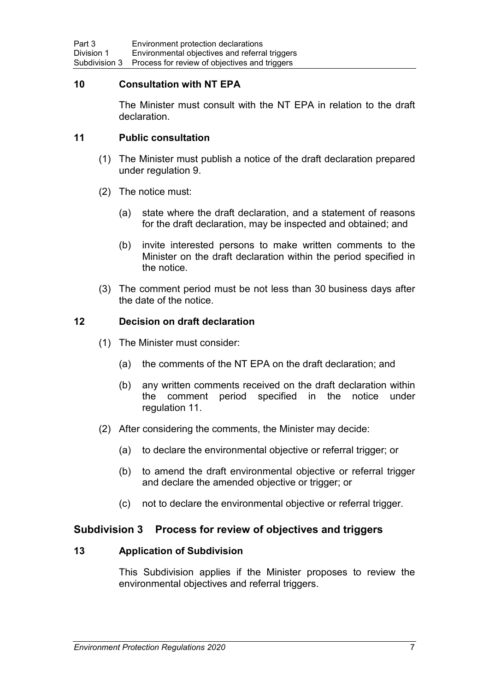#### **10 Consultation with NT EPA**

The Minister must consult with the NT EPA in relation to the draft declaration.

#### **11 Public consultation**

- (1) The Minister must publish a notice of the draft declaration prepared under regulation 9.
- (2) The notice must:
	- (a) state where the draft declaration, and a statement of reasons for the draft declaration, may be inspected and obtained; and
	- (b) invite interested persons to make written comments to the Minister on the draft declaration within the period specified in the notice.
- (3) The comment period must be not less than 30 business days after the date of the notice.

#### **12 Decision on draft declaration**

- (1) The Minister must consider:
	- (a) the comments of the NT EPA on the draft declaration; and
	- (b) any written comments received on the draft declaration within the comment period specified in the notice under regulation 11.
- (2) After considering the comments, the Minister may decide:
	- (a) to declare the environmental objective or referral trigger; or
	- (b) to amend the draft environmental objective or referral trigger and declare the amended objective or trigger; or
	- (c) not to declare the environmental objective or referral trigger.

#### **Subdivision 3 Process for review of objectives and triggers**

#### **13 Application of Subdivision**

This Subdivision applies if the Minister proposes to review the environmental objectives and referral triggers.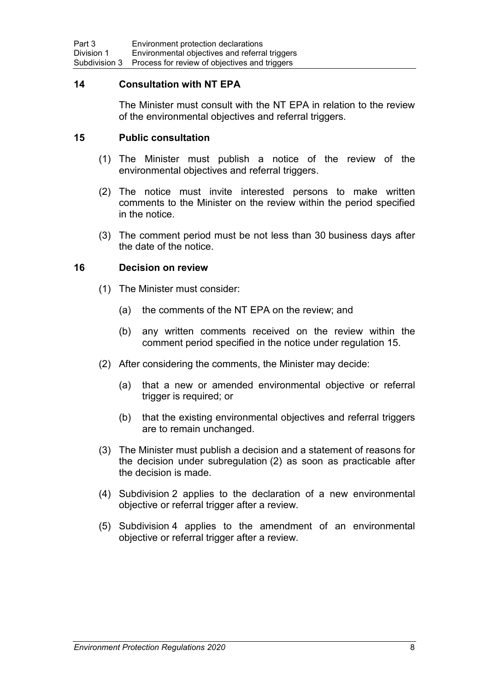#### **14 Consultation with NT EPA**

The Minister must consult with the NT EPA in relation to the review of the environmental objectives and referral triggers.

#### **15 Public consultation**

- (1) The Minister must publish a notice of the review of the environmental objectives and referral triggers.
- (2) The notice must invite interested persons to make written comments to the Minister on the review within the period specified in the notice.
- (3) The comment period must be not less than 30 business days after the date of the notice.

#### **16 Decision on review**

- (1) The Minister must consider:
	- (a) the comments of the NT EPA on the review; and
	- (b) any written comments received on the review within the comment period specified in the notice under regulation 15.
- (2) After considering the comments, the Minister may decide:
	- (a) that a new or amended environmental objective or referral trigger is required; or
	- (b) that the existing environmental objectives and referral triggers are to remain unchanged.
- (3) The Minister must publish a decision and a statement of reasons for the decision under subregulation (2) as soon as practicable after the decision is made.
- (4) Subdivision 2 applies to the declaration of a new environmental objective or referral trigger after a review.
- (5) Subdivision 4 applies to the amendment of an environmental objective or referral trigger after a review.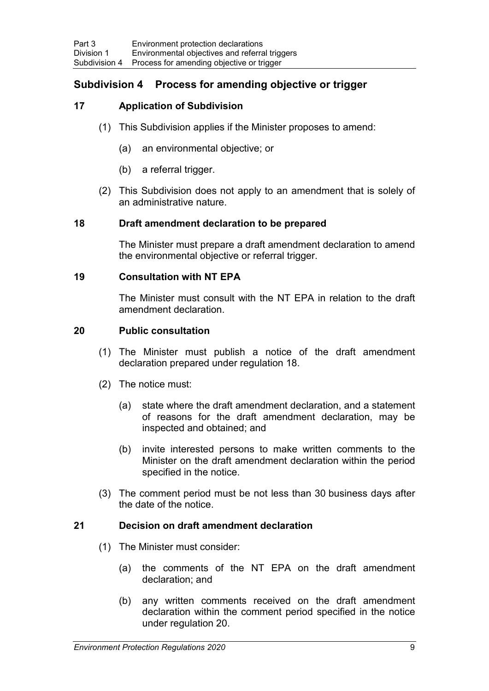## **Subdivision 4 Process for amending objective or trigger**

### **17 Application of Subdivision**

- (1) This Subdivision applies if the Minister proposes to amend:
	- (a) an environmental objective; or
	- (b) a referral trigger.
- (2) This Subdivision does not apply to an amendment that is solely of an administrative nature.

#### **18 Draft amendment declaration to be prepared**

The Minister must prepare a draft amendment declaration to amend the environmental objective or referral trigger.

#### **19 Consultation with NT EPA**

The Minister must consult with the NT EPA in relation to the draft amendment declaration.

#### **20 Public consultation**

- (1) The Minister must publish a notice of the draft amendment declaration prepared under regulation 18.
- (2) The notice must:
	- (a) state where the draft amendment declaration, and a statement of reasons for the draft amendment declaration, may be inspected and obtained; and
	- (b) invite interested persons to make written comments to the Minister on the draft amendment declaration within the period specified in the notice.
- (3) The comment period must be not less than 30 business days after the date of the notice.

#### **21 Decision on draft amendment declaration**

- (1) The Minister must consider:
	- (a) the comments of the NT EPA on the draft amendment declaration; and
	- (b) any written comments received on the draft amendment declaration within the comment period specified in the notice under regulation 20.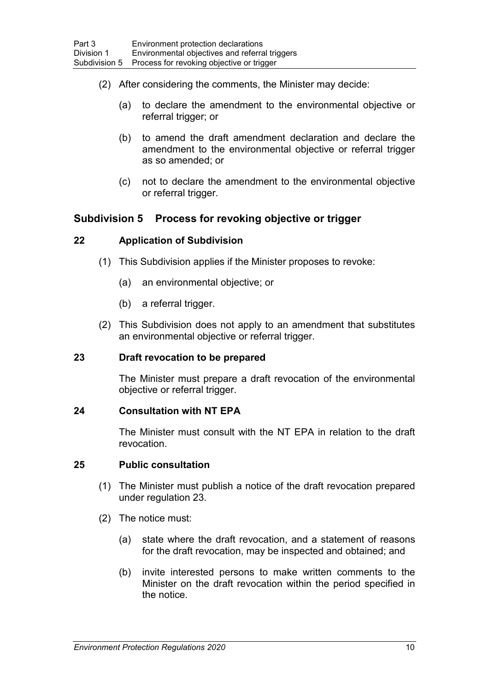- (2) After considering the comments, the Minister may decide:
	- (a) to declare the amendment to the environmental objective or referral trigger; or
	- (b) to amend the draft amendment declaration and declare the amendment to the environmental objective or referral trigger as so amended; or
	- (c) not to declare the amendment to the environmental objective or referral trigger.

## **Subdivision 5 Process for revoking objective or trigger**

#### **22 Application of Subdivision**

- (1) This Subdivision applies if the Minister proposes to revoke:
	- (a) an environmental objective; or
	- (b) a referral trigger.
- (2) This Subdivision does not apply to an amendment that substitutes an environmental objective or referral trigger.

#### **23 Draft revocation to be prepared**

The Minister must prepare a draft revocation of the environmental objective or referral trigger.

#### **24 Consultation with NT EPA**

The Minister must consult with the NT EPA in relation to the draft revocation.

#### **25 Public consultation**

- (1) The Minister must publish a notice of the draft revocation prepared under regulation 23.
- (2) The notice must:
	- (a) state where the draft revocation, and a statement of reasons for the draft revocation, may be inspected and obtained; and
	- (b) invite interested persons to make written comments to the Minister on the draft revocation within the period specified in the notice.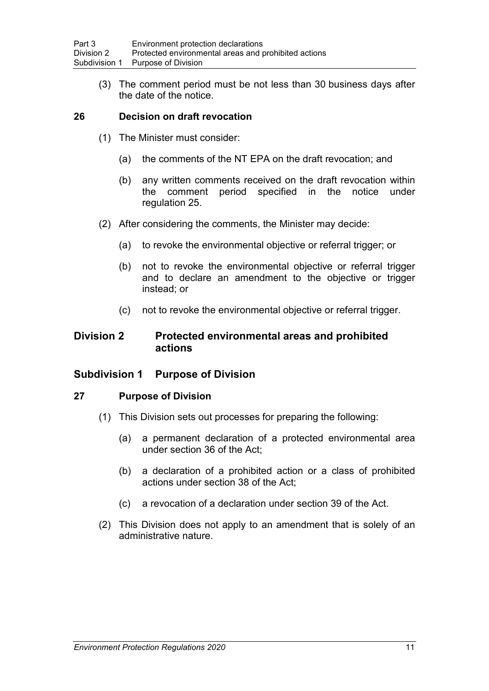(3) The comment period must be not less than 30 business days after the date of the notice.

### **26 Decision on draft revocation**

- (1) The Minister must consider:
	- (a) the comments of the NT EPA on the draft revocation; and
	- (b) any written comments received on the draft revocation within the comment period specified in the notice under regulation 25.
- (2) After considering the comments, the Minister may decide:
	- (a) to revoke the environmental objective or referral trigger; or
	- (b) not to revoke the environmental objective or referral trigger and to declare an amendment to the objective or trigger instead; or
	- (c) not to revoke the environmental objective or referral trigger.

### **Division 2 Protected environmental areas and prohibited actions**

#### **Subdivision 1 Purpose of Division**

#### **27 Purpose of Division**

- (1) This Division sets out processes for preparing the following:
	- (a) a permanent declaration of a protected environmental area under section 36 of the Act;
	- (b) a declaration of a prohibited action or a class of prohibited actions under section 38 of the Act;
	- (c) a revocation of a declaration under section 39 of the Act.
- (2) This Division does not apply to an amendment that is solely of an administrative nature.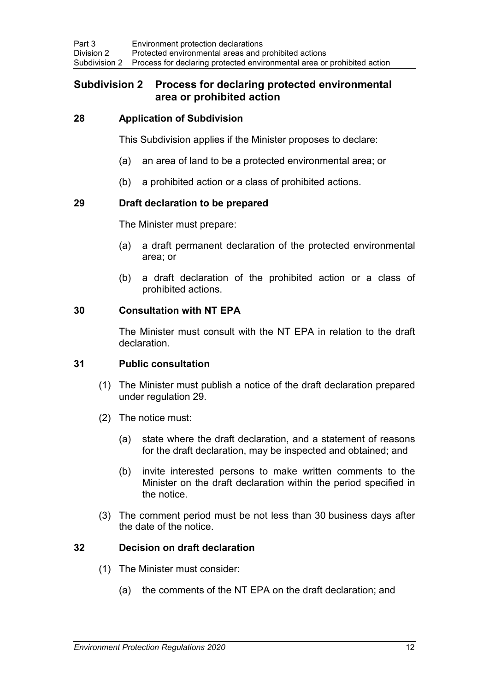## **Subdivision 2 Process for declaring protected environmental area or prohibited action**

#### **28 Application of Subdivision**

This Subdivision applies if the Minister proposes to declare:

- (a) an area of land to be a protected environmental area; or
- (b) a prohibited action or a class of prohibited actions.

#### **29 Draft declaration to be prepared**

The Minister must prepare:

- (a) a draft permanent declaration of the protected environmental area; or
- (b) a draft declaration of the prohibited action or a class of prohibited actions.

#### **30 Consultation with NT EPA**

The Minister must consult with the NT EPA in relation to the draft declaration.

### **31 Public consultation**

- (1) The Minister must publish a notice of the draft declaration prepared under regulation 29.
- (2) The notice must:
	- (a) state where the draft declaration, and a statement of reasons for the draft declaration, may be inspected and obtained; and
	- (b) invite interested persons to make written comments to the Minister on the draft declaration within the period specified in the notice.
- (3) The comment period must be not less than 30 business days after the date of the notice.

#### **32 Decision on draft declaration**

- (1) The Minister must consider:
	- (a) the comments of the NT EPA on the draft declaration; and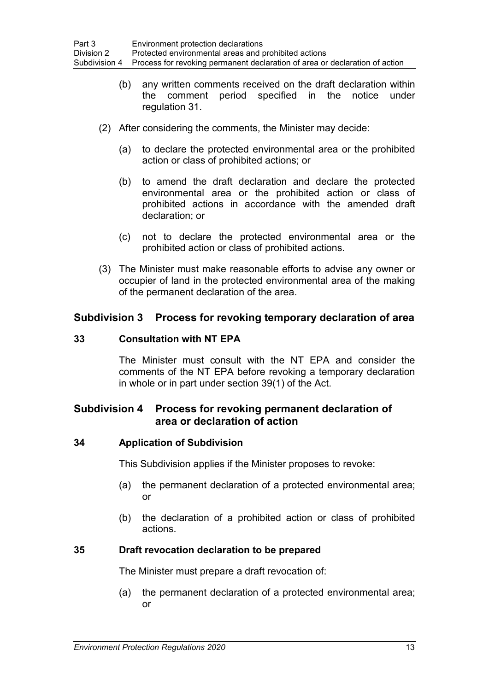- (b) any written comments received on the draft declaration within the comment period specified in the notice under regulation 31.
- (2) After considering the comments, the Minister may decide:
	- (a) to declare the protected environmental area or the prohibited action or class of prohibited actions; or
	- (b) to amend the draft declaration and declare the protected environmental area or the prohibited action or class of prohibited actions in accordance with the amended draft declaration; or
	- (c) not to declare the protected environmental area or the prohibited action or class of prohibited actions.
- (3) The Minister must make reasonable efforts to advise any owner or occupier of land in the protected environmental area of the making of the permanent declaration of the area.

#### **Subdivision 3 Process for revoking temporary declaration of area**

#### **33 Consultation with NT EPA**

The Minister must consult with the NT EPA and consider the comments of the NT EPA before revoking a temporary declaration in whole or in part under section 39(1) of the Act.

## **Subdivision 4 Process for revoking permanent declaration of area or declaration of action**

#### **34 Application of Subdivision**

This Subdivision applies if the Minister proposes to revoke:

- (a) the permanent declaration of a protected environmental area; or
- (b) the declaration of a prohibited action or class of prohibited actions.

#### **35 Draft revocation declaration to be prepared**

The Minister must prepare a draft revocation of:

(a) the permanent declaration of a protected environmental area; or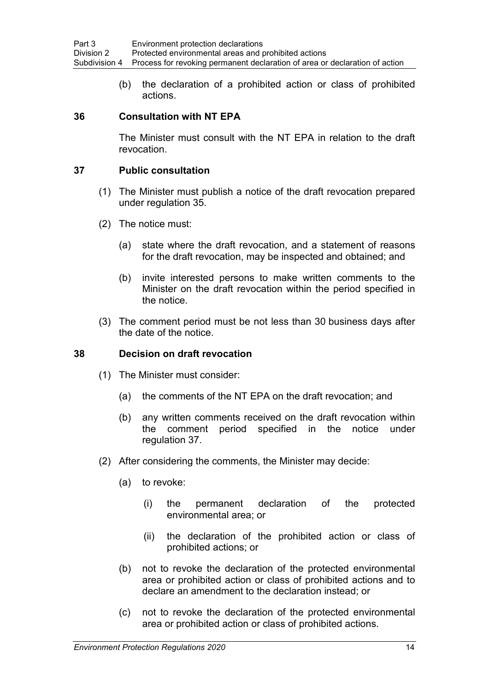(b) the declaration of a prohibited action or class of prohibited actions.

### **36 Consultation with NT EPA**

The Minister must consult with the NT EPA in relation to the draft revocation.

#### **37 Public consultation**

- (1) The Minister must publish a notice of the draft revocation prepared under regulation 35.
- (2) The notice must:
	- (a) state where the draft revocation, and a statement of reasons for the draft revocation, may be inspected and obtained; and
	- (b) invite interested persons to make written comments to the Minister on the draft revocation within the period specified in the notice.
- (3) The comment period must be not less than 30 business days after the date of the notice.

#### **38 Decision on draft revocation**

- (1) The Minister must consider:
	- (a) the comments of the NT EPA on the draft revocation; and
	- (b) any written comments received on the draft revocation within the comment period specified in the notice under regulation 37.
- (2) After considering the comments, the Minister may decide:
	- (a) to revoke:
		- (i) the permanent declaration of the protected environmental area; or
		- (ii) the declaration of the prohibited action or class of prohibited actions; or
	- (b) not to revoke the declaration of the protected environmental area or prohibited action or class of prohibited actions and to declare an amendment to the declaration instead; or
	- (c) not to revoke the declaration of the protected environmental area or prohibited action or class of prohibited actions.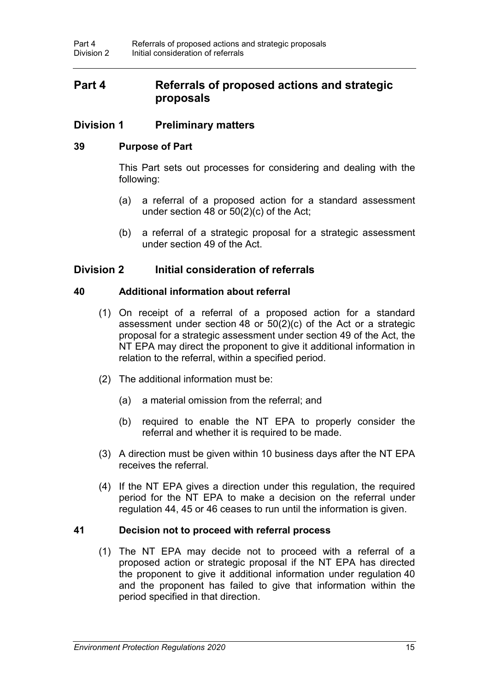# **Part 4 Referrals of proposed actions and strategic proposals**

## **Division 1 Preliminary matters**

### **39 Purpose of Part**

This Part sets out processes for considering and dealing with the following:

- (a) a referral of a proposed action for a standard assessment under section 48 or 50(2)(c) of the Act;
- (b) a referral of a strategic proposal for a strategic assessment under section 49 of the Act.

## **Division 2 Initial consideration of referrals**

### **40 Additional information about referral**

- (1) On receipt of a referral of a proposed action for a standard assessment under section 48 or 50(2)(c) of the Act or a strategic proposal for a strategic assessment under section 49 of the Act, the NT EPA may direct the proponent to give it additional information in relation to the referral, within a specified period.
- (2) The additional information must be:
	- (a) a material omission from the referral; and
	- (b) required to enable the NT EPA to properly consider the referral and whether it is required to be made.
- (3) A direction must be given within 10 business days after the NT EPA receives the referral.
- (4) If the NT EPA gives a direction under this regulation, the required period for the NT EPA to make a decision on the referral under regulation 44, 45 or 46 ceases to run until the information is given.

#### **41 Decision not to proceed with referral process**

(1) The NT EPA may decide not to proceed with a referral of a proposed action or strategic proposal if the NT EPA has directed the proponent to give it additional information under regulation 40 and the proponent has failed to give that information within the period specified in that direction.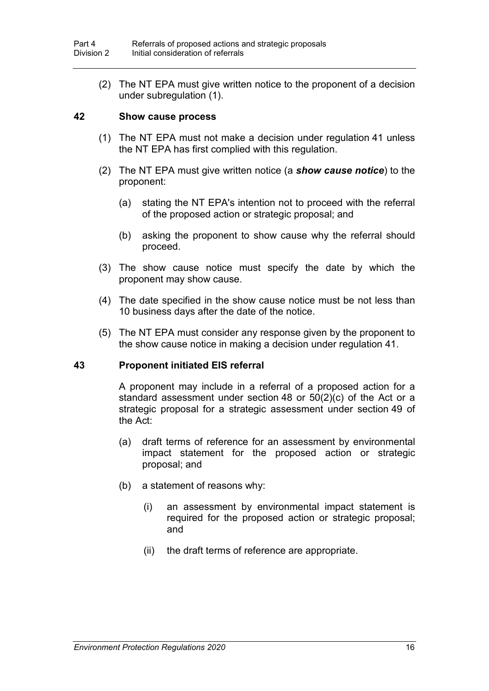(2) The NT EPA must give written notice to the proponent of a decision under subregulation (1).

#### **42 Show cause process**

- (1) The NT EPA must not make a decision under regulation 41 unless the NT EPA has first complied with this regulation.
- (2) The NT EPA must give written notice (a *show cause notice*) to the proponent:
	- (a) stating the NT EPA's intention not to proceed with the referral of the proposed action or strategic proposal; and
	- (b) asking the proponent to show cause why the referral should proceed.
- (3) The show cause notice must specify the date by which the proponent may show cause.
- (4) The date specified in the show cause notice must be not less than 10 business days after the date of the notice.
- (5) The NT EPA must consider any response given by the proponent to the show cause notice in making a decision under regulation 41.

#### **43 Proponent initiated EIS referral**

A proponent may include in a referral of a proposed action for a standard assessment under section 48 or 50(2)(c) of the Act or a strategic proposal for a strategic assessment under section 49 of the Act:

- (a) draft terms of reference for an assessment by environmental impact statement for the proposed action or strategic proposal; and
- (b) a statement of reasons why:
	- (i) an assessment by environmental impact statement is required for the proposed action or strategic proposal; and
	- (ii) the draft terms of reference are appropriate.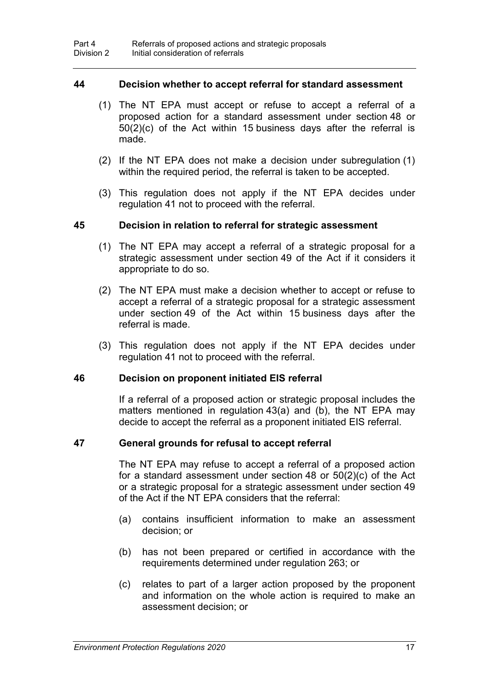#### **44 Decision whether to accept referral for standard assessment**

- (1) The NT EPA must accept or refuse to accept a referral of a proposed action for a standard assessment under section 48 or 50(2)(c) of the Act within 15 business days after the referral is made.
- (2) If the NT EPA does not make a decision under subregulation (1) within the required period, the referral is taken to be accepted.
- (3) This regulation does not apply if the NT EPA decides under regulation 41 not to proceed with the referral.

#### **45 Decision in relation to referral for strategic assessment**

- (1) The NT EPA may accept a referral of a strategic proposal for a strategic assessment under section 49 of the Act if it considers it appropriate to do so.
- (2) The NT EPA must make a decision whether to accept or refuse to accept a referral of a strategic proposal for a strategic assessment under section 49 of the Act within 15 business days after the referral is made.
- (3) This regulation does not apply if the NT EPA decides under regulation 41 not to proceed with the referral.

#### **46 Decision on proponent initiated EIS referral**

If a referral of a proposed action or strategic proposal includes the matters mentioned in regulation 43(a) and (b), the NT EPA may decide to accept the referral as a proponent initiated EIS referral.

#### **47 General grounds for refusal to accept referral**

The NT EPA may refuse to accept a referral of a proposed action for a standard assessment under section 48 or 50(2)(c) of the Act or a strategic proposal for a strategic assessment under section 49 of the Act if the NT EPA considers that the referral:

- (a) contains insufficient information to make an assessment decision; or
- (b) has not been prepared or certified in accordance with the requirements determined under regulation 263; or
- (c) relates to part of a larger action proposed by the proponent and information on the whole action is required to make an assessment decision; or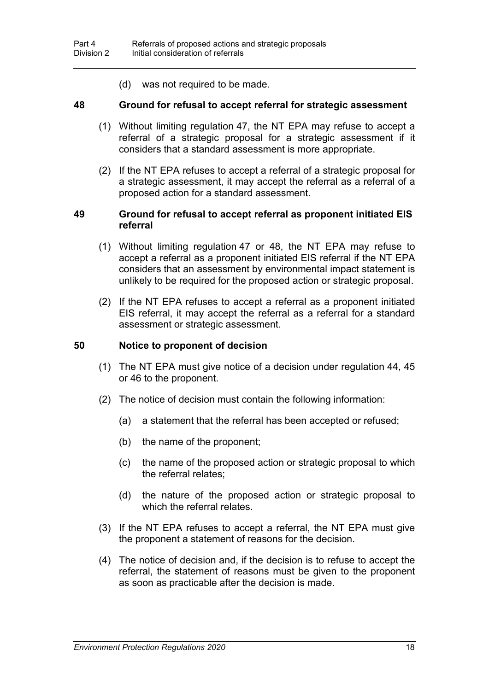(d) was not required to be made.

#### **48 Ground for refusal to accept referral for strategic assessment**

- (1) Without limiting regulation 47, the NT EPA may refuse to accept a referral of a strategic proposal for a strategic assessment if it considers that a standard assessment is more appropriate.
- (2) If the NT EPA refuses to accept a referral of a strategic proposal for a strategic assessment, it may accept the referral as a referral of a proposed action for a standard assessment.

#### **49 Ground for refusal to accept referral as proponent initiated EIS referral**

- (1) Without limiting regulation 47 or 48, the NT EPA may refuse to accept a referral as a proponent initiated EIS referral if the NT EPA considers that an assessment by environmental impact statement is unlikely to be required for the proposed action or strategic proposal.
- (2) If the NT EPA refuses to accept a referral as a proponent initiated EIS referral, it may accept the referral as a referral for a standard assessment or strategic assessment.

### **50 Notice to proponent of decision**

- (1) The NT EPA must give notice of a decision under regulation 44, 45 or 46 to the proponent.
- (2) The notice of decision must contain the following information:
	- (a) a statement that the referral has been accepted or refused;
	- (b) the name of the proponent;
	- (c) the name of the proposed action or strategic proposal to which the referral relates;
	- (d) the nature of the proposed action or strategic proposal to which the referral relates.
- (3) If the NT EPA refuses to accept a referral, the NT EPA must give the proponent a statement of reasons for the decision.
- (4) The notice of decision and, if the decision is to refuse to accept the referral, the statement of reasons must be given to the proponent as soon as practicable after the decision is made.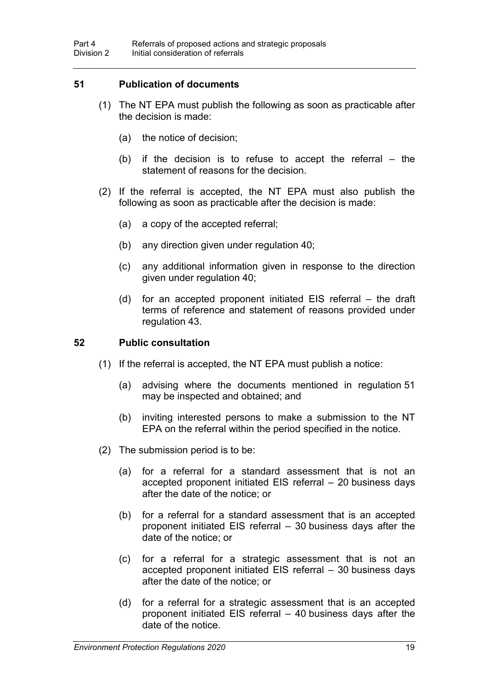### **51 Publication of documents**

- (1) The NT EPA must publish the following as soon as practicable after the decision is made:
	- (a) the notice of decision;
	- (b) if the decision is to refuse to accept the referral  $-$  the statement of reasons for the decision.
- (2) If the referral is accepted, the NT EPA must also publish the following as soon as practicable after the decision is made:
	- (a) a copy of the accepted referral;
	- (b) any direction given under regulation 40;
	- (c) any additional information given in response to the direction given under regulation 40;
	- (d) for an accepted proponent initiated EIS referral the draft terms of reference and statement of reasons provided under regulation 43.

#### **52 Public consultation**

- (1) If the referral is accepted, the NT EPA must publish a notice:
	- (a) advising where the documents mentioned in regulation 51 may be inspected and obtained; and
	- (b) inviting interested persons to make a submission to the NT EPA on the referral within the period specified in the notice.
- (2) The submission period is to be:
	- (a) for a referral for a standard assessment that is not an accepted proponent initiated EIS referral – 20 business days after the date of the notice; or
	- (b) for a referral for a standard assessment that is an accepted proponent initiated EIS referral – 30 business days after the date of the notice; or
	- (c) for a referral for a strategic assessment that is not an accepted proponent initiated EIS referral – 30 business days after the date of the notice; or
	- (d) for a referral for a strategic assessment that is an accepted proponent initiated EIS referral – 40 business days after the date of the notice.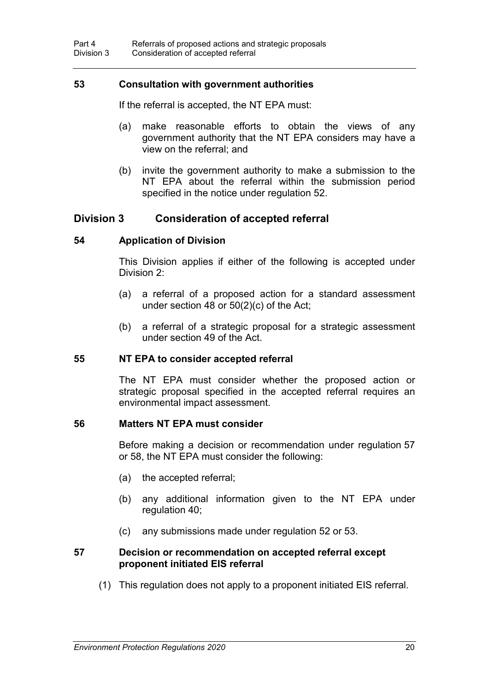#### **53 Consultation with government authorities**

If the referral is accepted, the NT EPA must:

- (a) make reasonable efforts to obtain the views of any government authority that the NT EPA considers may have a view on the referral; and
- (b) invite the government authority to make a submission to the NT EPA about the referral within the submission period specified in the notice under regulation 52.

### **Division 3 Consideration of accepted referral**

#### **54 Application of Division**

This Division applies if either of the following is accepted under Division 2:

- (a) a referral of a proposed action for a standard assessment under section 48 or 50(2)(c) of the Act;
- (b) a referral of a strategic proposal for a strategic assessment under section 49 of the Act.

#### **55 NT EPA to consider accepted referral**

The NT EPA must consider whether the proposed action or strategic proposal specified in the accepted referral requires an environmental impact assessment.

#### **56 Matters NT EPA must consider**

Before making a decision or recommendation under regulation 57 or 58, the NT EPA must consider the following:

- (a) the accepted referral;
- (b) any additional information given to the NT EPA under regulation 40;
- (c) any submissions made under regulation 52 or 53.

#### **57 Decision or recommendation on accepted referral except proponent initiated EIS referral**

(1) This regulation does not apply to a proponent initiated EIS referral.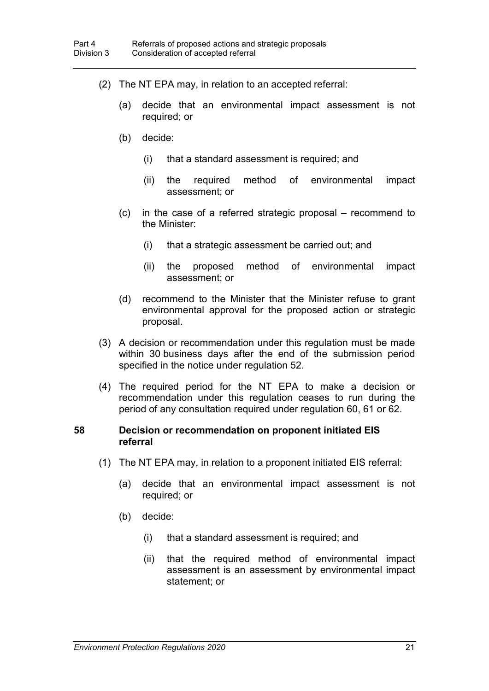- (2) The NT EPA may, in relation to an accepted referral:
	- (a) decide that an environmental impact assessment is not required; or
	- (b) decide:
		- (i) that a standard assessment is required; and
		- (ii) the required method of environmental impact assessment; or
	- (c) in the case of a referred strategic proposal recommend to the Minister:
		- (i) that a strategic assessment be carried out; and
		- (ii) the proposed method of environmental impact assessment; or
	- (d) recommend to the Minister that the Minister refuse to grant environmental approval for the proposed action or strategic proposal.
- (3) A decision or recommendation under this regulation must be made within 30 business days after the end of the submission period specified in the notice under regulation 52.
- (4) The required period for the NT EPA to make a decision or recommendation under this regulation ceases to run during the period of any consultation required under regulation 60, 61 or 62.

#### **58 Decision or recommendation on proponent initiated EIS referral**

- (1) The NT EPA may, in relation to a proponent initiated EIS referral:
	- (a) decide that an environmental impact assessment is not required; or
	- (b) decide:
		- (i) that a standard assessment is required; and
		- (ii) that the required method of environmental impact assessment is an assessment by environmental impact statement; or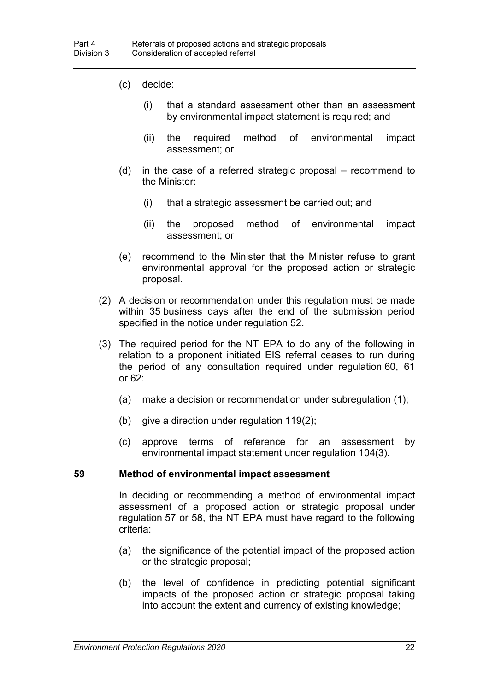- (c) decide:
	- (i) that a standard assessment other than an assessment by environmental impact statement is required; and
	- (ii) the required method of environmental impact assessment; or
- (d) in the case of a referred strategic proposal recommend to the Minister:
	- (i) that a strategic assessment be carried out; and
	- (ii) the proposed method of environmental impact assessment; or
- (e) recommend to the Minister that the Minister refuse to grant environmental approval for the proposed action or strategic proposal.
- (2) A decision or recommendation under this regulation must be made within 35 business days after the end of the submission period specified in the notice under regulation 52.
- (3) The required period for the NT EPA to do any of the following in relation to a proponent initiated EIS referral ceases to run during the period of any consultation required under regulation 60, 61 or 62:
	- (a) make a decision or recommendation under subregulation (1);
	- (b) give a direction under regulation 119(2);
	- (c) approve terms of reference for an assessment by environmental impact statement under regulation 104(3).

#### **59 Method of environmental impact assessment**

In deciding or recommending a method of environmental impact assessment of a proposed action or strategic proposal under regulation 57 or 58, the NT EPA must have regard to the following criteria:

- (a) the significance of the potential impact of the proposed action or the strategic proposal;
- (b) the level of confidence in predicting potential significant impacts of the proposed action or strategic proposal taking into account the extent and currency of existing knowledge;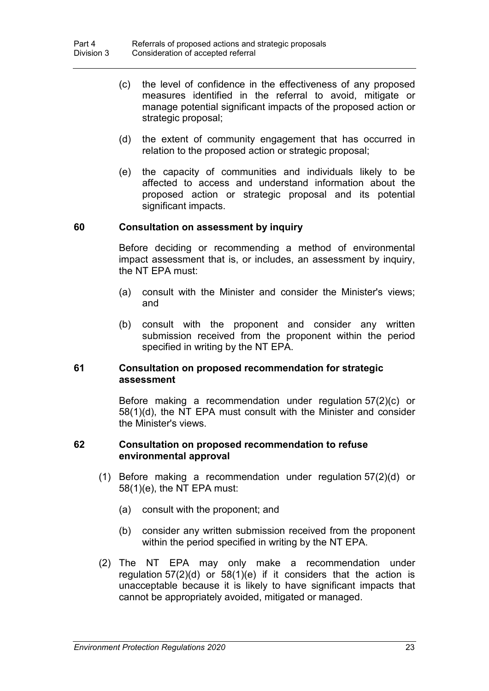- (c) the level of confidence in the effectiveness of any proposed measures identified in the referral to avoid, mitigate or manage potential significant impacts of the proposed action or strategic proposal;
- (d) the extent of community engagement that has occurred in relation to the proposed action or strategic proposal;
- (e) the capacity of communities and individuals likely to be affected to access and understand information about the proposed action or strategic proposal and its potential significant impacts.

#### **60 Consultation on assessment by inquiry**

Before deciding or recommending a method of environmental impact assessment that is, or includes, an assessment by inquiry, the NT EPA must:

- (a) consult with the Minister and consider the Minister's views; and
- (b) consult with the proponent and consider any written submission received from the proponent within the period specified in writing by the NT EPA.

#### **61 Consultation on proposed recommendation for strategic assessment**

Before making a recommendation under regulation 57(2)(c) or 58(1)(d), the NT EPA must consult with the Minister and consider the Minister's views.

#### **62 Consultation on proposed recommendation to refuse environmental approval**

- (1) Before making a recommendation under regulation 57(2)(d) or 58(1)(e), the NT EPA must:
	- (a) consult with the proponent; and
	- (b) consider any written submission received from the proponent within the period specified in writing by the NT EPA.
- (2) The NT EPA may only make a recommendation under regulation  $57(2)(d)$  or  $58(1)(e)$  if it considers that the action is unacceptable because it is likely to have significant impacts that cannot be appropriately avoided, mitigated or managed.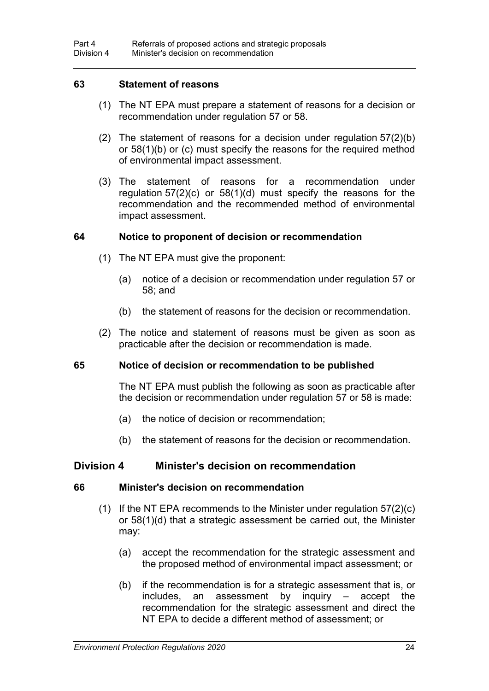#### **63 Statement of reasons**

- (1) The NT EPA must prepare a statement of reasons for a decision or recommendation under regulation 57 or 58.
- (2) The statement of reasons for a decision under regulation 57(2)(b) or 58(1)(b) or (c) must specify the reasons for the required method of environmental impact assessment.
- (3) The statement of reasons for a recommendation under regulation 57(2)(c) or 58(1)(d) must specify the reasons for the recommendation and the recommended method of environmental impact assessment.

#### **64 Notice to proponent of decision or recommendation**

- (1) The NT EPA must give the proponent:
	- (a) notice of a decision or recommendation under regulation 57 or 58; and
	- (b) the statement of reasons for the decision or recommendation.
- (2) The notice and statement of reasons must be given as soon as practicable after the decision or recommendation is made.

#### **65 Notice of decision or recommendation to be published**

The NT EPA must publish the following as soon as practicable after the decision or recommendation under regulation 57 or 58 is made:

- (a) the notice of decision or recommendation;
- (b) the statement of reasons for the decision or recommendation.

#### **Division 4 Minister's decision on recommendation**

#### **66 Minister's decision on recommendation**

- (1) If the NT EPA recommends to the Minister under regulation  $57(2)(c)$ or 58(1)(d) that a strategic assessment be carried out, the Minister may:
	- (a) accept the recommendation for the strategic assessment and the proposed method of environmental impact assessment; or
	- (b) if the recommendation is for a strategic assessment that is, or includes, an assessment by inquiry – accept the recommendation for the strategic assessment and direct the NT EPA to decide a different method of assessment; or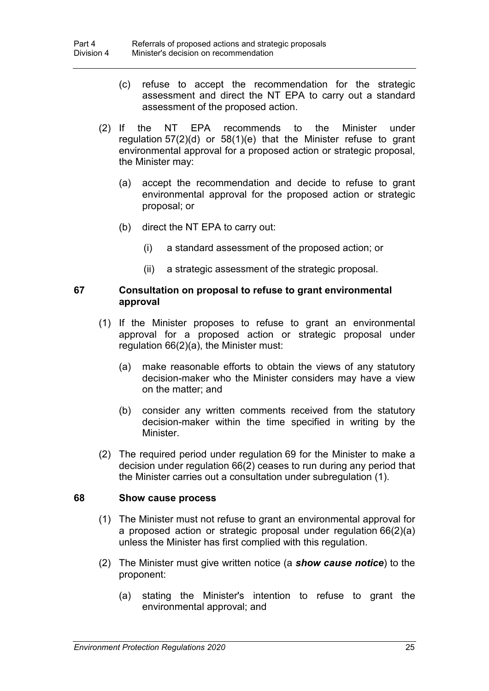- (c) refuse to accept the recommendation for the strategic assessment and direct the NT EPA to carry out a standard assessment of the proposed action.
- (2) If the NT EPA recommends to the Minister under regulation 57(2)(d) or 58(1)(e) that the Minister refuse to grant environmental approval for a proposed action or strategic proposal, the Minister may:
	- (a) accept the recommendation and decide to refuse to grant environmental approval for the proposed action or strategic proposal; or
	- (b) direct the NT EPA to carry out:
		- (i) a standard assessment of the proposed action; or
		- (ii) a strategic assessment of the strategic proposal.

#### **67 Consultation on proposal to refuse to grant environmental approval**

- (1) If the Minister proposes to refuse to grant an environmental approval for a proposed action or strategic proposal under regulation 66(2)(a), the Minister must:
	- (a) make reasonable efforts to obtain the views of any statutory decision-maker who the Minister considers may have a view on the matter; and
	- (b) consider any written comments received from the statutory decision-maker within the time specified in writing by the Minister.
- (2) The required period under regulation 69 for the Minister to make a decision under regulation 66(2) ceases to run during any period that the Minister carries out a consultation under subregulation (1).

#### **68 Show cause process**

- (1) The Minister must not refuse to grant an environmental approval for a proposed action or strategic proposal under regulation 66(2)(a) unless the Minister has first complied with this regulation.
- (2) The Minister must give written notice (a *show cause notice*) to the proponent:
	- (a) stating the Minister's intention to refuse to grant the environmental approval; and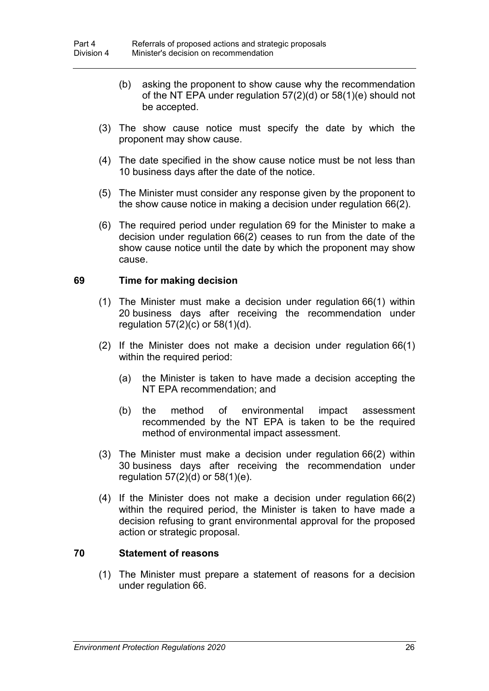- (b) asking the proponent to show cause why the recommendation of the NT EPA under regulation 57(2)(d) or 58(1)(e) should not be accepted.
- (3) The show cause notice must specify the date by which the proponent may show cause.
- (4) The date specified in the show cause notice must be not less than 10 business days after the date of the notice.
- (5) The Minister must consider any response given by the proponent to the show cause notice in making a decision under regulation 66(2).
- (6) The required period under regulation 69 for the Minister to make a decision under regulation 66(2) ceases to run from the date of the show cause notice until the date by which the proponent may show cause.

## **69 Time for making decision**

- (1) The Minister must make a decision under regulation 66(1) within 20 business days after receiving the recommendation under regulation  $57(2)(c)$  or  $58(1)(d)$ .
- (2) If the Minister does not make a decision under regulation 66(1) within the required period:
	- (a) the Minister is taken to have made a decision accepting the NT EPA recommendation; and
	- (b) the method of environmental impact assessment recommended by the NT EPA is taken to be the required method of environmental impact assessment.
- (3) The Minister must make a decision under regulation 66(2) within 30 business days after receiving the recommendation under regulation 57(2)(d) or 58(1)(e).
- (4) If the Minister does not make a decision under regulation 66(2) within the required period, the Minister is taken to have made a decision refusing to grant environmental approval for the proposed action or strategic proposal.

#### **70 Statement of reasons**

(1) The Minister must prepare a statement of reasons for a decision under regulation 66.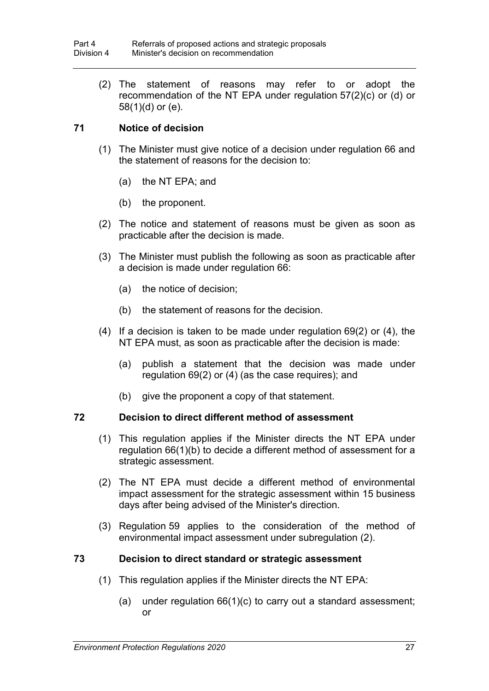(2) The statement of reasons may refer to or adopt the recommendation of the NT EPA under regulation 57(2)(c) or (d) or 58(1)(d) or (e).

# **71 Notice of decision**

- (1) The Minister must give notice of a decision under regulation 66 and the statement of reasons for the decision to:
	- (a) the NT EPA; and
	- (b) the proponent.
- (2) The notice and statement of reasons must be given as soon as practicable after the decision is made.
- (3) The Minister must publish the following as soon as practicable after a decision is made under regulation 66:
	- (a) the notice of decision;
	- (b) the statement of reasons for the decision.
- (4) If a decision is taken to be made under regulation 69(2) or (4), the NT EPA must, as soon as practicable after the decision is made:
	- (a) publish a statement that the decision was made under regulation 69(2) or (4) (as the case requires); and
	- (b) give the proponent a copy of that statement.

## **72 Decision to direct different method of assessment**

- (1) This regulation applies if the Minister directs the NT EPA under regulation 66(1)(b) to decide a different method of assessment for a strategic assessment.
- (2) The NT EPA must decide a different method of environmental impact assessment for the strategic assessment within 15 business days after being advised of the Minister's direction.
- (3) Regulation 59 applies to the consideration of the method of environmental impact assessment under subregulation (2).

# **73 Decision to direct standard or strategic assessment**

- (1) This regulation applies if the Minister directs the NT EPA:
	- (a) under regulation 66(1)(c) to carry out a standard assessment; or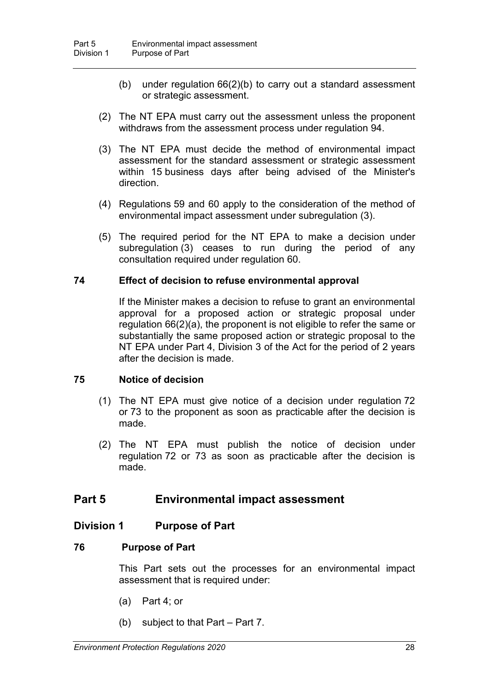- (b) under regulation 66(2)(b) to carry out a standard assessment or strategic assessment.
- (2) The NT EPA must carry out the assessment unless the proponent withdraws from the assessment process under regulation 94.
- (3) The NT EPA must decide the method of environmental impact assessment for the standard assessment or strategic assessment within 15 business days after being advised of the Minister's direction.
- (4) Regulations 59 and 60 apply to the consideration of the method of environmental impact assessment under subregulation (3).
- (5) The required period for the NT EPA to make a decision under subregulation (3) ceases to run during the period of any consultation required under regulation 60.

#### **74 Effect of decision to refuse environmental approval**

If the Minister makes a decision to refuse to grant an environmental approval for a proposed action or strategic proposal under regulation 66(2)(a), the proponent is not eligible to refer the same or substantially the same proposed action or strategic proposal to the NT EPA under Part 4, Division 3 of the Act for the period of 2 years after the decision is made.

#### **75 Notice of decision**

- (1) The NT EPA must give notice of a decision under regulation 72 or 73 to the proponent as soon as practicable after the decision is made.
- (2) The NT EPA must publish the notice of decision under regulation 72 or 73 as soon as practicable after the decision is made.

# **Part 5 Environmental impact assessment**

## **Division 1 Purpose of Part**

## **76 Purpose of Part**

This Part sets out the processes for an environmental impact assessment that is required under:

- (a) Part 4; or
- (b) subject to that Part Part 7.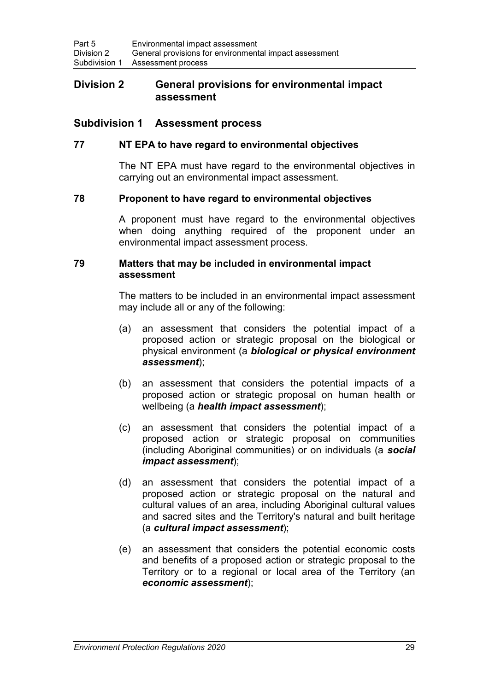## **Division 2 General provisions for environmental impact assessment**

# **Subdivision 1 Assessment process**

## **77 NT EPA to have regard to environmental objectives**

The NT EPA must have regard to the environmental objectives in carrying out an environmental impact assessment.

#### **78 Proponent to have regard to environmental objectives**

A proponent must have regard to the environmental objectives when doing anything required of the proponent under an environmental impact assessment process.

#### **79 Matters that may be included in environmental impact assessment**

The matters to be included in an environmental impact assessment may include all or any of the following:

- (a) an assessment that considers the potential impact of a proposed action or strategic proposal on the biological or physical environment (a *biological or physical environment assessment*);
- (b) an assessment that considers the potential impacts of a proposed action or strategic proposal on human health or wellbeing (a *health impact assessment*);
- (c) an assessment that considers the potential impact of a proposed action or strategic proposal on communities (including Aboriginal communities) or on individuals (a *social impact assessment*);
- (d) an assessment that considers the potential impact of a proposed action or strategic proposal on the natural and cultural values of an area, including Aboriginal cultural values and sacred sites and the Territory's natural and built heritage (a *cultural impact assessment*);
- (e) an assessment that considers the potential economic costs and benefits of a proposed action or strategic proposal to the Territory or to a regional or local area of the Territory (an *economic assessment*);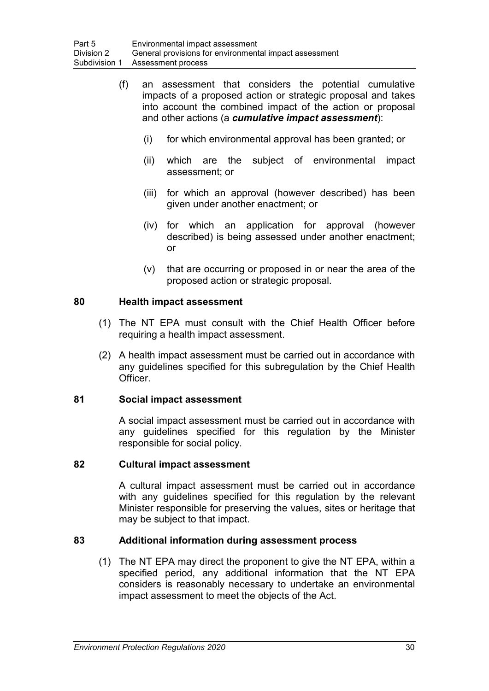- (f) an assessment that considers the potential cumulative impacts of a proposed action or strategic proposal and takes into account the combined impact of the action or proposal and other actions (a *cumulative impact assessment*):
	- (i) for which environmental approval has been granted; or
	- (ii) which are the subject of environmental impact assessment; or
	- (iii) for which an approval (however described) has been given under another enactment; or
	- (iv) for which an application for approval (however described) is being assessed under another enactment; or
	- (v) that are occurring or proposed in or near the area of the proposed action or strategic proposal.

# **80 Health impact assessment**

- (1) The NT EPA must consult with the Chief Health Officer before requiring a health impact assessment.
- (2) A health impact assessment must be carried out in accordance with any guidelines specified for this subregulation by the Chief Health Officer.

## **81 Social impact assessment**

A social impact assessment must be carried out in accordance with any guidelines specified for this regulation by the Minister responsible for social policy.

## **82 Cultural impact assessment**

A cultural impact assessment must be carried out in accordance with any guidelines specified for this regulation by the relevant Minister responsible for preserving the values, sites or heritage that may be subject to that impact.

# **83 Additional information during assessment process**

(1) The NT EPA may direct the proponent to give the NT EPA, within a specified period, any additional information that the NT EPA considers is reasonably necessary to undertake an environmental impact assessment to meet the objects of the Act.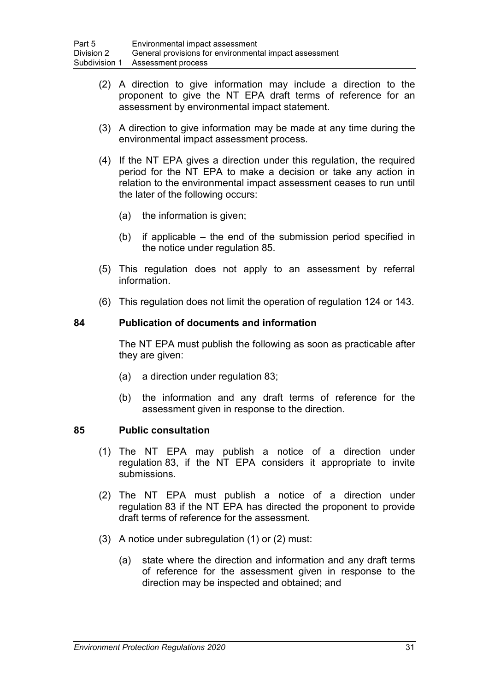- (2) A direction to give information may include a direction to the proponent to give the NT EPA draft terms of reference for an assessment by environmental impact statement.
- (3) A direction to give information may be made at any time during the environmental impact assessment process.
- (4) If the NT EPA gives a direction under this regulation, the required period for the NT EPA to make a decision or take any action in relation to the environmental impact assessment ceases to run until the later of the following occurs:
	- (a) the information is given;
	- (b) if applicable the end of the submission period specified in the notice under regulation 85.
- (5) This regulation does not apply to an assessment by referral information.
- (6) This regulation does not limit the operation of regulation 124 or 143.

#### **84 Publication of documents and information**

The NT EPA must publish the following as soon as practicable after they are given:

- (a) a direction under regulation 83;
- (b) the information and any draft terms of reference for the assessment given in response to the direction.

#### **85 Public consultation**

- (1) The NT EPA may publish a notice of a direction under regulation 83, if the NT EPA considers it appropriate to invite submissions.
- (2) The NT EPA must publish a notice of a direction under regulation 83 if the NT EPA has directed the proponent to provide draft terms of reference for the assessment.
- (3) A notice under subregulation (1) or (2) must:
	- (a) state where the direction and information and any draft terms of reference for the assessment given in response to the direction may be inspected and obtained; and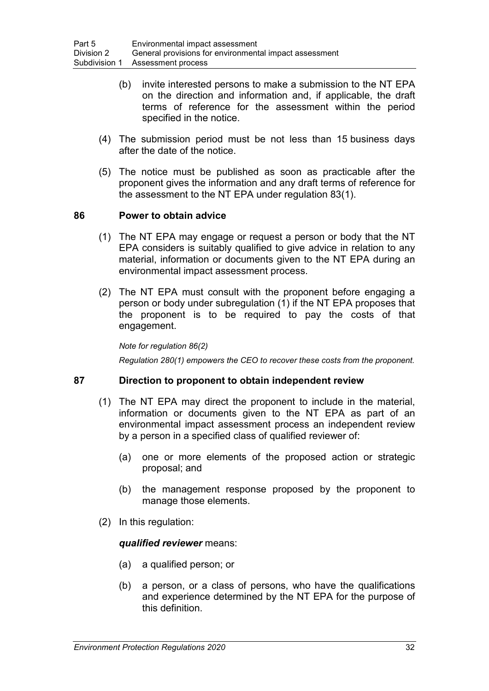- (b) invite interested persons to make a submission to the NT EPA on the direction and information and, if applicable, the draft terms of reference for the assessment within the period specified in the notice.
- (4) The submission period must be not less than 15 business days after the date of the notice.
- (5) The notice must be published as soon as practicable after the proponent gives the information and any draft terms of reference for the assessment to the NT EPA under regulation 83(1).

## **86 Power to obtain advice**

- (1) The NT EPA may engage or request a person or body that the NT EPA considers is suitably qualified to give advice in relation to any material, information or documents given to the NT EPA during an environmental impact assessment process.
- (2) The NT EPA must consult with the proponent before engaging a person or body under subregulation (1) if the NT EPA proposes that the proponent is to be required to pay the costs of that engagement.

#### *Note for regulation 86(2)*

*Regulation 280(1) empowers the CEO to recover these costs from the proponent.*

## **87 Direction to proponent to obtain independent review**

- (1) The NT EPA may direct the proponent to include in the material, information or documents given to the NT EPA as part of an environmental impact assessment process an independent review by a person in a specified class of qualified reviewer of:
	- (a) one or more elements of the proposed action or strategic proposal; and
	- (b) the management response proposed by the proponent to manage those elements.
- (2) In this regulation:

#### *qualified reviewer* means:

- (a) a qualified person; or
- (b) a person, or a class of persons, who have the qualifications and experience determined by the NT EPA for the purpose of this definition.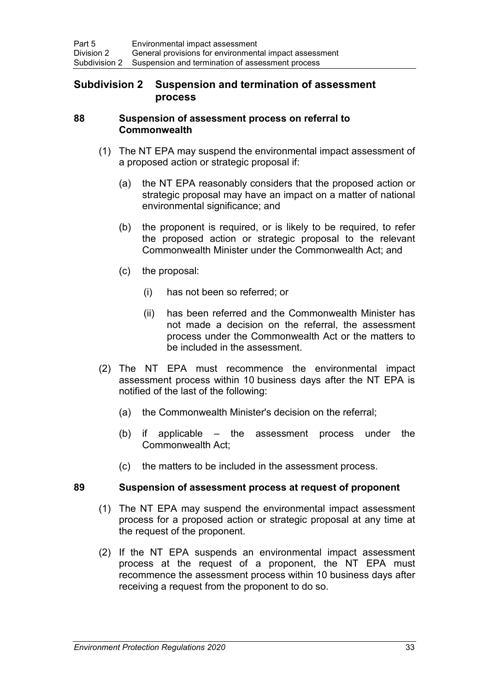# **Subdivision 2 Suspension and termination of assessment process**

#### **88 Suspension of assessment process on referral to Commonwealth**

- (1) The NT EPA may suspend the environmental impact assessment of a proposed action or strategic proposal if:
	- (a) the NT EPA reasonably considers that the proposed action or strategic proposal may have an impact on a matter of national environmental significance; and
	- (b) the proponent is required, or is likely to be required, to refer the proposed action or strategic proposal to the relevant Commonwealth Minister under the Commonwealth Act; and
	- (c) the proposal:
		- (i) has not been so referred; or
		- (ii) has been referred and the Commonwealth Minister has not made a decision on the referral, the assessment process under the Commonwealth Act or the matters to be included in the assessment.
- (2) The NT EPA must recommence the environmental impact assessment process within 10 business days after the NT EPA is notified of the last of the following:
	- (a) the Commonwealth Minister's decision on the referral;
	- (b) if applicable the assessment process under the Commonwealth Act;
	- (c) the matters to be included in the assessment process.

## **89 Suspension of assessment process at request of proponent**

- (1) The NT EPA may suspend the environmental impact assessment process for a proposed action or strategic proposal at any time at the request of the proponent.
- (2) If the NT EPA suspends an environmental impact assessment process at the request of a proponent, the NT EPA must recommence the assessment process within 10 business days after receiving a request from the proponent to do so.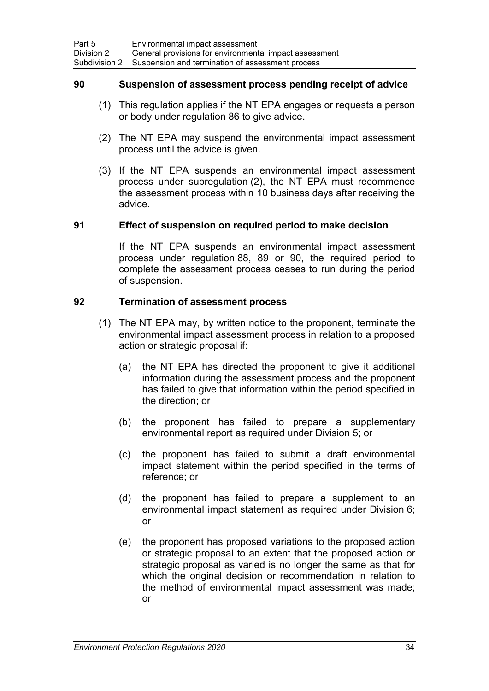#### **90 Suspension of assessment process pending receipt of advice**

- (1) This regulation applies if the NT EPA engages or requests a person or body under regulation 86 to give advice.
- (2) The NT EPA may suspend the environmental impact assessment process until the advice is given.
- (3) If the NT EPA suspends an environmental impact assessment process under subregulation (2), the NT EPA must recommence the assessment process within 10 business days after receiving the advice.

#### **91 Effect of suspension on required period to make decision**

If the NT EPA suspends an environmental impact assessment process under regulation 88, 89 or 90, the required period to complete the assessment process ceases to run during the period of suspension.

## **92 Termination of assessment process**

- (1) The NT EPA may, by written notice to the proponent, terminate the environmental impact assessment process in relation to a proposed action or strategic proposal if:
	- (a) the NT EPA has directed the proponent to give it additional information during the assessment process and the proponent has failed to give that information within the period specified in the direction; or
	- (b) the proponent has failed to prepare a supplementary environmental report as required under Division 5; or
	- (c) the proponent has failed to submit a draft environmental impact statement within the period specified in the terms of reference; or
	- (d) the proponent has failed to prepare a supplement to an environmental impact statement as required under Division 6; or
	- (e) the proponent has proposed variations to the proposed action or strategic proposal to an extent that the proposed action or strategic proposal as varied is no longer the same as that for which the original decision or recommendation in relation to the method of environmental impact assessment was made; or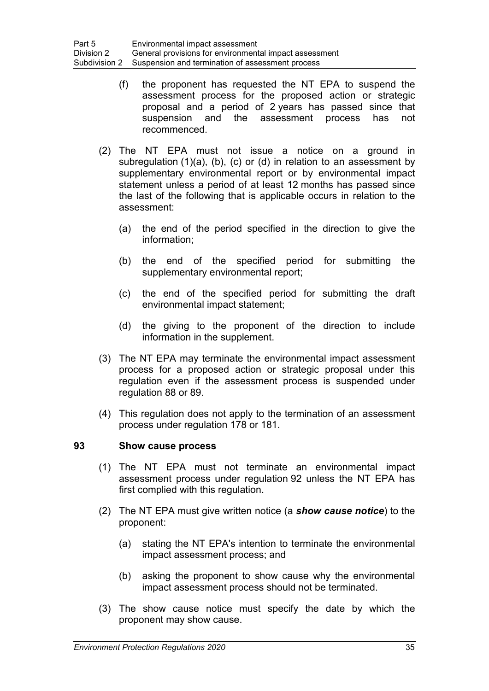- (f) the proponent has requested the NT EPA to suspend the assessment process for the proposed action or strategic proposal and a period of 2 years has passed since that suspension and the assessment process has not recommenced.
- (2) The NT EPA must not issue a notice on a ground in subregulation (1)(a), (b), (c) or (d) in relation to an assessment by supplementary environmental report or by environmental impact statement unless a period of at least 12 months has passed since the last of the following that is applicable occurs in relation to the assessment:
	- (a) the end of the period specified in the direction to give the information;
	- (b) the end of the specified period for submitting the supplementary environmental report;
	- (c) the end of the specified period for submitting the draft environmental impact statement;
	- (d) the giving to the proponent of the direction to include information in the supplement.
- (3) The NT EPA may terminate the environmental impact assessment process for a proposed action or strategic proposal under this regulation even if the assessment process is suspended under regulation 88 or 89.
- (4) This regulation does not apply to the termination of an assessment process under regulation 178 or 181.

## **93 Show cause process**

- (1) The NT EPA must not terminate an environmental impact assessment process under regulation 92 unless the NT EPA has first complied with this regulation.
- (2) The NT EPA must give written notice (a *show cause notice*) to the proponent:
	- (a) stating the NT EPA's intention to terminate the environmental impact assessment process; and
	- (b) asking the proponent to show cause why the environmental impact assessment process should not be terminated.
- (3) The show cause notice must specify the date by which the proponent may show cause.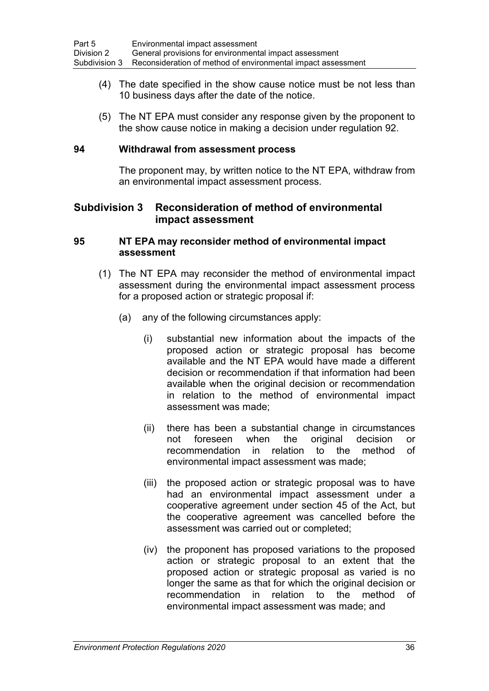- (4) The date specified in the show cause notice must be not less than 10 business days after the date of the notice.
- (5) The NT EPA must consider any response given by the proponent to the show cause notice in making a decision under regulation 92.

#### **94 Withdrawal from assessment process**

The proponent may, by written notice to the NT EPA, withdraw from an environmental impact assessment process.

# **Subdivision 3 Reconsideration of method of environmental impact assessment**

#### **95 NT EPA may reconsider method of environmental impact assessment**

- (1) The NT EPA may reconsider the method of environmental impact assessment during the environmental impact assessment process for a proposed action or strategic proposal if:
	- (a) any of the following circumstances apply:
		- (i) substantial new information about the impacts of the proposed action or strategic proposal has become available and the NT EPA would have made a different decision or recommendation if that information had been available when the original decision or recommendation in relation to the method of environmental impact assessment was made;
		- (ii) there has been a substantial change in circumstances not foreseen when the original decision or recommendation in relation to the method of environmental impact assessment was made;
		- (iii) the proposed action or strategic proposal was to have had an environmental impact assessment under a cooperative agreement under section 45 of the Act, but the cooperative agreement was cancelled before the assessment was carried out or completed;
		- (iv) the proponent has proposed variations to the proposed action or strategic proposal to an extent that the proposed action or strategic proposal as varied is no longer the same as that for which the original decision or recommendation in relation to the method of environmental impact assessment was made; and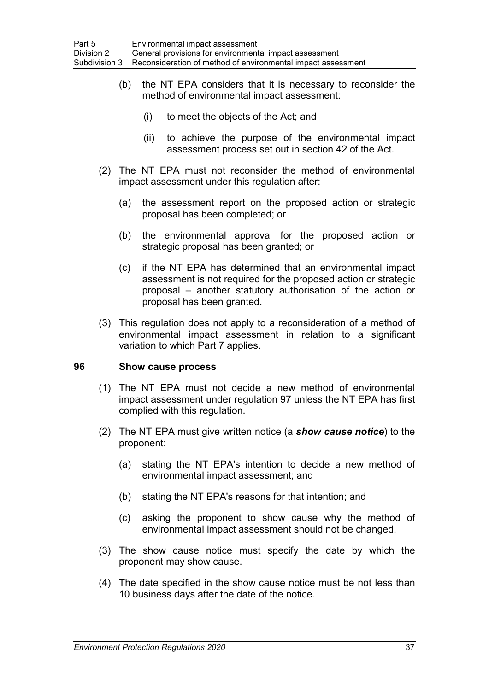- (b) the NT EPA considers that it is necessary to reconsider the method of environmental impact assessment:
	- (i) to meet the objects of the Act; and
	- (ii) to achieve the purpose of the environmental impact assessment process set out in section 42 of the Act.
- (2) The NT EPA must not reconsider the method of environmental impact assessment under this regulation after:
	- (a) the assessment report on the proposed action or strategic proposal has been completed; or
	- (b) the environmental approval for the proposed action or strategic proposal has been granted; or
	- (c) if the NT EPA has determined that an environmental impact assessment is not required for the proposed action or strategic proposal – another statutory authorisation of the action or proposal has been granted.
- (3) This regulation does not apply to a reconsideration of a method of environmental impact assessment in relation to a significant variation to which Part 7 applies.

## **96 Show cause process**

- (1) The NT EPA must not decide a new method of environmental impact assessment under regulation 97 unless the NT EPA has first complied with this regulation.
- (2) The NT EPA must give written notice (a *show cause notice*) to the proponent:
	- (a) stating the NT EPA's intention to decide a new method of environmental impact assessment; and
	- (b) stating the NT EPA's reasons for that intention; and
	- (c) asking the proponent to show cause why the method of environmental impact assessment should not be changed.
- (3) The show cause notice must specify the date by which the proponent may show cause.
- (4) The date specified in the show cause notice must be not less than 10 business days after the date of the notice.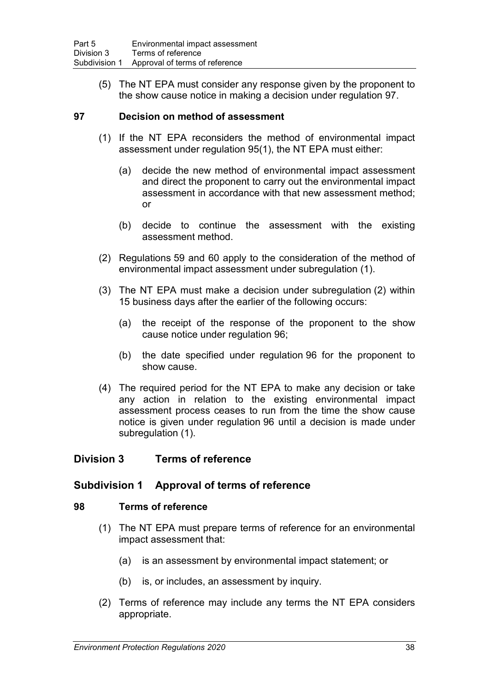(5) The NT EPA must consider any response given by the proponent to the show cause notice in making a decision under regulation 97.

## **97 Decision on method of assessment**

- (1) If the NT EPA reconsiders the method of environmental impact assessment under regulation 95(1), the NT EPA must either:
	- (a) decide the new method of environmental impact assessment and direct the proponent to carry out the environmental impact assessment in accordance with that new assessment method; or
	- (b) decide to continue the assessment with the existing assessment method.
- (2) Regulations 59 and 60 apply to the consideration of the method of environmental impact assessment under subregulation (1).
- (3) The NT EPA must make a decision under subregulation (2) within 15 business days after the earlier of the following occurs:
	- (a) the receipt of the response of the proponent to the show cause notice under regulation 96;
	- (b) the date specified under regulation 96 for the proponent to show cause.
- (4) The required period for the NT EPA to make any decision or take any action in relation to the existing environmental impact assessment process ceases to run from the time the show cause notice is given under regulation 96 until a decision is made under subregulation (1).

# **Division 3 Terms of reference**

# **Subdivision 1 Approval of terms of reference**

## **98 Terms of reference**

- (1) The NT EPA must prepare terms of reference for an environmental impact assessment that:
	- (a) is an assessment by environmental impact statement; or
	- (b) is, or includes, an assessment by inquiry.
- (2) Terms of reference may include any terms the NT EPA considers appropriate.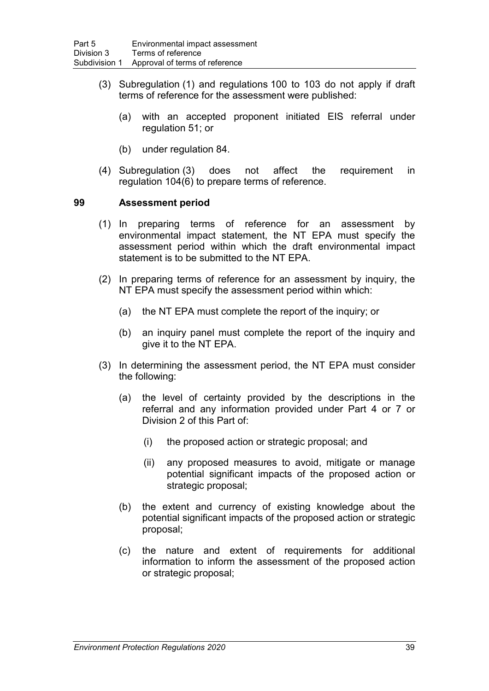- (3) Subregulation (1) and regulations 100 to 103 do not apply if draft terms of reference for the assessment were published:
	- (a) with an accepted proponent initiated EIS referral under regulation 51; or
	- (b) under regulation 84.
- (4) Subregulation (3) does not affect the requirement in regulation 104(6) to prepare terms of reference.

#### **99 Assessment period**

- (1) In preparing terms of reference for an assessment by environmental impact statement, the NT EPA must specify the assessment period within which the draft environmental impact statement is to be submitted to the NT EPA.
- (2) In preparing terms of reference for an assessment by inquiry, the NT EPA must specify the assessment period within which:
	- (a) the NT EPA must complete the report of the inquiry; or
	- (b) an inquiry panel must complete the report of the inquiry and give it to the NT EPA.
- (3) In determining the assessment period, the NT EPA must consider the following:
	- (a) the level of certainty provided by the descriptions in the referral and any information provided under Part 4 or 7 or Division 2 of this Part of:
		- (i) the proposed action or strategic proposal; and
		- (ii) any proposed measures to avoid, mitigate or manage potential significant impacts of the proposed action or strategic proposal;
	- (b) the extent and currency of existing knowledge about the potential significant impacts of the proposed action or strategic proposal;
	- (c) the nature and extent of requirements for additional information to inform the assessment of the proposed action or strategic proposal;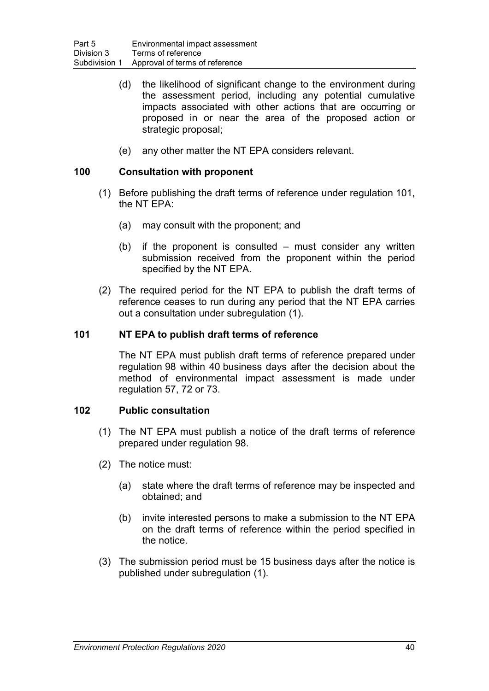- (d) the likelihood of significant change to the environment during the assessment period, including any potential cumulative impacts associated with other actions that are occurring or proposed in or near the area of the proposed action or strategic proposal;
- (e) any other matter the NT EPA considers relevant.

## **100 Consultation with proponent**

- (1) Before publishing the draft terms of reference under regulation 101, the NT EPA:
	- (a) may consult with the proponent; and
	- (b) if the proponent is consulted must consider any written submission received from the proponent within the period specified by the NT EPA.
- (2) The required period for the NT EPA to publish the draft terms of reference ceases to run during any period that the NT EPA carries out a consultation under subregulation (1).

# **101 NT EPA to publish draft terms of reference**

The NT EPA must publish draft terms of reference prepared under regulation 98 within 40 business days after the decision about the method of environmental impact assessment is made under regulation 57, 72 or 73.

## **102 Public consultation**

- (1) The NT EPA must publish a notice of the draft terms of reference prepared under regulation 98.
- (2) The notice must:
	- (a) state where the draft terms of reference may be inspected and obtained; and
	- (b) invite interested persons to make a submission to the NT EPA on the draft terms of reference within the period specified in the notice.
- (3) The submission period must be 15 business days after the notice is published under subregulation (1).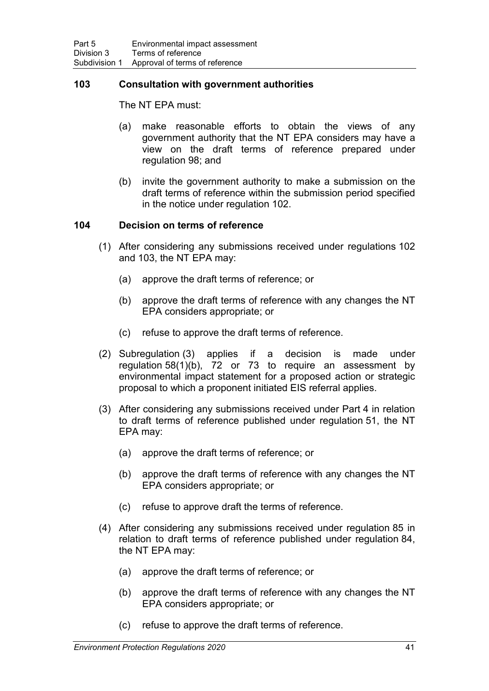## **103 Consultation with government authorities**

The NT EPA must:

- (a) make reasonable efforts to obtain the views of any government authority that the NT EPA considers may have a view on the draft terms of reference prepared under regulation 98; and
- (b) invite the government authority to make a submission on the draft terms of reference within the submission period specified in the notice under regulation 102.

#### **104 Decision on terms of reference**

- (1) After considering any submissions received under regulations 102 and 103, the NT EPA may:
	- (a) approve the draft terms of reference; or
	- (b) approve the draft terms of reference with any changes the NT EPA considers appropriate; or
	- (c) refuse to approve the draft terms of reference.
- (2) Subregulation (3) applies if a decision is made under regulation 58(1)(b), 72 or 73 to require an assessment by environmental impact statement for a proposed action or strategic proposal to which a proponent initiated EIS referral applies.
- (3) After considering any submissions received under Part 4 in relation to draft terms of reference published under regulation 51, the NT EPA may:
	- (a) approve the draft terms of reference; or
	- (b) approve the draft terms of reference with any changes the NT EPA considers appropriate; or
	- (c) refuse to approve draft the terms of reference.
- (4) After considering any submissions received under regulation 85 in relation to draft terms of reference published under regulation 84, the NT EPA may:
	- (a) approve the draft terms of reference; or
	- (b) approve the draft terms of reference with any changes the NT EPA considers appropriate; or
	- (c) refuse to approve the draft terms of reference.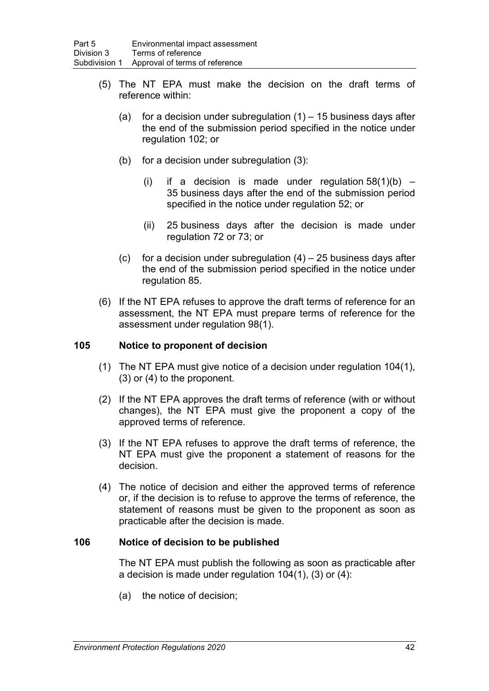- (5) The NT EPA must make the decision on the draft terms of reference within:
	- (a) for a decision under subregulation  $(1)$  15 business days after the end of the submission period specified in the notice under regulation 102; or
	- (b) for a decision under subregulation (3):
		- (i) if a decision is made under regulation  $58(1)(b)$  35 business days after the end of the submission period specified in the notice under regulation 52; or
		- (ii) 25 business days after the decision is made under regulation 72 or 73; or
	- (c) for a decision under subregulation  $(4) 25$  business days after the end of the submission period specified in the notice under regulation 85.
- (6) If the NT EPA refuses to approve the draft terms of reference for an assessment, the NT EPA must prepare terms of reference for the assessment under regulation 98(1).

## **105 Notice to proponent of decision**

- (1) The NT EPA must give notice of a decision under regulation 104(1), (3) or (4) to the proponent.
- (2) If the NT EPA approves the draft terms of reference (with or without changes), the NT EPA must give the proponent a copy of the approved terms of reference.
- (3) If the NT EPA refuses to approve the draft terms of reference, the NT EPA must give the proponent a statement of reasons for the decision.
- (4) The notice of decision and either the approved terms of reference or, if the decision is to refuse to approve the terms of reference, the statement of reasons must be given to the proponent as soon as practicable after the decision is made.

## **106 Notice of decision to be published**

The NT EPA must publish the following as soon as practicable after a decision is made under regulation 104(1), (3) or (4):

(a) the notice of decision;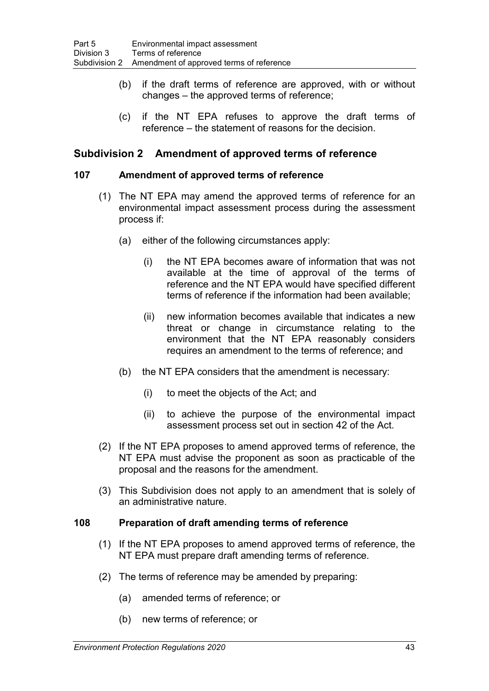- (b) if the draft terms of reference are approved, with or without changes – the approved terms of reference;
- (c) if the NT EPA refuses to approve the draft terms of reference – the statement of reasons for the decision.

# **Subdivision 2 Amendment of approved terms of reference**

#### **107 Amendment of approved terms of reference**

- (1) The NT EPA may amend the approved terms of reference for an environmental impact assessment process during the assessment process if:
	- (a) either of the following circumstances apply:
		- (i) the NT EPA becomes aware of information that was not available at the time of approval of the terms of reference and the NT EPA would have specified different terms of reference if the information had been available;
		- (ii) new information becomes available that indicates a new threat or change in circumstance relating to the environment that the NT EPA reasonably considers requires an amendment to the terms of reference; and
	- (b) the NT EPA considers that the amendment is necessary:
		- (i) to meet the objects of the Act; and
		- (ii) to achieve the purpose of the environmental impact assessment process set out in section 42 of the Act.
- (2) If the NT EPA proposes to amend approved terms of reference, the NT EPA must advise the proponent as soon as practicable of the proposal and the reasons for the amendment.
- (3) This Subdivision does not apply to an amendment that is solely of an administrative nature.

#### **108 Preparation of draft amending terms of reference**

- (1) If the NT EPA proposes to amend approved terms of reference, the NT EPA must prepare draft amending terms of reference.
- (2) The terms of reference may be amended by preparing:
	- (a) amended terms of reference; or
	- (b) new terms of reference; or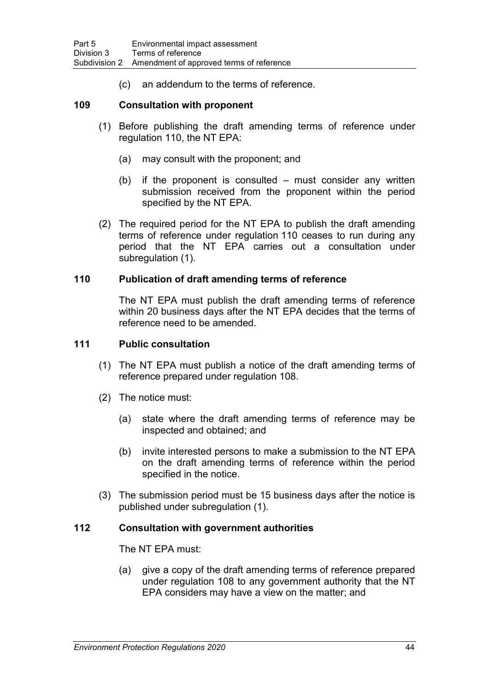(c) an addendum to the terms of reference.

#### **109 Consultation with proponent**

- (1) Before publishing the draft amending terms of reference under regulation 110, the NT EPA:
	- (a) may consult with the proponent; and
	- (b) if the proponent is consulted must consider any written submission received from the proponent within the period specified by the NT EPA.
- (2) The required period for the NT EPA to publish the draft amending terms of reference under regulation 110 ceases to run during any period that the NT EPA carries out a consultation under subregulation (1).

#### **110 Publication of draft amending terms of reference**

The NT EPA must publish the draft amending terms of reference within 20 business days after the NT EPA decides that the terms of reference need to be amended.

#### **111 Public consultation**

- (1) The NT EPA must publish a notice of the draft amending terms of reference prepared under regulation 108.
- (2) The notice must:
	- (a) state where the draft amending terms of reference may be inspected and obtained; and
	- (b) invite interested persons to make a submission to the NT EPA on the draft amending terms of reference within the period specified in the notice.
- (3) The submission period must be 15 business days after the notice is published under subregulation (1).

## **112 Consultation with government authorities**

The NT EPA must:

(a) give a copy of the draft amending terms of reference prepared under regulation 108 to any government authority that the NT EPA considers may have a view on the matter; and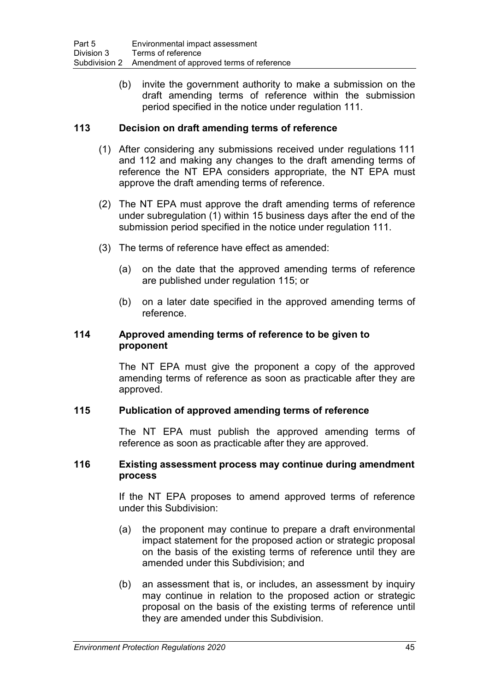(b) invite the government authority to make a submission on the draft amending terms of reference within the submission period specified in the notice under regulation 111.

# **113 Decision on draft amending terms of reference**

- (1) After considering any submissions received under regulations 111 and 112 and making any changes to the draft amending terms of reference the NT EPA considers appropriate, the NT EPA must approve the draft amending terms of reference.
- (2) The NT EPA must approve the draft amending terms of reference under subregulation (1) within 15 business days after the end of the submission period specified in the notice under regulation 111.
- (3) The terms of reference have effect as amended:
	- (a) on the date that the approved amending terms of reference are published under regulation 115; or
	- (b) on a later date specified in the approved amending terms of reference.

## **114 Approved amending terms of reference to be given to proponent**

The NT EPA must give the proponent a copy of the approved amending terms of reference as soon as practicable after they are approved.

## **115 Publication of approved amending terms of reference**

The NT EPA must publish the approved amending terms of reference as soon as practicable after they are approved.

#### **116 Existing assessment process may continue during amendment process**

If the NT EPA proposes to amend approved terms of reference under this Subdivision:

- (a) the proponent may continue to prepare a draft environmental impact statement for the proposed action or strategic proposal on the basis of the existing terms of reference until they are amended under this Subdivision; and
- (b) an assessment that is, or includes, an assessment by inquiry may continue in relation to the proposed action or strategic proposal on the basis of the existing terms of reference until they are amended under this Subdivision.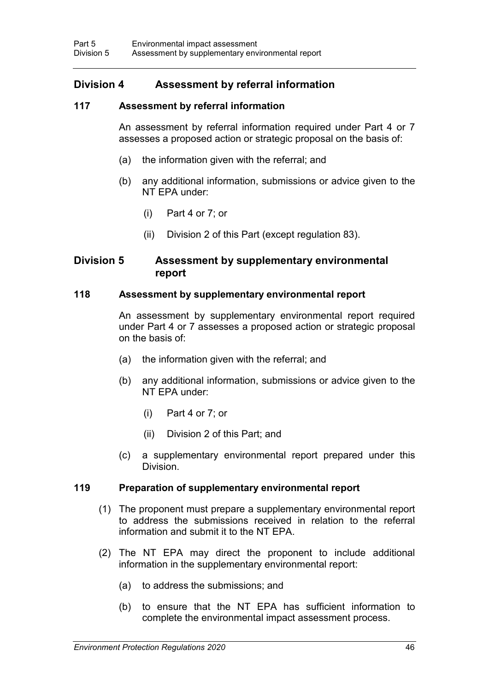# **Division 4 Assessment by referral information**

## **117 Assessment by referral information**

An assessment by referral information required under Part 4 or 7 assesses a proposed action or strategic proposal on the basis of:

- (a) the information given with the referral; and
- (b) any additional information, submissions or advice given to the NT EPA under:
	- (i) Part 4 or 7; or
	- (ii) Division 2 of this Part (except regulation 83).

## **Division 5 Assessment by supplementary environmental report**

#### **118 Assessment by supplementary environmental report**

An assessment by supplementary environmental report required under Part 4 or 7 assesses a proposed action or strategic proposal on the basis of:

- (a) the information given with the referral; and
- (b) any additional information, submissions or advice given to the NT EPA under:
	- (i) Part 4 or 7; or
	- (ii) Division 2 of this Part; and
- (c) a supplementary environmental report prepared under this Division.

## **119 Preparation of supplementary environmental report**

- (1) The proponent must prepare a supplementary environmental report to address the submissions received in relation to the referral information and submit it to the NT EPA.
- (2) The NT EPA may direct the proponent to include additional information in the supplementary environmental report:
	- (a) to address the submissions; and
	- (b) to ensure that the NT EPA has sufficient information to complete the environmental impact assessment process.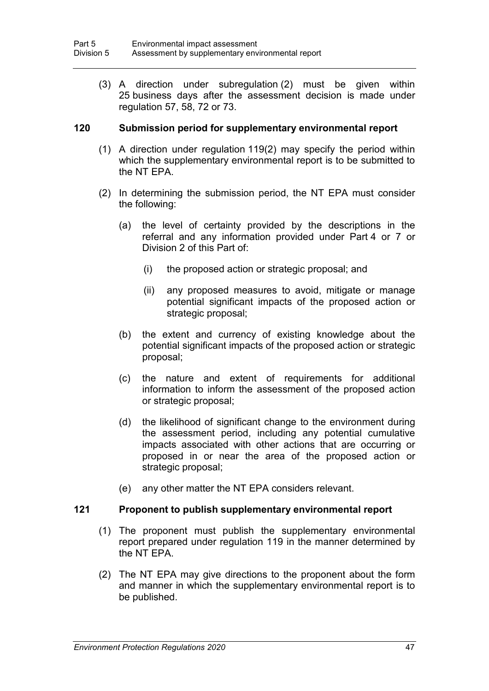(3) A direction under subregulation (2) must be given within 25 business days after the assessment decision is made under regulation 57, 58, 72 or 73.

## **120 Submission period for supplementary environmental report**

- (1) A direction under regulation 119(2) may specify the period within which the supplementary environmental report is to be submitted to the NT EPA.
- (2) In determining the submission period, the NT EPA must consider the following:
	- (a) the level of certainty provided by the descriptions in the referral and any information provided under Part 4 or 7 or Division 2 of this Part of:
		- (i) the proposed action or strategic proposal; and
		- (ii) any proposed measures to avoid, mitigate or manage potential significant impacts of the proposed action or strategic proposal;
	- (b) the extent and currency of existing knowledge about the potential significant impacts of the proposed action or strategic proposal;
	- (c) the nature and extent of requirements for additional information to inform the assessment of the proposed action or strategic proposal;
	- (d) the likelihood of significant change to the environment during the assessment period, including any potential cumulative impacts associated with other actions that are occurring or proposed in or near the area of the proposed action or strategic proposal;
	- (e) any other matter the NT EPA considers relevant.

#### **121 Proponent to publish supplementary environmental report**

- (1) The proponent must publish the supplementary environmental report prepared under regulation 119 in the manner determined by the NT EPA.
- (2) The NT EPA may give directions to the proponent about the form and manner in which the supplementary environmental report is to be published.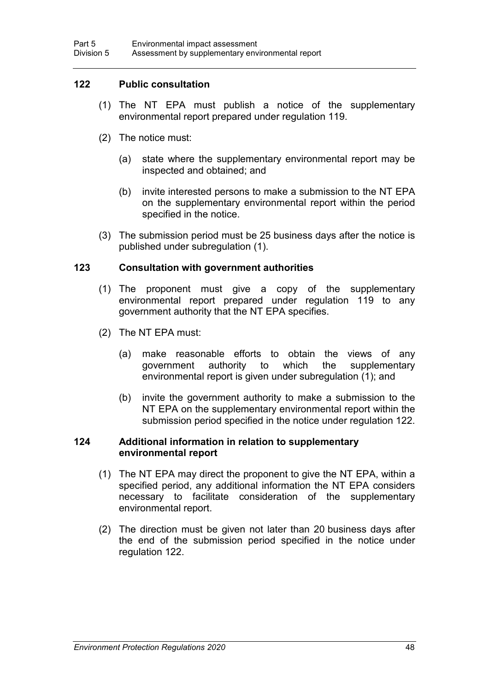## **122 Public consultation**

- (1) The NT EPA must publish a notice of the supplementary environmental report prepared under regulation 119.
- (2) The notice must:
	- (a) state where the supplementary environmental report may be inspected and obtained; and
	- (b) invite interested persons to make a submission to the NT EPA on the supplementary environmental report within the period specified in the notice.
- (3) The submission period must be 25 business days after the notice is published under subregulation (1).

#### **123 Consultation with government authorities**

- (1) The proponent must give a copy of the supplementary environmental report prepared under regulation 119 to any government authority that the NT EPA specifies.
- (2) The NT EPA must:
	- (a) make reasonable efforts to obtain the views of any<br>qovernment authority to which the supplementary government authority to which the supplementary environmental report is given under subregulation (1); and
	- (b) invite the government authority to make a submission to the NT EPA on the supplementary environmental report within the submission period specified in the notice under regulation 122.

#### **124 Additional information in relation to supplementary environmental report**

- (1) The NT EPA may direct the proponent to give the NT EPA, within a specified period, any additional information the NT EPA considers necessary to facilitate consideration of the supplementary environmental report.
- (2) The direction must be given not later than 20 business days after the end of the submission period specified in the notice under regulation 122.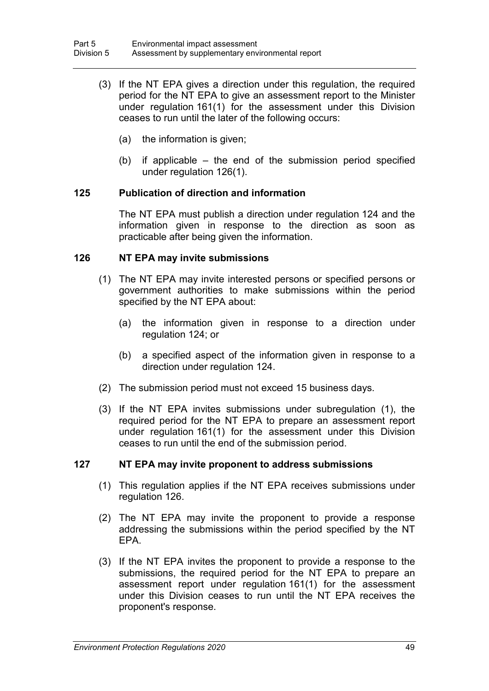- (3) If the NT EPA gives a direction under this regulation, the required period for the NT EPA to give an assessment report to the Minister under regulation 161(1) for the assessment under this Division ceases to run until the later of the following occurs:
	- (a) the information is given;
	- (b) if applicable the end of the submission period specified under regulation 126(1).

## **125 Publication of direction and information**

The NT EPA must publish a direction under regulation 124 and the information given in response to the direction as soon as practicable after being given the information.

## **126 NT EPA may invite submissions**

- (1) The NT EPA may invite interested persons or specified persons or government authorities to make submissions within the period specified by the NT EPA about:
	- (a) the information given in response to a direction under regulation 124; or
	- (b) a specified aspect of the information given in response to a direction under regulation 124.
- (2) The submission period must not exceed 15 business days.
- (3) If the NT EPA invites submissions under subregulation (1), the required period for the NT EPA to prepare an assessment report under regulation 161(1) for the assessment under this Division ceases to run until the end of the submission period.

## **127 NT EPA may invite proponent to address submissions**

- (1) This regulation applies if the NT EPA receives submissions under regulation 126.
- (2) The NT EPA may invite the proponent to provide a response addressing the submissions within the period specified by the NT EPA.
- (3) If the NT EPA invites the proponent to provide a response to the submissions, the required period for the NT EPA to prepare an assessment report under regulation 161(1) for the assessment under this Division ceases to run until the NT EPA receives the proponent's response.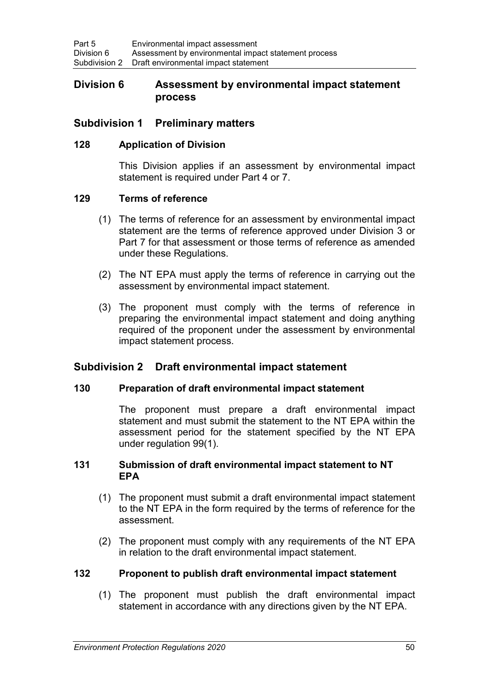## **Division 6 Assessment by environmental impact statement process**

# **Subdivision 1 Preliminary matters**

#### **128 Application of Division**

This Division applies if an assessment by environmental impact statement is required under Part 4 or 7.

#### **129 Terms of reference**

- (1) The terms of reference for an assessment by environmental impact statement are the terms of reference approved under Division 3 or Part 7 for that assessment or those terms of reference as amended under these Regulations.
- (2) The NT EPA must apply the terms of reference in carrying out the assessment by environmental impact statement.
- (3) The proponent must comply with the terms of reference in preparing the environmental impact statement and doing anything required of the proponent under the assessment by environmental impact statement process.

# **Subdivision 2 Draft environmental impact statement**

## **130 Preparation of draft environmental impact statement**

The proponent must prepare a draft environmental impact statement and must submit the statement to the NT EPA within the assessment period for the statement specified by the NT EPA under regulation 99(1).

#### **131 Submission of draft environmental impact statement to NT EPA**

- (1) The proponent must submit a draft environmental impact statement to the NT EPA in the form required by the terms of reference for the assessment.
- (2) The proponent must comply with any requirements of the NT EPA in relation to the draft environmental impact statement.

## **132 Proponent to publish draft environmental impact statement**

(1) The proponent must publish the draft environmental impact statement in accordance with any directions given by the NT EPA.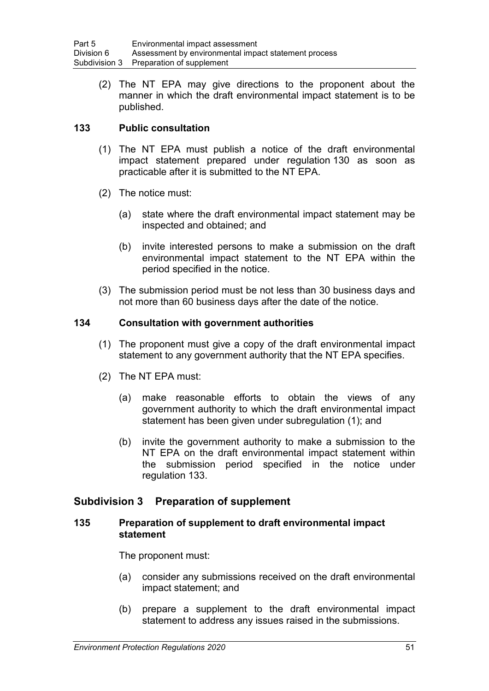(2) The NT EPA may give directions to the proponent about the manner in which the draft environmental impact statement is to be published.

# **133 Public consultation**

- (1) The NT EPA must publish a notice of the draft environmental impact statement prepared under regulation 130 as soon as practicable after it is submitted to the NT EPA.
- (2) The notice must:
	- (a) state where the draft environmental impact statement may be inspected and obtained; and
	- (b) invite interested persons to make a submission on the draft environmental impact statement to the NT EPA within the period specified in the notice.
- (3) The submission period must be not less than 30 business days and not more than 60 business days after the date of the notice.

## **134 Consultation with government authorities**

- (1) The proponent must give a copy of the draft environmental impact statement to any government authority that the NT EPA specifies.
- (2) The NT EPA must:
	- (a) make reasonable efforts to obtain the views of any government authority to which the draft environmental impact statement has been given under subregulation (1); and
	- (b) invite the government authority to make a submission to the NT EPA on the draft environmental impact statement within the submission period specified in the notice under regulation 133.

# **Subdivision 3 Preparation of supplement**

## **135 Preparation of supplement to draft environmental impact statement**

The proponent must:

- (a) consider any submissions received on the draft environmental impact statement; and
- (b) prepare a supplement to the draft environmental impact statement to address any issues raised in the submissions.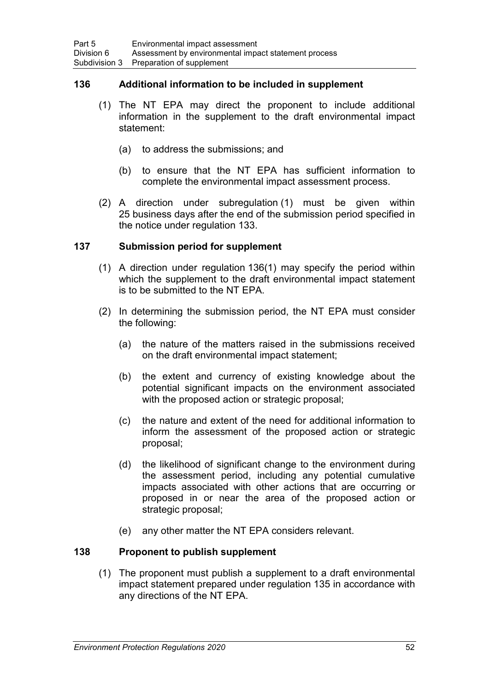## **136 Additional information to be included in supplement**

- (1) The NT EPA may direct the proponent to include additional information in the supplement to the draft environmental impact statement:
	- (a) to address the submissions; and
	- (b) to ensure that the NT EPA has sufficient information to complete the environmental impact assessment process.
- (2) A direction under subregulation (1) must be given within 25 business days after the end of the submission period specified in the notice under regulation 133.

## **137 Submission period for supplement**

- (1) A direction under regulation 136(1) may specify the period within which the supplement to the draft environmental impact statement is to be submitted to the NT EPA.
- (2) In determining the submission period, the NT EPA must consider the following:
	- (a) the nature of the matters raised in the submissions received on the draft environmental impact statement;
	- (b) the extent and currency of existing knowledge about the potential significant impacts on the environment associated with the proposed action or strategic proposal;
	- (c) the nature and extent of the need for additional information to inform the assessment of the proposed action or strategic proposal;
	- (d) the likelihood of significant change to the environment during the assessment period, including any potential cumulative impacts associated with other actions that are occurring or proposed in or near the area of the proposed action or strategic proposal;
	- (e) any other matter the NT EPA considers relevant.

## **138 Proponent to publish supplement**

(1) The proponent must publish a supplement to a draft environmental impact statement prepared under regulation 135 in accordance with any directions of the NT EPA.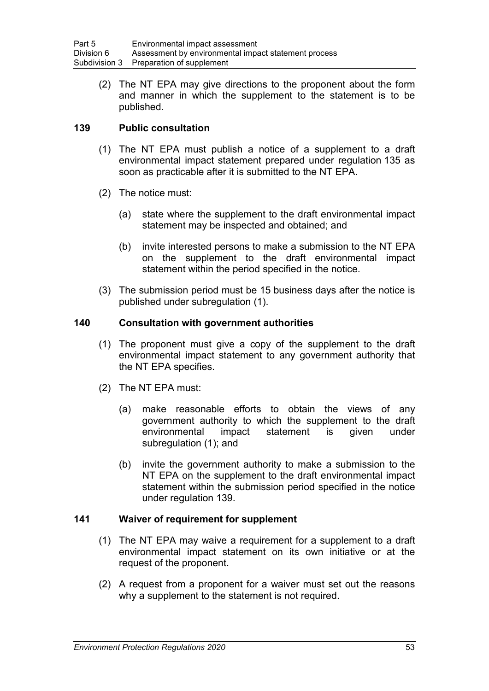(2) The NT EPA may give directions to the proponent about the form and manner in which the supplement to the statement is to be published.

# **139 Public consultation**

- (1) The NT EPA must publish a notice of a supplement to a draft environmental impact statement prepared under regulation 135 as soon as practicable after it is submitted to the NT EPA.
- (2) The notice must:
	- (a) state where the supplement to the draft environmental impact statement may be inspected and obtained; and
	- (b) invite interested persons to make a submission to the NT EPA on the supplement to the draft environmental impact statement within the period specified in the notice.
- (3) The submission period must be 15 business days after the notice is published under subregulation (1).

## **140 Consultation with government authorities**

- (1) The proponent must give a copy of the supplement to the draft environmental impact statement to any government authority that the NT EPA specifies.
- (2) The NT EPA must:
	- (a) make reasonable efforts to obtain the views of any government authority to which the supplement to the draft environmental impact statement is given under subregulation (1); and
	- (b) invite the government authority to make a submission to the NT EPA on the supplement to the draft environmental impact statement within the submission period specified in the notice under regulation 139.

## **141 Waiver of requirement for supplement**

- (1) The NT EPA may waive a requirement for a supplement to a draft environmental impact statement on its own initiative or at the request of the proponent.
- (2) A request from a proponent for a waiver must set out the reasons why a supplement to the statement is not required.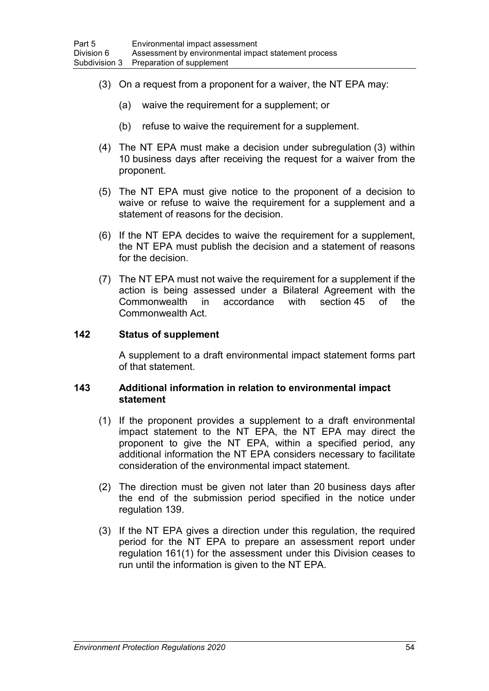- (3) On a request from a proponent for a waiver, the NT EPA may:
	- (a) waive the requirement for a supplement; or
	- (b) refuse to waive the requirement for a supplement.
- (4) The NT EPA must make a decision under subregulation (3) within 10 business days after receiving the request for a waiver from the proponent.
- (5) The NT EPA must give notice to the proponent of a decision to waive or refuse to waive the requirement for a supplement and a statement of reasons for the decision.
- (6) If the NT EPA decides to waive the requirement for a supplement, the NT EPA must publish the decision and a statement of reasons for the decision.
- (7) The NT EPA must not waive the requirement for a supplement if the action is being assessed under a Bilateral Agreement with the Commonwealth in accordance with section 45 of the Commonwealth Act.

#### **142 Status of supplement**

A supplement to a draft environmental impact statement forms part of that statement.

#### **143 Additional information in relation to environmental impact statement**

- (1) If the proponent provides a supplement to a draft environmental impact statement to the NT EPA, the NT EPA may direct the proponent to give the NT EPA, within a specified period, any additional information the NT EPA considers necessary to facilitate consideration of the environmental impact statement.
- (2) The direction must be given not later than 20 business days after the end of the submission period specified in the notice under regulation 139.
- (3) If the NT EPA gives a direction under this regulation, the required period for the NT EPA to prepare an assessment report under regulation 161(1) for the assessment under this Division ceases to run until the information is given to the NT EPA.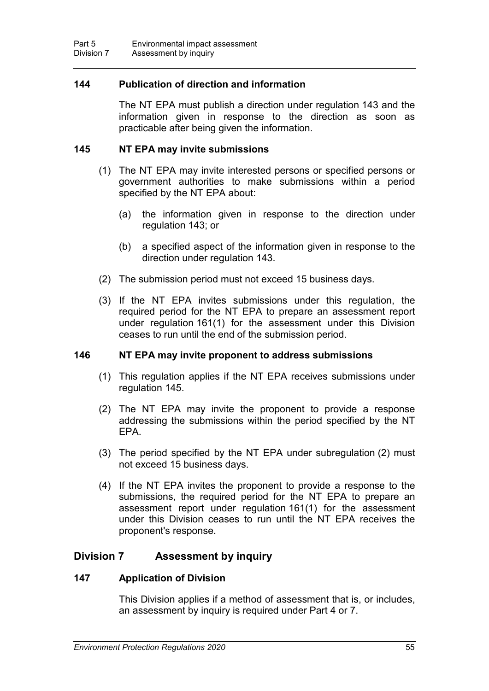## **144 Publication of direction and information**

The NT EPA must publish a direction under regulation 143 and the information given in response to the direction as soon as practicable after being given the information.

#### **145 NT EPA may invite submissions**

- (1) The NT EPA may invite interested persons or specified persons or government authorities to make submissions within a period specified by the NT EPA about:
	- (a) the information given in response to the direction under regulation 143; or
	- (b) a specified aspect of the information given in response to the direction under regulation 143.
- (2) The submission period must not exceed 15 business days.
- (3) If the NT EPA invites submissions under this regulation, the required period for the NT EPA to prepare an assessment report under regulation 161(1) for the assessment under this Division ceases to run until the end of the submission period.

#### **146 NT EPA may invite proponent to address submissions**

- (1) This regulation applies if the NT EPA receives submissions under regulation 145.
- (2) The NT EPA may invite the proponent to provide a response addressing the submissions within the period specified by the NT EPA.
- (3) The period specified by the NT EPA under subregulation (2) must not exceed 15 business days.
- (4) If the NT EPA invites the proponent to provide a response to the submissions, the required period for the NT EPA to prepare an assessment report under regulation 161(1) for the assessment under this Division ceases to run until the NT EPA receives the proponent's response.

# **Division 7 Assessment by inquiry**

#### **147 Application of Division**

This Division applies if a method of assessment that is, or includes, an assessment by inquiry is required under Part 4 or 7.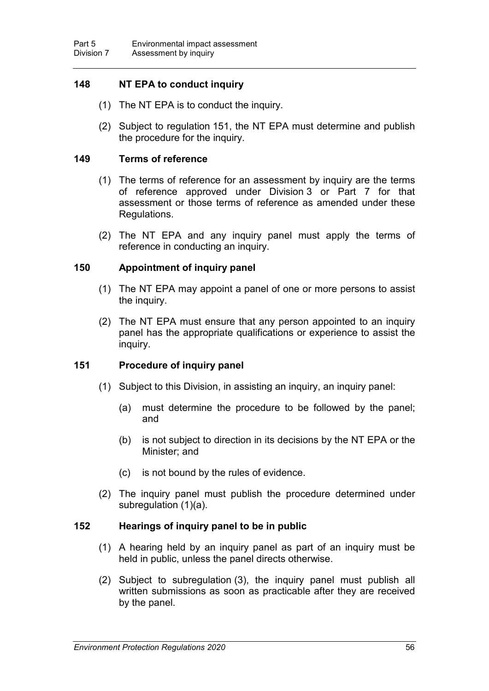# **148 NT EPA to conduct inquiry**

- (1) The NT EPA is to conduct the inquiry.
- (2) Subject to regulation 151, the NT EPA must determine and publish the procedure for the inquiry.

#### **149 Terms of reference**

- (1) The terms of reference for an assessment by inquiry are the terms of reference approved under Division 3 or Part 7 for that assessment or those terms of reference as amended under these Regulations.
- (2) The NT EPA and any inquiry panel must apply the terms of reference in conducting an inquiry.

#### **150 Appointment of inquiry panel**

- (1) The NT EPA may appoint a panel of one or more persons to assist the inquiry.
- (2) The NT EPA must ensure that any person appointed to an inquiry panel has the appropriate qualifications or experience to assist the inquiry.

## **151 Procedure of inquiry panel**

- (1) Subject to this Division, in assisting an inquiry, an inquiry panel:
	- (a) must determine the procedure to be followed by the panel; and
	- (b) is not subject to direction in its decisions by the NT EPA or the Minister; and
	- (c) is not bound by the rules of evidence.
- (2) The inquiry panel must publish the procedure determined under subregulation (1)(a).

## **152 Hearings of inquiry panel to be in public**

- (1) A hearing held by an inquiry panel as part of an inquiry must be held in public, unless the panel directs otherwise.
- (2) Subject to subregulation (3), the inquiry panel must publish all written submissions as soon as practicable after they are received by the panel.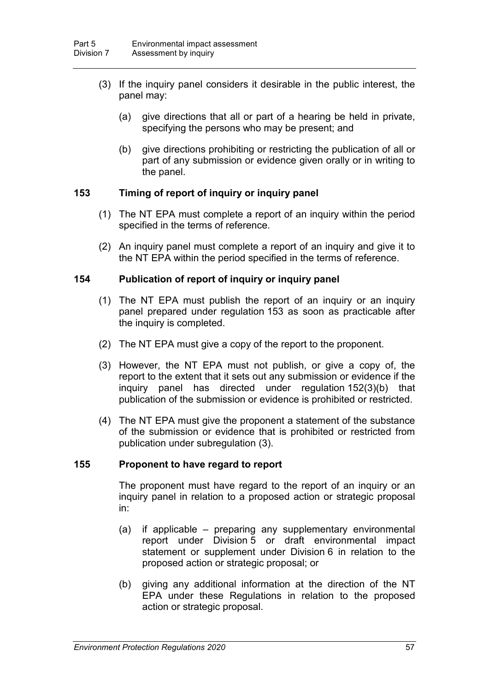- (3) If the inquiry panel considers it desirable in the public interest, the panel may:
	- (a) give directions that all or part of a hearing be held in private, specifying the persons who may be present; and
	- (b) give directions prohibiting or restricting the publication of all or part of any submission or evidence given orally or in writing to the panel.

## **153 Timing of report of inquiry or inquiry panel**

- (1) The NT EPA must complete a report of an inquiry within the period specified in the terms of reference.
- (2) An inquiry panel must complete a report of an inquiry and give it to the NT EPA within the period specified in the terms of reference.

# **154 Publication of report of inquiry or inquiry panel**

- (1) The NT EPA must publish the report of an inquiry or an inquiry panel prepared under regulation 153 as soon as practicable after the inquiry is completed.
- (2) The NT EPA must give a copy of the report to the proponent.
- (3) However, the NT EPA must not publish, or give a copy of, the report to the extent that it sets out any submission or evidence if the inquiry panel has directed under regulation 152(3)(b) that publication of the submission or evidence is prohibited or restricted.
- (4) The NT EPA must give the proponent a statement of the substance of the submission or evidence that is prohibited or restricted from publication under subregulation (3).

## **155 Proponent to have regard to report**

The proponent must have regard to the report of an inquiry or an inquiry panel in relation to a proposed action or strategic proposal in:

- (a) if applicable preparing any supplementary environmental report under Division 5 or draft environmental impact statement or supplement under Division 6 in relation to the proposed action or strategic proposal; or
- (b) giving any additional information at the direction of the NT EPA under these Regulations in relation to the proposed action or strategic proposal.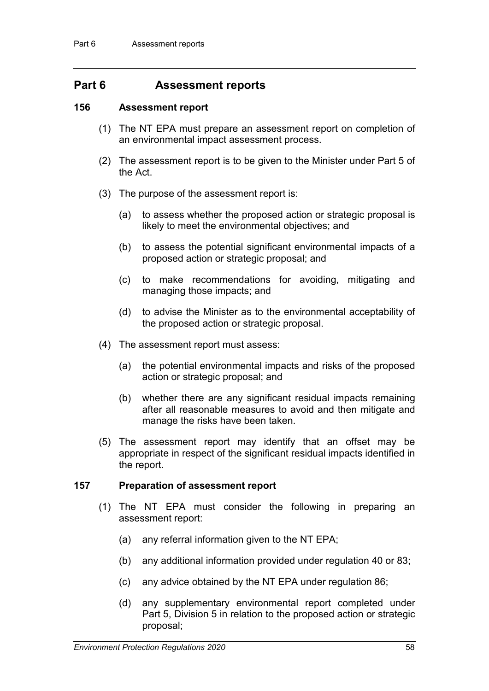# **Part 6 Assessment reports**

#### **156 Assessment report**

- (1) The NT EPA must prepare an assessment report on completion of an environmental impact assessment process.
- (2) The assessment report is to be given to the Minister under Part 5 of the Act.
- (3) The purpose of the assessment report is:
	- (a) to assess whether the proposed action or strategic proposal is likely to meet the environmental objectives; and
	- (b) to assess the potential significant environmental impacts of a proposed action or strategic proposal; and
	- (c) to make recommendations for avoiding, mitigating and managing those impacts; and
	- (d) to advise the Minister as to the environmental acceptability of the proposed action or strategic proposal.
- (4) The assessment report must assess:
	- (a) the potential environmental impacts and risks of the proposed action or strategic proposal; and
	- (b) whether there are any significant residual impacts remaining after all reasonable measures to avoid and then mitigate and manage the risks have been taken.
- (5) The assessment report may identify that an offset may be appropriate in respect of the significant residual impacts identified in the report.

## **157 Preparation of assessment report**

- (1) The NT EPA must consider the following in preparing an assessment report:
	- (a) any referral information given to the NT EPA;
	- (b) any additional information provided under regulation 40 or 83;
	- (c) any advice obtained by the NT EPA under regulation 86;
	- (d) any supplementary environmental report completed under Part 5, Division 5 in relation to the proposed action or strategic proposal;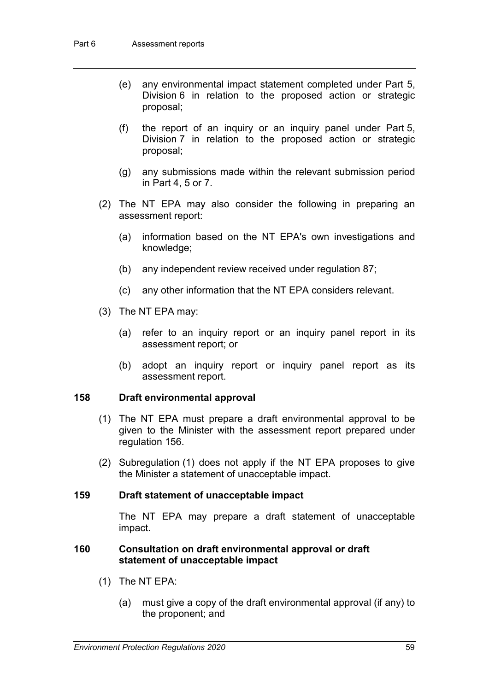- (e) any environmental impact statement completed under Part 5, Division 6 in relation to the proposed action or strategic proposal;
- (f) the report of an inquiry or an inquiry panel under Part 5, Division 7 in relation to the proposed action or strategic proposal;
- (g) any submissions made within the relevant submission period in Part 4, 5 or 7.
- (2) The NT EPA may also consider the following in preparing an assessment report:
	- (a) information based on the NT EPA's own investigations and knowledge;
	- (b) any independent review received under regulation 87;
	- (c) any other information that the NT EPA considers relevant.
- (3) The NT EPA may:
	- (a) refer to an inquiry report or an inquiry panel report in its assessment report; or
	- (b) adopt an inquiry report or inquiry panel report as its assessment report.

## **158 Draft environmental approval**

- (1) The NT EPA must prepare a draft environmental approval to be given to the Minister with the assessment report prepared under regulation 156.
- (2) Subregulation (1) does not apply if the NT EPA proposes to give the Minister a statement of unacceptable impact.

## **159 Draft statement of unacceptable impact**

The NT EPA may prepare a draft statement of unacceptable impact.

#### **160 Consultation on draft environmental approval or draft statement of unacceptable impact**

- (1) The NT EPA:
	- (a) must give a copy of the draft environmental approval (if any) to the proponent; and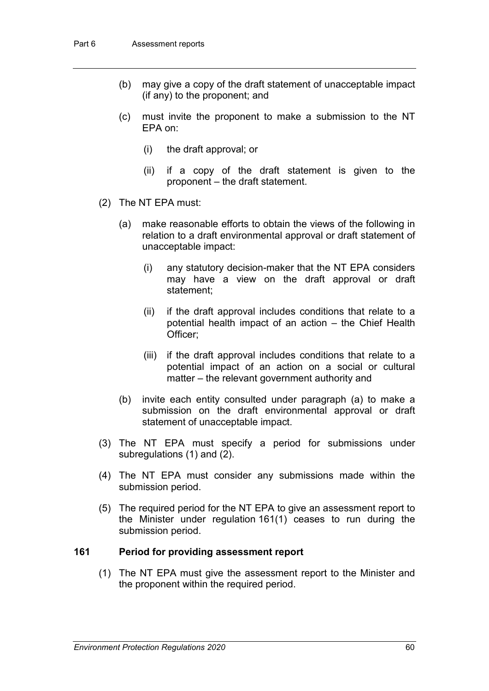- (b) may give a copy of the draft statement of unacceptable impact (if any) to the proponent; and
- (c) must invite the proponent to make a submission to the NT EPA on:
	- (i) the draft approval; or
	- (ii) if a copy of the draft statement is given to the proponent – the draft statement.
- (2) The NT EPA must:
	- (a) make reasonable efforts to obtain the views of the following in relation to a draft environmental approval or draft statement of unacceptable impact:
		- (i) any statutory decision-maker that the NT EPA considers may have a view on the draft approval or draft statement;
		- (ii) if the draft approval includes conditions that relate to a potential health impact of an action – the Chief Health Officer;
		- (iii) if the draft approval includes conditions that relate to a potential impact of an action on a social or cultural matter – the relevant government authority and
	- (b) invite each entity consulted under paragraph (a) to make a submission on the draft environmental approval or draft statement of unacceptable impact.
- (3) The NT EPA must specify a period for submissions under subregulations (1) and (2).
- (4) The NT EPA must consider any submissions made within the submission period.
- (5) The required period for the NT EPA to give an assessment report to the Minister under regulation 161(1) ceases to run during the submission period.

#### **161 Period for providing assessment report**

(1) The NT EPA must give the assessment report to the Minister and the proponent within the required period.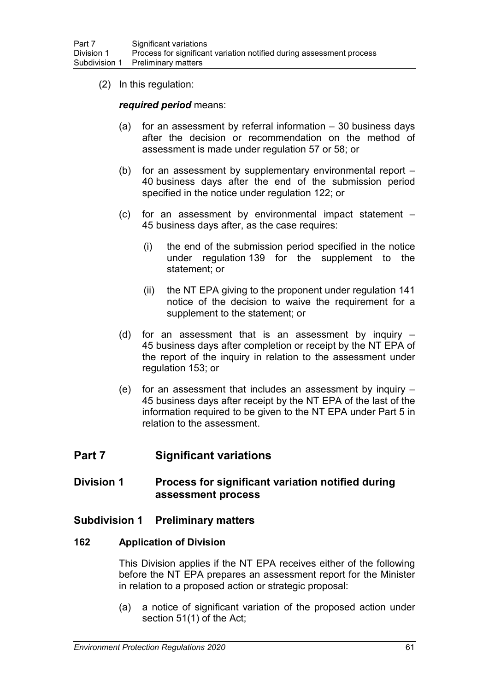(2) In this regulation:

*required period* means:

- (a) for an assessment by referral information 30 business days after the decision or recommendation on the method of assessment is made under regulation 57 or 58; or
- (b) for an assessment by supplementary environmental report 40 business days after the end of the submission period specified in the notice under regulation 122; or
- (c) for an assessment by environmental impact statement 45 business days after, as the case requires:
	- (i) the end of the submission period specified in the notice under regulation 139 for the supplement to the statement; or
	- (ii) the NT EPA giving to the proponent under regulation 141 notice of the decision to waive the requirement for a supplement to the statement; or
- (d) for an assessment that is an assessment by inquiry 45 business days after completion or receipt by the NT EPA of the report of the inquiry in relation to the assessment under regulation 153; or
- (e) for an assessment that includes an assessment by inquiry 45 business days after receipt by the NT EPA of the last of the information required to be given to the NT EPA under Part 5 in relation to the assessment.

# **Part 7 Significant variations**

# **Division 1 Process for significant variation notified during assessment process**

## **Subdivision 1 Preliminary matters**

#### **162 Application of Division**

This Division applies if the NT EPA receives either of the following before the NT EPA prepares an assessment report for the Minister in relation to a proposed action or strategic proposal:

(a) a notice of significant variation of the proposed action under section 51(1) of the Act;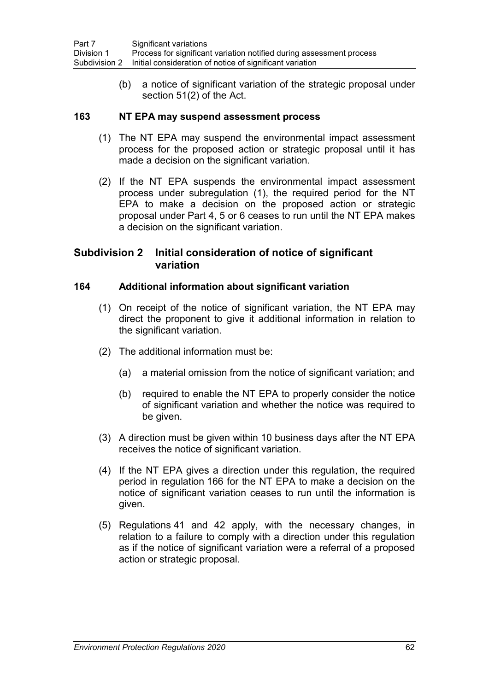(b) a notice of significant variation of the strategic proposal under section 51(2) of the Act.

## **163 NT EPA may suspend assessment process**

- (1) The NT EPA may suspend the environmental impact assessment process for the proposed action or strategic proposal until it has made a decision on the significant variation.
- (2) If the NT EPA suspends the environmental impact assessment process under subregulation (1), the required period for the NT EPA to make a decision on the proposed action or strategic proposal under Part 4, 5 or 6 ceases to run until the NT EPA makes a decision on the significant variation.

# **Subdivision 2 Initial consideration of notice of significant variation**

## **164 Additional information about significant variation**

- (1) On receipt of the notice of significant variation, the NT EPA may direct the proponent to give it additional information in relation to the significant variation.
- (2) The additional information must be:
	- (a) a material omission from the notice of significant variation; and
	- (b) required to enable the NT EPA to properly consider the notice of significant variation and whether the notice was required to be given.
- (3) A direction must be given within 10 business days after the NT EPA receives the notice of significant variation.
- (4) If the NT EPA gives a direction under this regulation, the required period in regulation 166 for the NT EPA to make a decision on the notice of significant variation ceases to run until the information is given.
- (5) Regulations 41 and 42 apply, with the necessary changes, in relation to a failure to comply with a direction under this regulation as if the notice of significant variation were a referral of a proposed action or strategic proposal.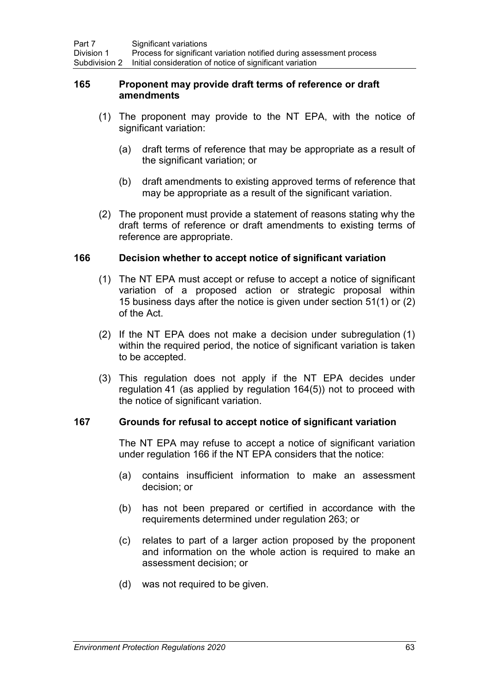## **165 Proponent may provide draft terms of reference or draft amendments**

- (1) The proponent may provide to the NT EPA, with the notice of significant variation:
	- (a) draft terms of reference that may be appropriate as a result of the significant variation; or
	- (b) draft amendments to existing approved terms of reference that may be appropriate as a result of the significant variation.
- (2) The proponent must provide a statement of reasons stating why the draft terms of reference or draft amendments to existing terms of reference are appropriate.

## **166 Decision whether to accept notice of significant variation**

- (1) The NT EPA must accept or refuse to accept a notice of significant variation of a proposed action or strategic proposal within 15 business days after the notice is given under section 51(1) or (2) of the Act.
- (2) If the NT EPA does not make a decision under subregulation (1) within the required period, the notice of significant variation is taken to be accepted.
- (3) This regulation does not apply if the NT EPA decides under regulation 41 (as applied by regulation 164(5)) not to proceed with the notice of significant variation.

## **167 Grounds for refusal to accept notice of significant variation**

The NT EPA may refuse to accept a notice of significant variation under regulation 166 if the NT EPA considers that the notice:

- (a) contains insufficient information to make an assessment decision; or
- (b) has not been prepared or certified in accordance with the requirements determined under regulation 263; or
- (c) relates to part of a larger action proposed by the proponent and information on the whole action is required to make an assessment decision; or
- (d) was not required to be given.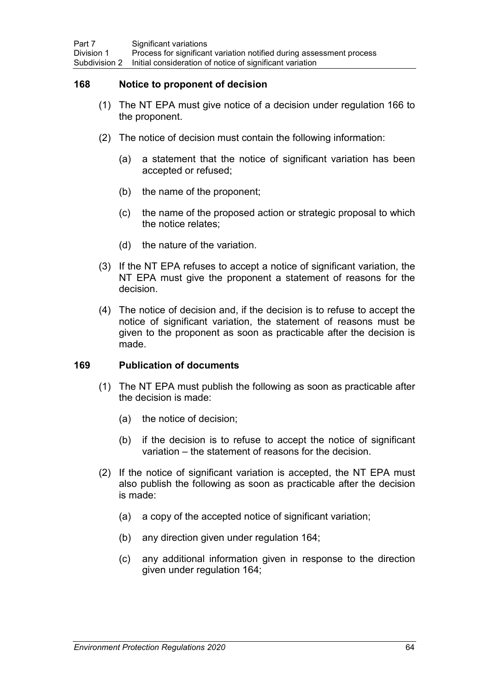## **168 Notice to proponent of decision**

- (1) The NT EPA must give notice of a decision under regulation 166 to the proponent.
- (2) The notice of decision must contain the following information:
	- (a) a statement that the notice of significant variation has been accepted or refused;
	- (b) the name of the proponent;
	- (c) the name of the proposed action or strategic proposal to which the notice relates;
	- (d) the nature of the variation.
- (3) If the NT EPA refuses to accept a notice of significant variation, the NT EPA must give the proponent a statement of reasons for the decision.
- (4) The notice of decision and, if the decision is to refuse to accept the notice of significant variation, the statement of reasons must be given to the proponent as soon as practicable after the decision is made.

## **169 Publication of documents**

- (1) The NT EPA must publish the following as soon as practicable after the decision is made:
	- (a) the notice of decision;
	- (b) if the decision is to refuse to accept the notice of significant variation – the statement of reasons for the decision.
- (2) If the notice of significant variation is accepted, the NT EPA must also publish the following as soon as practicable after the decision is made:
	- (a) a copy of the accepted notice of significant variation;
	- (b) any direction given under regulation 164;
	- (c) any additional information given in response to the direction given under regulation 164;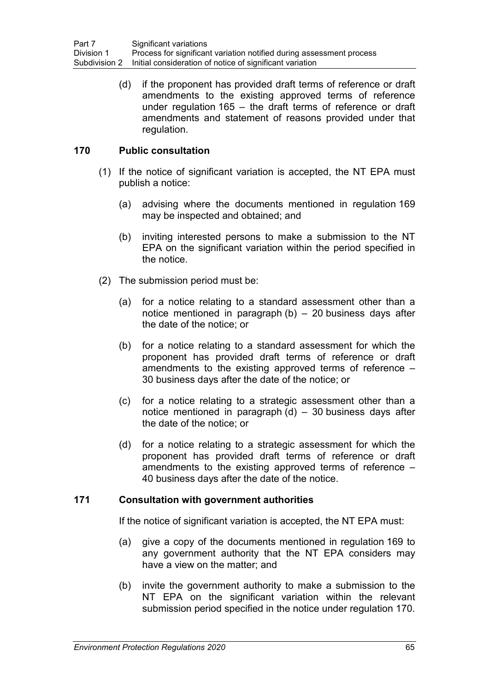(d) if the proponent has provided draft terms of reference or draft amendments to the existing approved terms of reference under regulation 165 – the draft terms of reference or draft amendments and statement of reasons provided under that regulation.

## **170 Public consultation**

- (1) If the notice of significant variation is accepted, the NT EPA must publish a notice:
	- (a) advising where the documents mentioned in regulation 169 may be inspected and obtained; and
	- (b) inviting interested persons to make a submission to the NT EPA on the significant variation within the period specified in the notice.
- (2) The submission period must be:
	- (a) for a notice relating to a standard assessment other than a notice mentioned in paragraph (b) – 20 business days after the date of the notice; or
	- (b) for a notice relating to a standard assessment for which the proponent has provided draft terms of reference or draft amendments to the existing approved terms of reference – 30 business days after the date of the notice; or
	- (c) for a notice relating to a strategic assessment other than a notice mentioned in paragraph  $(d)$  – 30 business days after the date of the notice; or
	- (d) for a notice relating to a strategic assessment for which the proponent has provided draft terms of reference or draft amendments to the existing approved terms of reference – 40 business days after the date of the notice.

## **171 Consultation with government authorities**

If the notice of significant variation is accepted, the NT EPA must:

- (a) give a copy of the documents mentioned in regulation 169 to any government authority that the NT EPA considers may have a view on the matter; and
- (b) invite the government authority to make a submission to the NT EPA on the significant variation within the relevant submission period specified in the notice under regulation 170.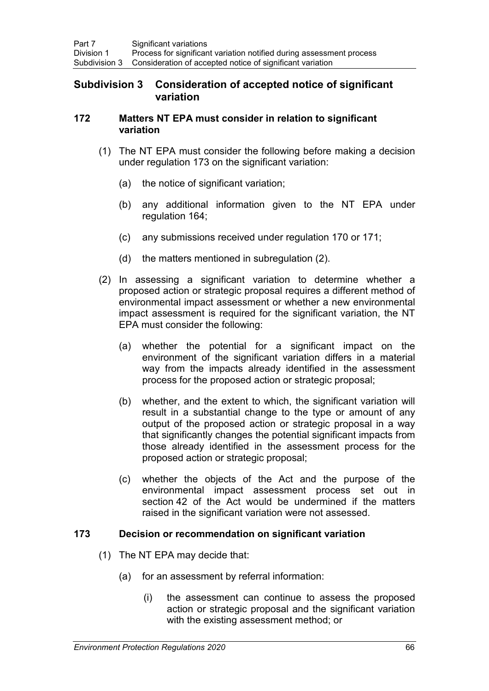# **Subdivision 3 Consideration of accepted notice of significant variation**

## **172 Matters NT EPA must consider in relation to significant variation**

- (1) The NT EPA must consider the following before making a decision under regulation 173 on the significant variation:
	- (a) the notice of significant variation;
	- (b) any additional information given to the NT EPA under regulation 164;
	- (c) any submissions received under regulation 170 or 171;
	- (d) the matters mentioned in subregulation (2).
- (2) In assessing a significant variation to determine whether a proposed action or strategic proposal requires a different method of environmental impact assessment or whether a new environmental impact assessment is required for the significant variation, the NT EPA must consider the following:
	- (a) whether the potential for a significant impact on the environment of the significant variation differs in a material way from the impacts already identified in the assessment process for the proposed action or strategic proposal;
	- (b) whether, and the extent to which, the significant variation will result in a substantial change to the type or amount of any output of the proposed action or strategic proposal in a way that significantly changes the potential significant impacts from those already identified in the assessment process for the proposed action or strategic proposal;
	- (c) whether the objects of the Act and the purpose of the environmental impact assessment process set out in section 42 of the Act would be undermined if the matters raised in the significant variation were not assessed.

## **173 Decision or recommendation on significant variation**

- (1) The NT EPA may decide that:
	- (a) for an assessment by referral information:
		- (i) the assessment can continue to assess the proposed action or strategic proposal and the significant variation with the existing assessment method; or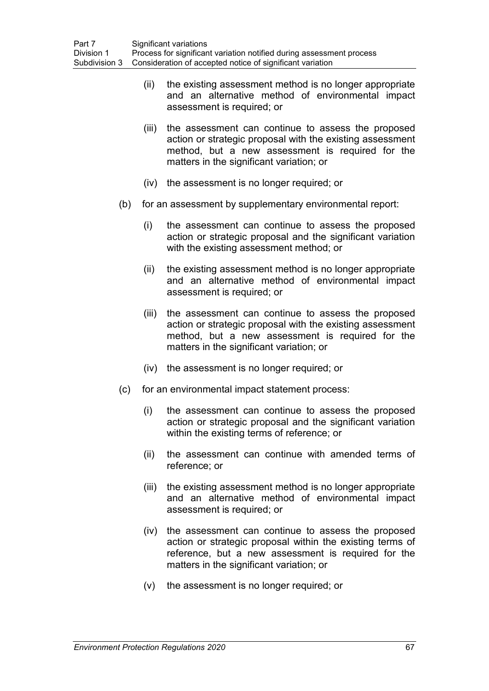- (ii) the existing assessment method is no longer appropriate and an alternative method of environmental impact assessment is required; or
- (iii) the assessment can continue to assess the proposed action or strategic proposal with the existing assessment method, but a new assessment is required for the matters in the significant variation; or
- (iv) the assessment is no longer required; or
- (b) for an assessment by supplementary environmental report:
	- (i) the assessment can continue to assess the proposed action or strategic proposal and the significant variation with the existing assessment method; or
	- (ii) the existing assessment method is no longer appropriate and an alternative method of environmental impact assessment is required; or
	- (iii) the assessment can continue to assess the proposed action or strategic proposal with the existing assessment method, but a new assessment is required for the matters in the significant variation; or
	- (iv) the assessment is no longer required; or
- (c) for an environmental impact statement process:
	- (i) the assessment can continue to assess the proposed action or strategic proposal and the significant variation within the existing terms of reference; or
	- (ii) the assessment can continue with amended terms of reference; or
	- (iii) the existing assessment method is no longer appropriate and an alternative method of environmental impact assessment is required; or
	- (iv) the assessment can continue to assess the proposed action or strategic proposal within the existing terms of reference, but a new assessment is required for the matters in the significant variation; or
	- (v) the assessment is no longer required; or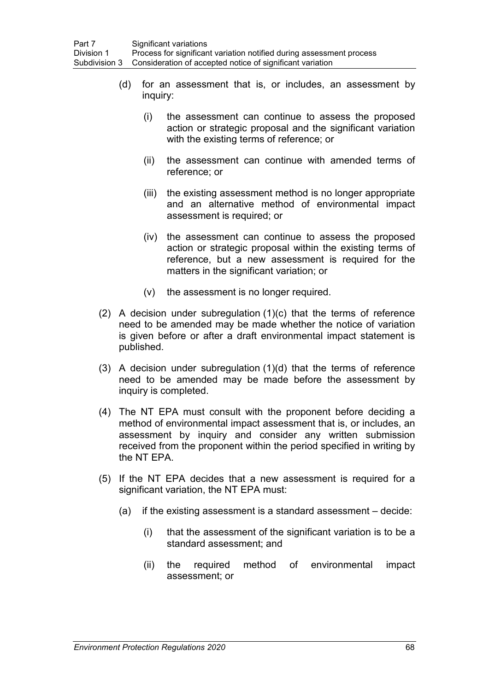- (d) for an assessment that is, or includes, an assessment by inquiry:
	- (i) the assessment can continue to assess the proposed action or strategic proposal and the significant variation with the existing terms of reference; or
	- (ii) the assessment can continue with amended terms of reference; or
	- (iii) the existing assessment method is no longer appropriate and an alternative method of environmental impact assessment is required; or
	- (iv) the assessment can continue to assess the proposed action or strategic proposal within the existing terms of reference, but a new assessment is required for the matters in the significant variation; or
	- (v) the assessment is no longer required.
- (2) A decision under subregulation (1)(c) that the terms of reference need to be amended may be made whether the notice of variation is given before or after a draft environmental impact statement is published.
- (3) A decision under subregulation (1)(d) that the terms of reference need to be amended may be made before the assessment by inquiry is completed.
- (4) The NT EPA must consult with the proponent before deciding a method of environmental impact assessment that is, or includes, an assessment by inquiry and consider any written submission received from the proponent within the period specified in writing by the NT EPA.
- (5) If the NT EPA decides that a new assessment is required for a significant variation, the NT EPA must:
	- (a) if the existing assessment is a standard assessment decide:
		- (i) that the assessment of the significant variation is to be a standard assessment; and
		- (ii) the required method of environmental impact assessment; or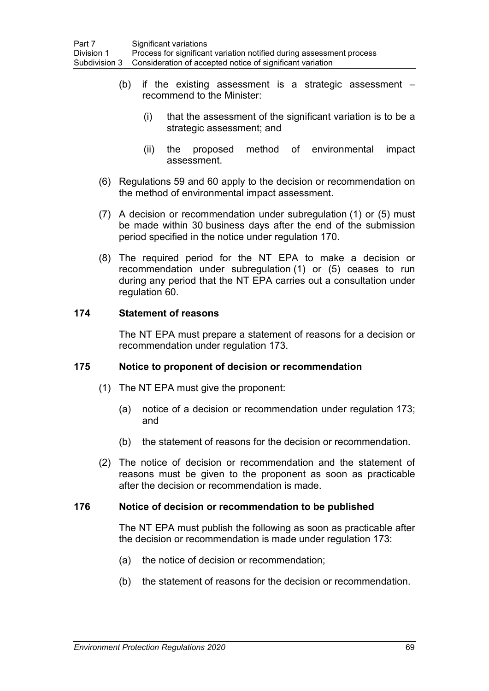- (b) if the existing assessment is a strategic assessment recommend to the Minister:
	- (i) that the assessment of the significant variation is to be a strategic assessment; and
	- (ii) the proposed method of environmental impact assessment.
- (6) Regulations 59 and 60 apply to the decision or recommendation on the method of environmental impact assessment.
- (7) A decision or recommendation under subregulation (1) or (5) must be made within 30 business days after the end of the submission period specified in the notice under regulation 170.
- (8) The required period for the NT EPA to make a decision or recommendation under subregulation (1) or (5) ceases to run during any period that the NT EPA carries out a consultation under regulation 60.

## **174 Statement of reasons**

The NT EPA must prepare a statement of reasons for a decision or recommendation under regulation 173.

## **175 Notice to proponent of decision or recommendation**

- (1) The NT EPA must give the proponent:
	- (a) notice of a decision or recommendation under regulation 173; and
	- (b) the statement of reasons for the decision or recommendation.
- (2) The notice of decision or recommendation and the statement of reasons must be given to the proponent as soon as practicable after the decision or recommendation is made.

## **176 Notice of decision or recommendation to be published**

The NT EPA must publish the following as soon as practicable after the decision or recommendation is made under regulation 173:

- (a) the notice of decision or recommendation;
- (b) the statement of reasons for the decision or recommendation.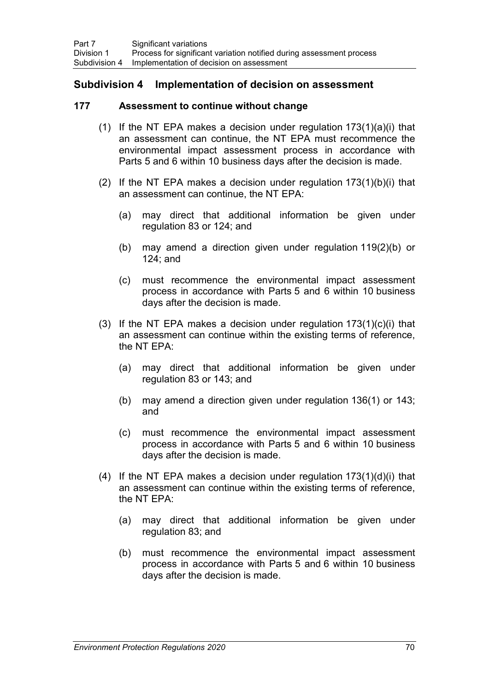## **Subdivision 4 Implementation of decision on assessment**

### **177 Assessment to continue without change**

- (1) If the NT EPA makes a decision under regulation  $173(1)(a)(i)$  that an assessment can continue, the NT EPA must recommence the environmental impact assessment process in accordance with Parts 5 and 6 within 10 business days after the decision is made.
- (2) If the NT EPA makes a decision under regulation  $173(1)(b)(i)$  that an assessment can continue, the NT EPA:
	- (a) may direct that additional information be given under regulation 83 or 124; and
	- (b) may amend a direction given under regulation 119(2)(b) or 124; and
	- (c) must recommence the environmental impact assessment process in accordance with Parts 5 and 6 within 10 business days after the decision is made.
- (3) If the NT EPA makes a decision under regulation  $173(1)(c)(i)$  that an assessment can continue within the existing terms of reference, the NT EPA:
	- (a) may direct that additional information be given under regulation 83 or 143; and
	- (b) may amend a direction given under regulation 136(1) or 143; and
	- (c) must recommence the environmental impact assessment process in accordance with Parts 5 and 6 within 10 business days after the decision is made.
- (4) If the NT EPA makes a decision under regulation  $173(1)(d)(i)$  that an assessment can continue within the existing terms of reference, the NT EPA:
	- (a) may direct that additional information be given under regulation 83; and
	- (b) must recommence the environmental impact assessment process in accordance with Parts 5 and 6 within 10 business days after the decision is made.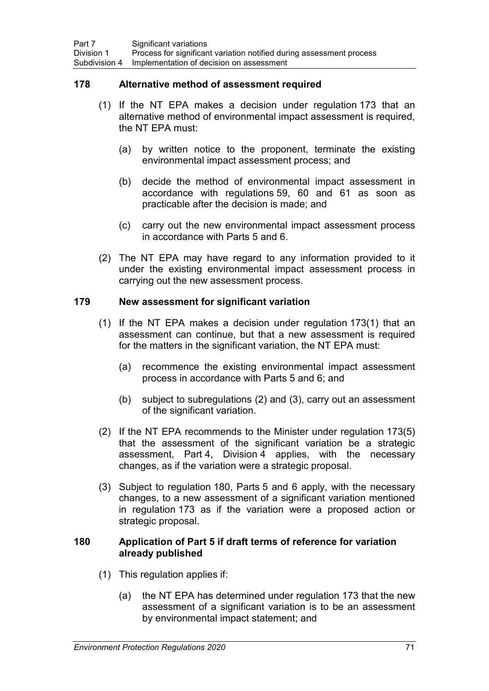## **178 Alternative method of assessment required**

- (1) If the NT EPA makes a decision under regulation 173 that an alternative method of environmental impact assessment is required, the NT EPA must:
	- (a) by written notice to the proponent, terminate the existing environmental impact assessment process; and
	- (b) decide the method of environmental impact assessment in accordance with regulations 59, 60 and 61 as soon as practicable after the decision is made; and
	- (c) carry out the new environmental impact assessment process in accordance with Parts 5 and 6.
- (2) The NT EPA may have regard to any information provided to it under the existing environmental impact assessment process in carrying out the new assessment process.

## **179 New assessment for significant variation**

- (1) If the NT EPA makes a decision under regulation 173(1) that an assessment can continue, but that a new assessment is required for the matters in the significant variation, the NT EPA must:
	- (a) recommence the existing environmental impact assessment process in accordance with Parts 5 and 6; and
	- (b) subject to subregulations (2) and (3), carry out an assessment of the significant variation.
- (2) If the NT EPA recommends to the Minister under regulation 173(5) that the assessment of the significant variation be a strategic assessment, Part 4, Division 4 applies, with the necessary changes, as if the variation were a strategic proposal.
- (3) Subject to regulation 180, Parts 5 and 6 apply, with the necessary changes, to a new assessment of a significant variation mentioned in regulation 173 as if the variation were a proposed action or strategic proposal.

## **180 Application of Part 5 if draft terms of reference for variation already published**

- (1) This regulation applies if:
	- (a) the NT EPA has determined under regulation 173 that the new assessment of a significant variation is to be an assessment by environmental impact statement; and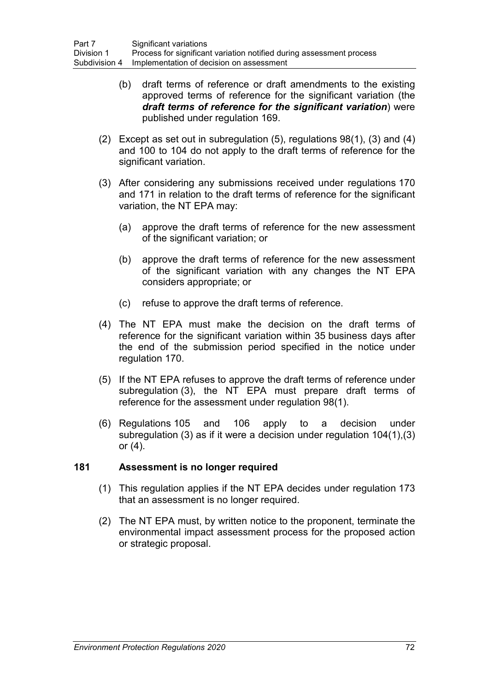- (b) draft terms of reference or draft amendments to the existing approved terms of reference for the significant variation (the *draft terms of reference for the significant variation*) were published under regulation 169.
- (2) Except as set out in subregulation (5), regulations 98(1), (3) and (4) and 100 to 104 do not apply to the draft terms of reference for the significant variation.
- (3) After considering any submissions received under regulations 170 and 171 in relation to the draft terms of reference for the significant variation, the NT EPA may:
	- (a) approve the draft terms of reference for the new assessment of the significant variation; or
	- (b) approve the draft terms of reference for the new assessment of the significant variation with any changes the NT EPA considers appropriate; or
	- (c) refuse to approve the draft terms of reference.
- (4) The NT EPA must make the decision on the draft terms of reference for the significant variation within 35 business days after the end of the submission period specified in the notice under regulation 170.
- (5) If the NT EPA refuses to approve the draft terms of reference under subregulation (3), the NT EPA must prepare draft terms of reference for the assessment under regulation 98(1).
- (6) Regulations 105 and 106 apply to a decision under subregulation (3) as if it were a decision under regulation 104(1),(3) or (4).

## **181 Assessment is no longer required**

- (1) This regulation applies if the NT EPA decides under regulation 173 that an assessment is no longer required.
- (2) The NT EPA must, by written notice to the proponent, terminate the environmental impact assessment process for the proposed action or strategic proposal.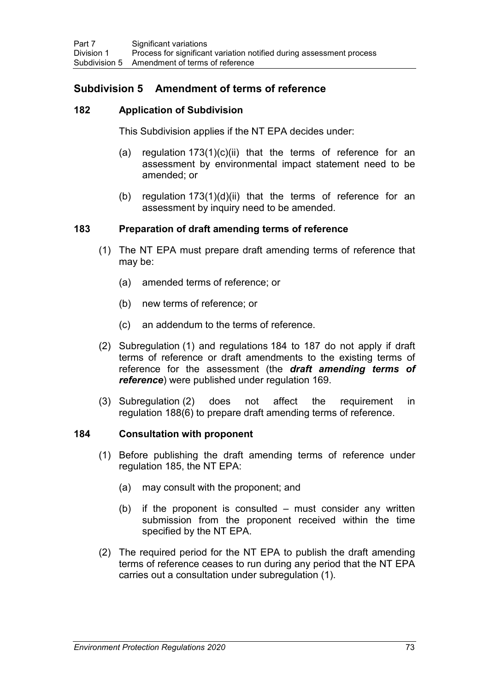# **Subdivision 5 Amendment of terms of reference**

## **182 Application of Subdivision**

This Subdivision applies if the NT EPA decides under:

- (a) regulation  $173(1)(c)(ii)$  that the terms of reference for an assessment by environmental impact statement need to be amended; or
- (b) regulation 173(1)(d)(ii) that the terms of reference for an assessment by inquiry need to be amended.

## **183 Preparation of draft amending terms of reference**

- (1) The NT EPA must prepare draft amending terms of reference that may be:
	- (a) amended terms of reference; or
	- (b) new terms of reference; or
	- (c) an addendum to the terms of reference.
- (2) Subregulation (1) and regulations 184 to 187 do not apply if draft terms of reference or draft amendments to the existing terms of reference for the assessment (the *draft amending terms of reference*) were published under regulation 169.
- (3) Subregulation (2) does not affect the requirement in regulation 188(6) to prepare draft amending terms of reference.

## **184 Consultation with proponent**

- (1) Before publishing the draft amending terms of reference under regulation 185, the NT EPA:
	- (a) may consult with the proponent; and
	- $(b)$  if the proponent is consulted must consider any written submission from the proponent received within the time specified by the NT EPA.
- (2) The required period for the NT EPA to publish the draft amending terms of reference ceases to run during any period that the NT EPA carries out a consultation under subregulation (1).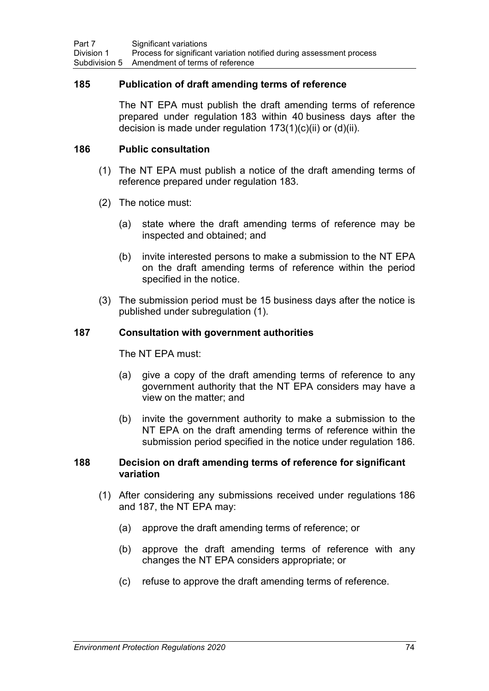### **185 Publication of draft amending terms of reference**

The NT EPA must publish the draft amending terms of reference prepared under regulation 183 within 40 business days after the decision is made under regulation  $173(1)(c)(ii)$  or  $(d)(ii)$ .

### **186 Public consultation**

- (1) The NT EPA must publish a notice of the draft amending terms of reference prepared under regulation 183.
- (2) The notice must:
	- (a) state where the draft amending terms of reference may be inspected and obtained; and
	- (b) invite interested persons to make a submission to the NT EPA on the draft amending terms of reference within the period specified in the notice.
- (3) The submission period must be 15 business days after the notice is published under subregulation (1).

### **187 Consultation with government authorities**

The NT EPA must:

- (a) give a copy of the draft amending terms of reference to any government authority that the NT EPA considers may have a view on the matter; and
- (b) invite the government authority to make a submission to the NT EPA on the draft amending terms of reference within the submission period specified in the notice under regulation 186.

### **188 Decision on draft amending terms of reference for significant variation**

- (1) After considering any submissions received under regulations 186 and 187, the NT EPA may:
	- (a) approve the draft amending terms of reference; or
	- (b) approve the draft amending terms of reference with any changes the NT EPA considers appropriate; or
	- (c) refuse to approve the draft amending terms of reference.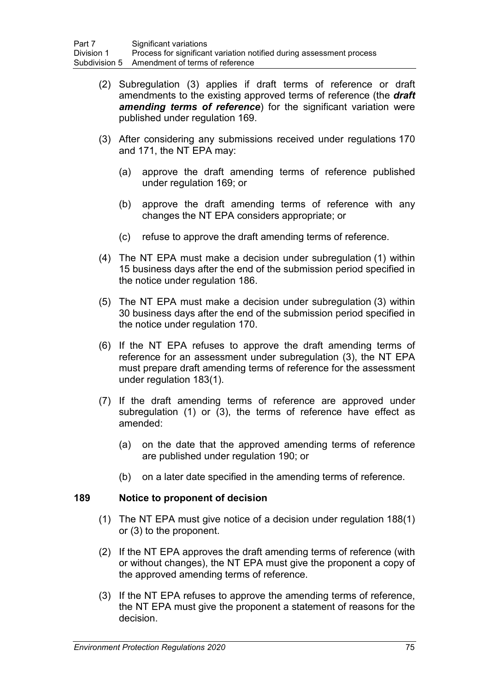- (2) Subregulation (3) applies if draft terms of reference or draft amendments to the existing approved terms of reference (the *draft amending terms of reference*) for the significant variation were published under regulation 169.
- (3) After considering any submissions received under regulations 170 and 171, the NT EPA may:
	- (a) approve the draft amending terms of reference published under regulation 169; or
	- (b) approve the draft amending terms of reference with any changes the NT EPA considers appropriate; or
	- (c) refuse to approve the draft amending terms of reference.
- (4) The NT EPA must make a decision under subregulation (1) within 15 business days after the end of the submission period specified in the notice under regulation 186.
- (5) The NT EPA must make a decision under subregulation (3) within 30 business days after the end of the submission period specified in the notice under regulation 170.
- (6) If the NT EPA refuses to approve the draft amending terms of reference for an assessment under subregulation (3), the NT EPA must prepare draft amending terms of reference for the assessment under regulation 183(1).
- (7) If the draft amending terms of reference are approved under subregulation (1) or (3), the terms of reference have effect as amended:
	- (a) on the date that the approved amending terms of reference are published under regulation 190; or
	- (b) on a later date specified in the amending terms of reference.

## **189 Notice to proponent of decision**

- (1) The NT EPA must give notice of a decision under regulation 188(1) or (3) to the proponent.
- (2) If the NT EPA approves the draft amending terms of reference (with or without changes), the NT EPA must give the proponent a copy of the approved amending terms of reference.
- (3) If the NT EPA refuses to approve the amending terms of reference, the NT EPA must give the proponent a statement of reasons for the decision.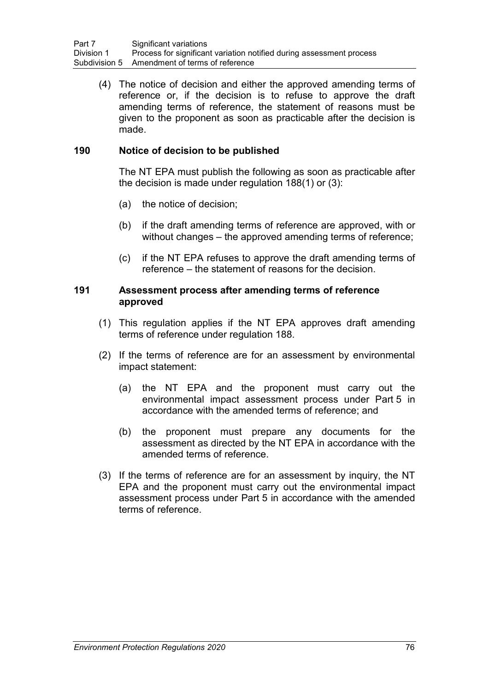(4) The notice of decision and either the approved amending terms of reference or, if the decision is to refuse to approve the draft amending terms of reference, the statement of reasons must be given to the proponent as soon as practicable after the decision is made.

## **190 Notice of decision to be published**

The NT EPA must publish the following as soon as practicable after the decision is made under regulation 188(1) or (3):

- (a) the notice of decision;
- (b) if the draft amending terms of reference are approved, with or without changes – the approved amending terms of reference;
- (c) if the NT EPA refuses to approve the draft amending terms of reference – the statement of reasons for the decision.

### **191 Assessment process after amending terms of reference approved**

- (1) This regulation applies if the NT EPA approves draft amending terms of reference under regulation 188.
- (2) If the terms of reference are for an assessment by environmental impact statement:
	- (a) the NT EPA and the proponent must carry out the environmental impact assessment process under Part 5 in accordance with the amended terms of reference; and
	- (b) the proponent must prepare any documents for the assessment as directed by the NT EPA in accordance with the amended terms of reference.
- (3) If the terms of reference are for an assessment by inquiry, the NT EPA and the proponent must carry out the environmental impact assessment process under Part 5 in accordance with the amended terms of reference.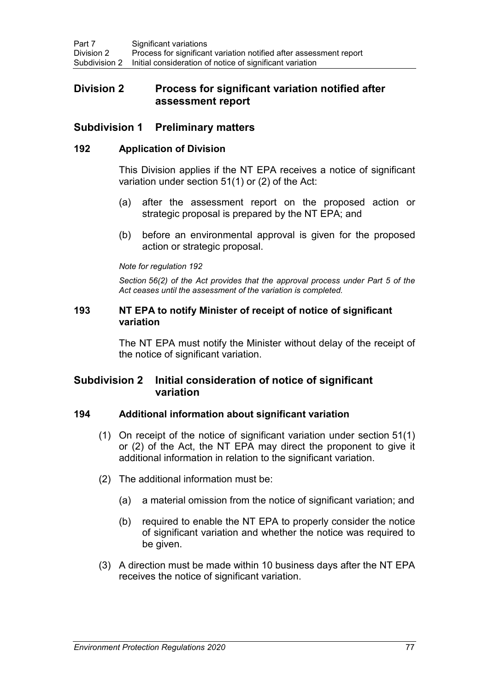# **Division 2 Process for significant variation notified after assessment report**

## **Subdivision 1 Preliminary matters**

### **192 Application of Division**

This Division applies if the NT EPA receives a notice of significant variation under section 51(1) or (2) of the Act:

- (a) after the assessment report on the proposed action or strategic proposal is prepared by the NT EPA; and
- (b) before an environmental approval is given for the proposed action or strategic proposal.

#### *Note for regulation 192*

*Section 56(2) of the Act provides that the approval process under Part 5 of the Act ceases until the assessment of the variation is completed.*

### **193 NT EPA to notify Minister of receipt of notice of significant variation**

The NT EPA must notify the Minister without delay of the receipt of the notice of significant variation.

# **Subdivision 2 Initial consideration of notice of significant variation**

## **194 Additional information about significant variation**

- (1) On receipt of the notice of significant variation under section 51(1) or (2) of the Act, the NT EPA may direct the proponent to give it additional information in relation to the significant variation.
- (2) The additional information must be:
	- (a) a material omission from the notice of significant variation; and
	- (b) required to enable the NT EPA to properly consider the notice of significant variation and whether the notice was required to be given.
- (3) A direction must be made within 10 business days after the NT EPA receives the notice of significant variation.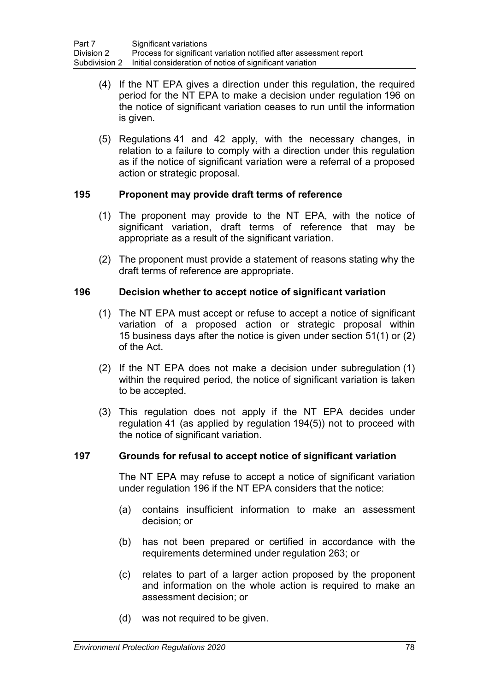- (4) If the NT EPA gives a direction under this regulation, the required period for the NT EPA to make a decision under regulation 196 on the notice of significant variation ceases to run until the information is given.
- (5) Regulations 41 and 42 apply, with the necessary changes, in relation to a failure to comply with a direction under this regulation as if the notice of significant variation were a referral of a proposed action or strategic proposal.

## **195 Proponent may provide draft terms of reference**

- (1) The proponent may provide to the NT EPA, with the notice of significant variation, draft terms of reference that may be appropriate as a result of the significant variation.
- (2) The proponent must provide a statement of reasons stating why the draft terms of reference are appropriate.

## **196 Decision whether to accept notice of significant variation**

- (1) The NT EPA must accept or refuse to accept a notice of significant variation of a proposed action or strategic proposal within 15 business days after the notice is given under section 51(1) or (2) of the Act.
- (2) If the NT EPA does not make a decision under subregulation (1) within the required period, the notice of significant variation is taken to be accepted.
- (3) This regulation does not apply if the NT EPA decides under regulation 41 (as applied by regulation 194(5)) not to proceed with the notice of significant variation.

## **197 Grounds for refusal to accept notice of significant variation**

The NT EPA may refuse to accept a notice of significant variation under regulation 196 if the NT EPA considers that the notice:

- (a) contains insufficient information to make an assessment decision; or
- (b) has not been prepared or certified in accordance with the requirements determined under regulation 263; or
- (c) relates to part of a larger action proposed by the proponent and information on the whole action is required to make an assessment decision; or
- (d) was not required to be given.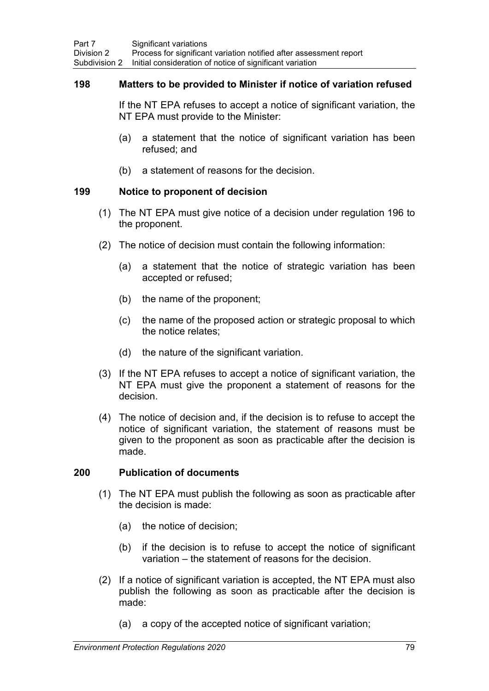### **198 Matters to be provided to Minister if notice of variation refused**

If the NT EPA refuses to accept a notice of significant variation, the NT EPA must provide to the Minister:

- (a) a statement that the notice of significant variation has been refused; and
- (b) a statement of reasons for the decision.

### **199 Notice to proponent of decision**

- (1) The NT EPA must give notice of a decision under regulation 196 to the proponent.
- (2) The notice of decision must contain the following information:
	- (a) a statement that the notice of strategic variation has been accepted or refused;
	- (b) the name of the proponent;
	- (c) the name of the proposed action or strategic proposal to which the notice relates;
	- (d) the nature of the significant variation.
- (3) If the NT EPA refuses to accept a notice of significant variation, the NT EPA must give the proponent a statement of reasons for the decision.
- (4) The notice of decision and, if the decision is to refuse to accept the notice of significant variation, the statement of reasons must be given to the proponent as soon as practicable after the decision is made.

## **200 Publication of documents**

- (1) The NT EPA must publish the following as soon as practicable after the decision is made:
	- (a) the notice of decision;
	- (b) if the decision is to refuse to accept the notice of significant variation – the statement of reasons for the decision.
- (2) If a notice of significant variation is accepted, the NT EPA must also publish the following as soon as practicable after the decision is made:
	- (a) a copy of the accepted notice of significant variation;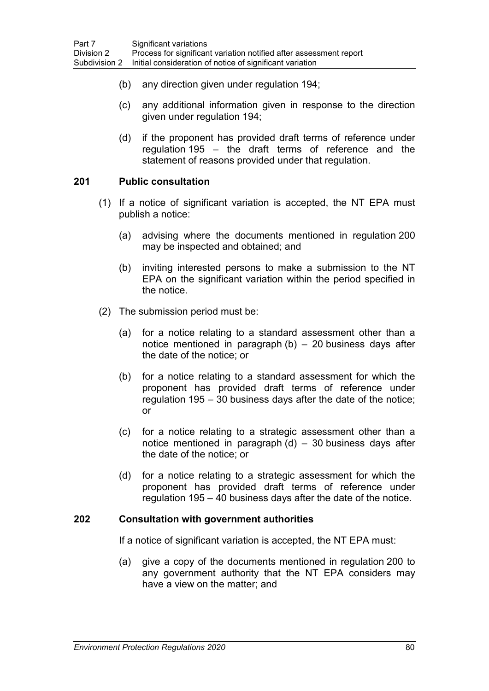- (b) any direction given under regulation 194;
- (c) any additional information given in response to the direction given under regulation 194;
- (d) if the proponent has provided draft terms of reference under regulation 195 – the draft terms of reference and the statement of reasons provided under that regulation.

## **201 Public consultation**

- (1) If a notice of significant variation is accepted, the NT EPA must publish a notice:
	- (a) advising where the documents mentioned in regulation 200 may be inspected and obtained; and
	- (b) inviting interested persons to make a submission to the NT EPA on the significant variation within the period specified in the notice.
- (2) The submission period must be:
	- (a) for a notice relating to a standard assessment other than a notice mentioned in paragraph  $(b) - 20$  business days after the date of the notice; or
	- (b) for a notice relating to a standard assessment for which the proponent has provided draft terms of reference under regulation 195 – 30 business days after the date of the notice; or
	- (c) for a notice relating to a strategic assessment other than a notice mentioned in paragraph  $(d)$  – 30 business days after the date of the notice; or
	- (d) for a notice relating to a strategic assessment for which the proponent has provided draft terms of reference under regulation 195 – 40 business days after the date of the notice.

#### **202 Consultation with government authorities**

If a notice of significant variation is accepted, the NT EPA must:

(a) give a copy of the documents mentioned in regulation 200 to any government authority that the NT EPA considers may have a view on the matter; and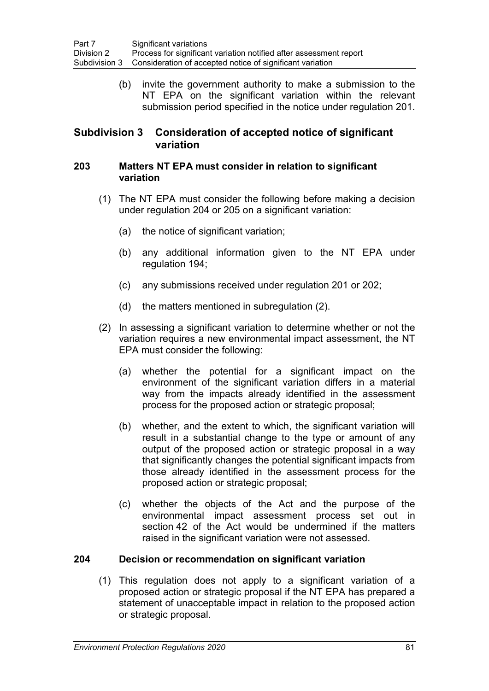(b) invite the government authority to make a submission to the NT EPA on the significant variation within the relevant submission period specified in the notice under regulation 201.

# **Subdivision 3 Consideration of accepted notice of significant variation**

### **203 Matters NT EPA must consider in relation to significant variation**

- (1) The NT EPA must consider the following before making a decision under regulation 204 or 205 on a significant variation:
	- (a) the notice of significant variation;
	- (b) any additional information given to the NT EPA under regulation 194;
	- (c) any submissions received under regulation 201 or 202;
	- (d) the matters mentioned in subregulation (2).
- (2) In assessing a significant variation to determine whether or not the variation requires a new environmental impact assessment, the NT EPA must consider the following:
	- (a) whether the potential for a significant impact on the environment of the significant variation differs in a material way from the impacts already identified in the assessment process for the proposed action or strategic proposal;
	- (b) whether, and the extent to which, the significant variation will result in a substantial change to the type or amount of any output of the proposed action or strategic proposal in a way that significantly changes the potential significant impacts from those already identified in the assessment process for the proposed action or strategic proposal;
	- (c) whether the objects of the Act and the purpose of the environmental impact assessment process set out in section 42 of the Act would be undermined if the matters raised in the significant variation were not assessed.

## **204 Decision or recommendation on significant variation**

(1) This regulation does not apply to a significant variation of a proposed action or strategic proposal if the NT EPA has prepared a statement of unacceptable impact in relation to the proposed action or strategic proposal.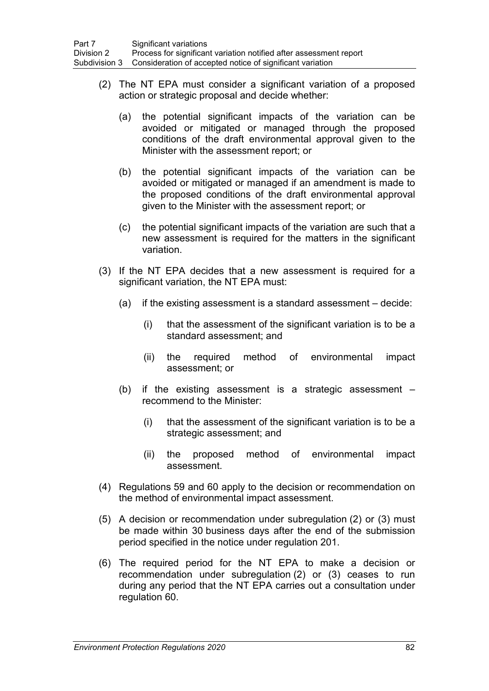- (2) The NT EPA must consider a significant variation of a proposed action or strategic proposal and decide whether:
	- (a) the potential significant impacts of the variation can be avoided or mitigated or managed through the proposed conditions of the draft environmental approval given to the Minister with the assessment report; or
	- (b) the potential significant impacts of the variation can be avoided or mitigated or managed if an amendment is made to the proposed conditions of the draft environmental approval given to the Minister with the assessment report; or
	- (c) the potential significant impacts of the variation are such that a new assessment is required for the matters in the significant variation.
- (3) If the NT EPA decides that a new assessment is required for a significant variation, the NT EPA must:
	- (a) if the existing assessment is a standard assessment decide:
		- (i) that the assessment of the significant variation is to be a standard assessment; and
		- (ii) the required method of environmental impact assessment; or
	- (b) if the existing assessment is a strategic assessment recommend to the Minister:
		- (i) that the assessment of the significant variation is to be a strategic assessment; and
		- (ii) the proposed method of environmental impact assessment.
- (4) Regulations 59 and 60 apply to the decision or recommendation on the method of environmental impact assessment.
- (5) A decision or recommendation under subregulation (2) or (3) must be made within 30 business days after the end of the submission period specified in the notice under regulation 201.
- (6) The required period for the NT EPA to make a decision or recommendation under subregulation (2) or (3) ceases to run during any period that the NT EPA carries out a consultation under regulation 60.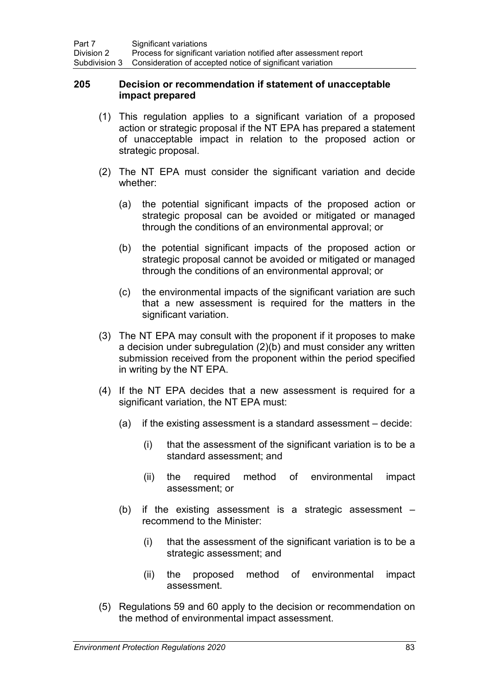### **205 Decision or recommendation if statement of unacceptable impact prepared**

- (1) This regulation applies to a significant variation of a proposed action or strategic proposal if the NT EPA has prepared a statement of unacceptable impact in relation to the proposed action or strategic proposal.
- (2) The NT EPA must consider the significant variation and decide whether:
	- (a) the potential significant impacts of the proposed action or strategic proposal can be avoided or mitigated or managed through the conditions of an environmental approval; or
	- (b) the potential significant impacts of the proposed action or strategic proposal cannot be avoided or mitigated or managed through the conditions of an environmental approval; or
	- (c) the environmental impacts of the significant variation are such that a new assessment is required for the matters in the significant variation.
- (3) The NT EPA may consult with the proponent if it proposes to make a decision under subregulation (2)(b) and must consider any written submission received from the proponent within the period specified in writing by the NT EPA.
- (4) If the NT EPA decides that a new assessment is required for a significant variation, the NT EPA must:
	- (a) if the existing assessment is a standard assessment decide:
		- (i) that the assessment of the significant variation is to be a standard assessment; and
		- (ii) the required method of environmental impact assessment; or
	- (b) if the existing assessment is a strategic assessment recommend to the Minister:
		- (i) that the assessment of the significant variation is to be a strategic assessment; and
		- (ii) the proposed method of environmental impact assessment.
- (5) Regulations 59 and 60 apply to the decision or recommendation on the method of environmental impact assessment.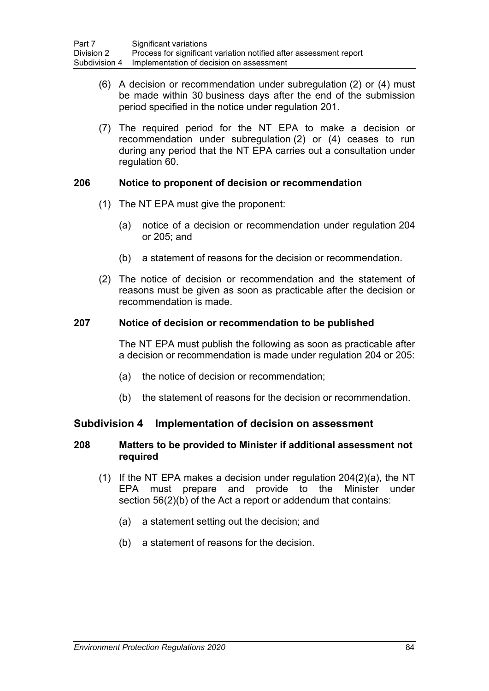- (6) A decision or recommendation under subregulation (2) or (4) must be made within 30 business days after the end of the submission period specified in the notice under regulation 201.
- (7) The required period for the NT EPA to make a decision or recommendation under subregulation (2) or (4) ceases to run during any period that the NT EPA carries out a consultation under regulation 60.

## **206 Notice to proponent of decision or recommendation**

- (1) The NT EPA must give the proponent:
	- (a) notice of a decision or recommendation under regulation 204 or 205; and
	- (b) a statement of reasons for the decision or recommendation.
- (2) The notice of decision or recommendation and the statement of reasons must be given as soon as practicable after the decision or recommendation is made.

## **207 Notice of decision or recommendation to be published**

The NT EPA must publish the following as soon as practicable after a decision or recommendation is made under regulation 204 or 205:

- (a) the notice of decision or recommendation;
- (b) the statement of reasons for the decision or recommendation.

# **Subdivision 4 Implementation of decision on assessment**

## **208 Matters to be provided to Minister if additional assessment not required**

- (1) If the NT EPA makes a decision under regulation 204(2)(a), the NT EPA must prepare and provide to the Minister under section 56(2)(b) of the Act a report or addendum that contains:
	- (a) a statement setting out the decision; and
	- (b) a statement of reasons for the decision.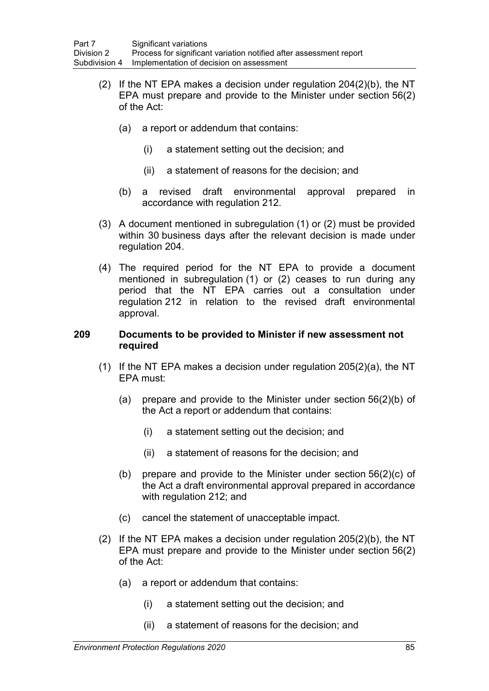- (2) If the NT EPA makes a decision under regulation 204(2)(b), the NT EPA must prepare and provide to the Minister under section 56(2) of the Act:
	- (a) a report or addendum that contains:
		- (i) a statement setting out the decision; and
		- (ii) a statement of reasons for the decision; and
	- (b) a revised draft environmental approval prepared in accordance with regulation 212.
- (3) A document mentioned in subregulation (1) or (2) must be provided within 30 business days after the relevant decision is made under regulation 204.
- (4) The required period for the NT EPA to provide a document mentioned in subregulation (1) or (2) ceases to run during any period that the NT EPA carries out a consultation under regulation 212 in relation to the revised draft environmental approval.

### **209 Documents to be provided to Minister if new assessment not required**

- (1) If the NT EPA makes a decision under regulation 205(2)(a), the NT EPA must:
	- (a) prepare and provide to the Minister under section 56(2)(b) of the Act a report or addendum that contains:
		- (i) a statement setting out the decision; and
		- (ii) a statement of reasons for the decision; and
	- (b) prepare and provide to the Minister under section 56(2)(c) of the Act a draft environmental approval prepared in accordance with regulation 212; and
	- (c) cancel the statement of unacceptable impact.
- (2) If the NT EPA makes a decision under regulation 205(2)(b), the NT EPA must prepare and provide to the Minister under section 56(2) of the Act:
	- (a) a report or addendum that contains:
		- (i) a statement setting out the decision; and
		- (ii) a statement of reasons for the decision; and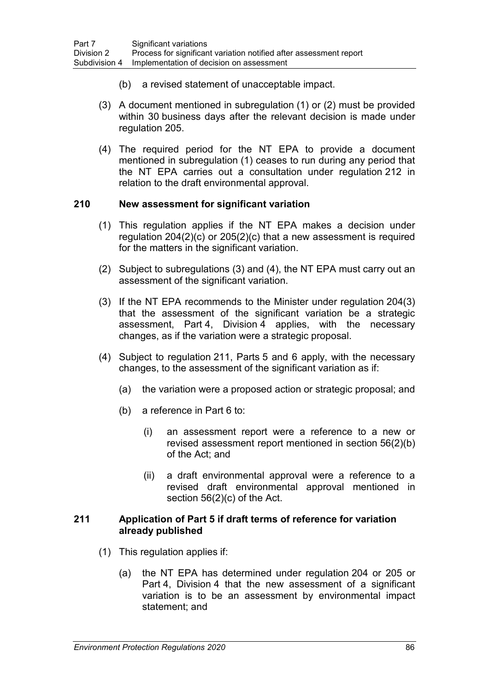- (b) a revised statement of unacceptable impact.
- (3) A document mentioned in subregulation (1) or (2) must be provided within 30 business days after the relevant decision is made under regulation 205.
- (4) The required period for the NT EPA to provide a document mentioned in subregulation (1) ceases to run during any period that the NT EPA carries out a consultation under regulation 212 in relation to the draft environmental approval.

### **210 New assessment for significant variation**

- (1) This regulation applies if the NT EPA makes a decision under regulation 204(2)(c) or 205(2)(c) that a new assessment is required for the matters in the significant variation.
- (2) Subject to subregulations (3) and (4), the NT EPA must carry out an assessment of the significant variation.
- (3) If the NT EPA recommends to the Minister under regulation 204(3) that the assessment of the significant variation be a strategic assessment, Part 4, Division 4 applies, with the necessary changes, as if the variation were a strategic proposal.
- (4) Subject to regulation 211, Parts 5 and 6 apply, with the necessary changes, to the assessment of the significant variation as if:
	- (a) the variation were a proposed action or strategic proposal; and
	- (b) a reference in Part 6 to:
		- (i) an assessment report were a reference to a new or revised assessment report mentioned in section 56(2)(b) of the Act; and
		- (ii) a draft environmental approval were a reference to a revised draft environmental approval mentioned in section 56(2)(c) of the Act.

### **211 Application of Part 5 if draft terms of reference for variation already published**

- (1) This regulation applies if:
	- (a) the NT EPA has determined under regulation 204 or 205 or Part 4, Division 4 that the new assessment of a significant variation is to be an assessment by environmental impact statement; and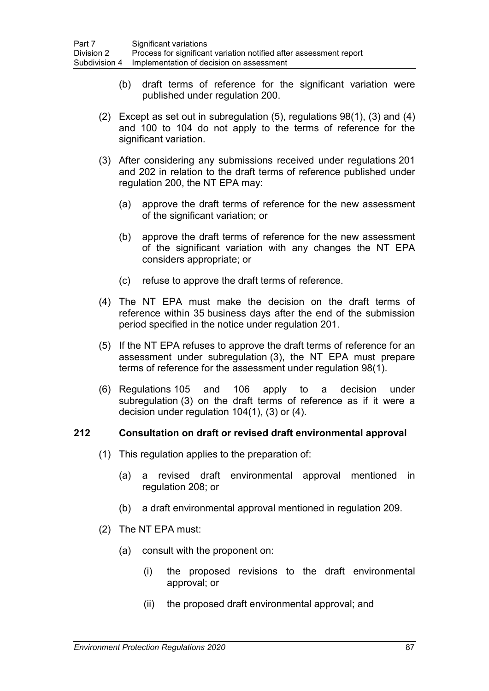- (b) draft terms of reference for the significant variation were published under regulation 200.
- (2) Except as set out in subregulation (5), regulations 98(1), (3) and (4) and 100 to 104 do not apply to the terms of reference for the significant variation.
- (3) After considering any submissions received under regulations 201 and 202 in relation to the draft terms of reference published under regulation 200, the NT EPA may:
	- (a) approve the draft terms of reference for the new assessment of the significant variation; or
	- (b) approve the draft terms of reference for the new assessment of the significant variation with any changes the NT EPA considers appropriate; or
	- (c) refuse to approve the draft terms of reference.
- (4) The NT EPA must make the decision on the draft terms of reference within 35 business days after the end of the submission period specified in the notice under regulation 201.
- (5) If the NT EPA refuses to approve the draft terms of reference for an assessment under subregulation (3), the NT EPA must prepare terms of reference for the assessment under regulation 98(1).
- (6) Regulations 105 and 106 apply to a decision under subregulation (3) on the draft terms of reference as if it were a decision under regulation 104(1), (3) or (4).

## **212 Consultation on draft or revised draft environmental approval**

- (1) This regulation applies to the preparation of:
	- (a) a revised draft environmental approval mentioned in regulation 208; or
	- (b) a draft environmental approval mentioned in regulation 209.
- (2) The NT EPA must:
	- (a) consult with the proponent on:
		- (i) the proposed revisions to the draft environmental approval; or
		- (ii) the proposed draft environmental approval; and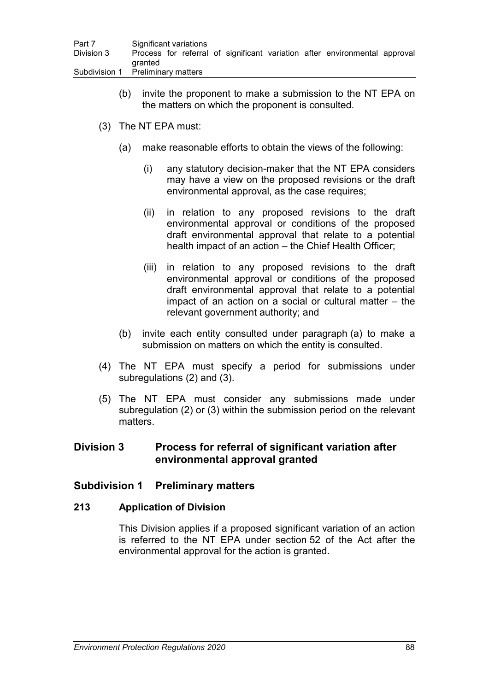| Part 7     | Significant variations                                                     |
|------------|----------------------------------------------------------------------------|
| Division 3 | Process for referral of significant variation after environmental approval |
|            | dranted                                                                    |
|            | Subdivision 1 Preliminary matters                                          |

- (b) invite the proponent to make a submission to the NT EPA on the matters on which the proponent is consulted.
- (3) The NT EPA must:
	- (a) make reasonable efforts to obtain the views of the following:
		- (i) any statutory decision-maker that the NT EPA considers may have a view on the proposed revisions or the draft environmental approval, as the case requires;
		- (ii) in relation to any proposed revisions to the draft environmental approval or conditions of the proposed draft environmental approval that relate to a potential health impact of an action – the Chief Health Officer;
		- (iii) in relation to any proposed revisions to the draft environmental approval or conditions of the proposed draft environmental approval that relate to a potential impact of an action on a social or cultural matter – the relevant government authority; and
	- (b) invite each entity consulted under paragraph (a) to make a submission on matters on which the entity is consulted.
- (4) The NT EPA must specify a period for submissions under subregulations (2) and (3).
- (5) The NT EPA must consider any submissions made under subregulation (2) or (3) within the submission period on the relevant matters.

# **Division 3 Process for referral of significant variation after environmental approval granted**

# **Subdivision 1 Preliminary matters**

## **213 Application of Division**

This Division applies if a proposed significant variation of an action is referred to the NT EPA under section 52 of the Act after the environmental approval for the action is granted.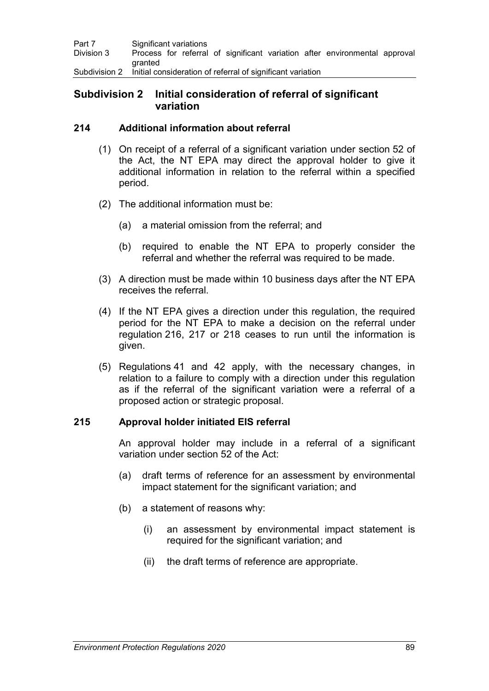| Part 7     | Significant variations                                                     |
|------------|----------------------------------------------------------------------------|
| Division 3 | Process for referral of significant variation after environmental approval |
|            | <b>aranted</b>                                                             |
|            | Subdivision 2 Initial consideration of referral of significant variation   |

# **Subdivision 2 Initial consideration of referral of significant variation**

## **214 Additional information about referral**

- (1) On receipt of a referral of a significant variation under section 52 of the Act, the NT EPA may direct the approval holder to give it additional information in relation to the referral within a specified period.
- (2) The additional information must be:
	- (a) a material omission from the referral; and
	- (b) required to enable the NT EPA to properly consider the referral and whether the referral was required to be made.
- (3) A direction must be made within 10 business days after the NT EPA receives the referral.
- (4) If the NT EPA gives a direction under this regulation, the required period for the NT EPA to make a decision on the referral under regulation 216, 217 or 218 ceases to run until the information is given.
- (5) Regulations 41 and 42 apply, with the necessary changes, in relation to a failure to comply with a direction under this regulation as if the referral of the significant variation were a referral of a proposed action or strategic proposal.

## **215 Approval holder initiated EIS referral**

An approval holder may include in a referral of a significant variation under section 52 of the Act:

- (a) draft terms of reference for an assessment by environmental impact statement for the significant variation; and
- (b) a statement of reasons why:
	- (i) an assessment by environmental impact statement is required for the significant variation; and
	- (ii) the draft terms of reference are appropriate.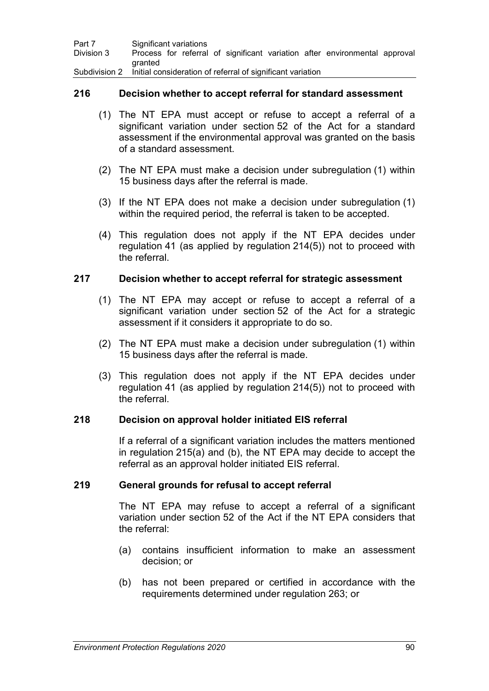| Part 7     | Significant variations                                                     |
|------------|----------------------------------------------------------------------------|
| Division 3 | Process for referral of significant variation after environmental approval |
|            | granted                                                                    |
|            | Subdivision 2 Initial consideration of referral of significant variation   |

## **216 Decision whether to accept referral for standard assessment**

- (1) The NT EPA must accept or refuse to accept a referral of a significant variation under section 52 of the Act for a standard assessment if the environmental approval was granted on the basis of a standard assessment.
- (2) The NT EPA must make a decision under subregulation (1) within 15 business days after the referral is made.
- (3) If the NT EPA does not make a decision under subregulation (1) within the required period, the referral is taken to be accepted.
- (4) This regulation does not apply if the NT EPA decides under regulation 41 (as applied by regulation 214(5)) not to proceed with the referral.

#### **217 Decision whether to accept referral for strategic assessment**

- (1) The NT EPA may accept or refuse to accept a referral of a significant variation under section 52 of the Act for a strategic assessment if it considers it appropriate to do so.
- (2) The NT EPA must make a decision under subregulation (1) within 15 business days after the referral is made.
- (3) This regulation does not apply if the NT EPA decides under regulation 41 (as applied by regulation 214(5)) not to proceed with the referral.

#### **218 Decision on approval holder initiated EIS referral**

If a referral of a significant variation includes the matters mentioned in regulation 215(a) and (b), the NT EPA may decide to accept the referral as an approval holder initiated EIS referral.

#### **219 General grounds for refusal to accept referral**

The NT EPA may refuse to accept a referral of a significant variation under section 52 of the Act if the NT EPA considers that the referral:

- (a) contains insufficient information to make an assessment decision; or
- (b) has not been prepared or certified in accordance with the requirements determined under regulation 263; or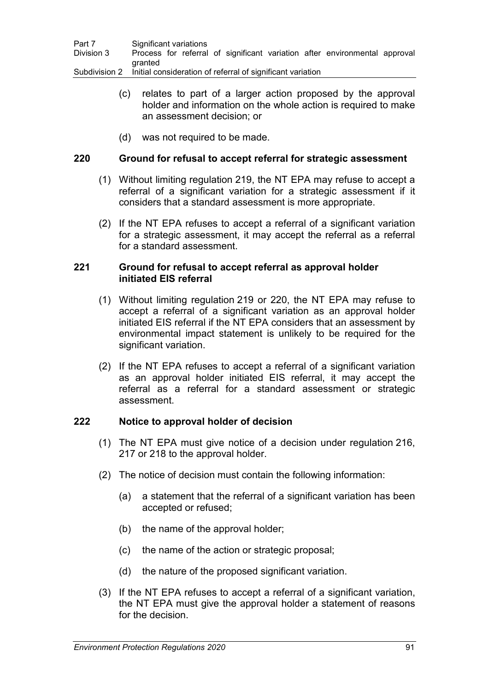| Part 7     | Significant variations                                                     |
|------------|----------------------------------------------------------------------------|
| Division 3 | Process for referral of significant variation after environmental approval |
|            | aranted                                                                    |
|            | Subdivision 2 Initial consideration of referral of significant variation   |

- (c) relates to part of a larger action proposed by the approval holder and information on the whole action is required to make an assessment decision; or
- (d) was not required to be made.

## **220 Ground for refusal to accept referral for strategic assessment**

- (1) Without limiting regulation 219, the NT EPA may refuse to accept a referral of a significant variation for a strategic assessment if it considers that a standard assessment is more appropriate.
- (2) If the NT EPA refuses to accept a referral of a significant variation for a strategic assessment, it may accept the referral as a referral for a standard assessment.

## **221 Ground for refusal to accept referral as approval holder initiated EIS referral**

- (1) Without limiting regulation 219 or 220, the NT EPA may refuse to accept a referral of a significant variation as an approval holder initiated EIS referral if the NT EPA considers that an assessment by environmental impact statement is unlikely to be required for the significant variation.
- (2) If the NT EPA refuses to accept a referral of a significant variation as an approval holder initiated EIS referral, it may accept the referral as a referral for a standard assessment or strategic assessment.

## **222 Notice to approval holder of decision**

- (1) The NT EPA must give notice of a decision under regulation 216, 217 or 218 to the approval holder.
- (2) The notice of decision must contain the following information:
	- (a) a statement that the referral of a significant variation has been accepted or refused;
	- (b) the name of the approval holder;
	- (c) the name of the action or strategic proposal;
	- (d) the nature of the proposed significant variation.
- (3) If the NT EPA refuses to accept a referral of a significant variation, the NT EPA must give the approval holder a statement of reasons for the decision.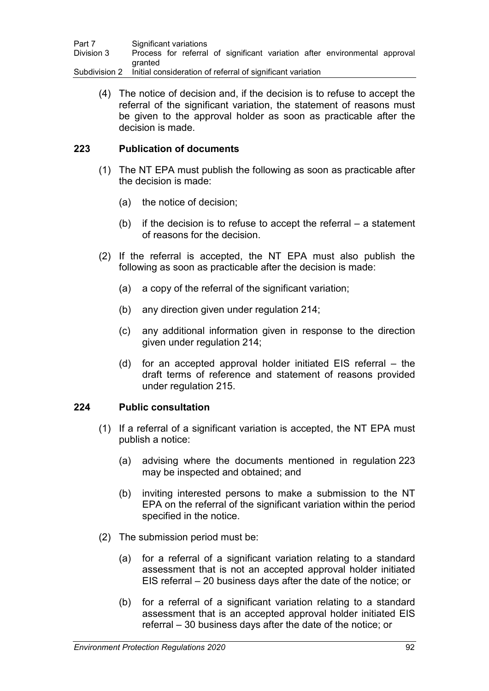| Part 7        | Significant variations                                                     |
|---------------|----------------------------------------------------------------------------|
| Division 3    | Process for referral of significant variation after environmental approval |
|               | aranted                                                                    |
| Subdivision 2 | Initial consideration of referral of significant variation                 |

(4) The notice of decision and, if the decision is to refuse to accept the referral of the significant variation, the statement of reasons must be given to the approval holder as soon as practicable after the decision is made.

## **223 Publication of documents**

- (1) The NT EPA must publish the following as soon as practicable after the decision is made:
	- (a) the notice of decision;
	- (b) if the decision is to refuse to accept the referral  $-$  a statement of reasons for the decision.
- (2) If the referral is accepted, the NT EPA must also publish the following as soon as practicable after the decision is made:
	- (a) a copy of the referral of the significant variation;
	- (b) any direction given under regulation 214;
	- (c) any additional information given in response to the direction given under regulation 214;
	- (d) for an accepted approval holder initiated EIS referral the draft terms of reference and statement of reasons provided under regulation 215.

## **224 Public consultation**

- (1) If a referral of a significant variation is accepted, the NT EPA must publish a notice:
	- (a) advising where the documents mentioned in regulation 223 may be inspected and obtained; and
	- (b) inviting interested persons to make a submission to the NT EPA on the referral of the significant variation within the period specified in the notice.
- (2) The submission period must be:
	- (a) for a referral of a significant variation relating to a standard assessment that is not an accepted approval holder initiated EIS referral – 20 business days after the date of the notice; or
	- (b) for a referral of a significant variation relating to a standard assessment that is an accepted approval holder initiated EIS referral – 30 business days after the date of the notice; or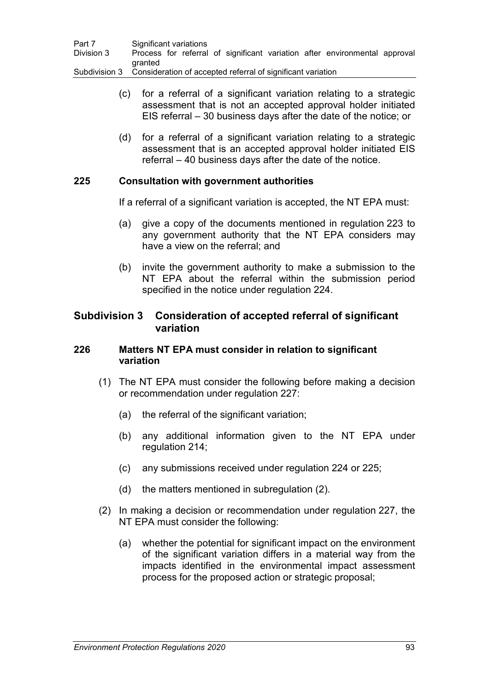| Part 7     | Significant variations                                                     |
|------------|----------------------------------------------------------------------------|
| Division 3 | Process for referral of significant variation after environmental approval |
|            | aranted                                                                    |
|            | Subdivision 3 Consideration of accepted referral of significant variation  |

- (c) for a referral of a significant variation relating to a strategic assessment that is not an accepted approval holder initiated EIS referral – 30 business days after the date of the notice; or
- (d) for a referral of a significant variation relating to a strategic assessment that is an accepted approval holder initiated EIS referral – 40 business days after the date of the notice.

### **225 Consultation with government authorities**

If a referral of a significant variation is accepted, the NT EPA must:

- (a) give a copy of the documents mentioned in regulation 223 to any government authority that the NT EPA considers may have a view on the referral; and
- (b) invite the government authority to make a submission to the NT EPA about the referral within the submission period specified in the notice under regulation 224.

## **Subdivision 3 Consideration of accepted referral of significant variation**

### **226 Matters NT EPA must consider in relation to significant variation**

- (1) The NT EPA must consider the following before making a decision or recommendation under regulation 227:
	- (a) the referral of the significant variation;
	- (b) any additional information given to the NT EPA under regulation 214;
	- (c) any submissions received under regulation 224 or 225;
	- (d) the matters mentioned in subregulation (2).
- (2) In making a decision or recommendation under regulation 227, the NT EPA must consider the following:
	- (a) whether the potential for significant impact on the environment of the significant variation differs in a material way from the impacts identified in the environmental impact assessment process for the proposed action or strategic proposal;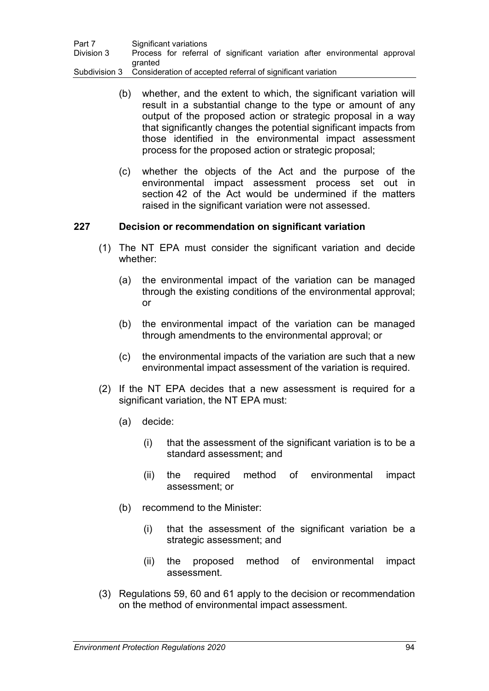| Part 7     | Significant variations                                                     |
|------------|----------------------------------------------------------------------------|
| Division 3 | Process for referral of significant variation after environmental approval |
|            | <b>aranted</b>                                                             |
|            | Subdivision 3 Consideration of accepted referral of significant variation  |

- (b) whether, and the extent to which, the significant variation will result in a substantial change to the type or amount of any output of the proposed action or strategic proposal in a way that significantly changes the potential significant impacts from those identified in the environmental impact assessment process for the proposed action or strategic proposal;
- (c) whether the objects of the Act and the purpose of the environmental impact assessment process set out in section 42 of the Act would be undermined if the matters raised in the significant variation were not assessed.

## **227 Decision or recommendation on significant variation**

- (1) The NT EPA must consider the significant variation and decide whether:
	- (a) the environmental impact of the variation can be managed through the existing conditions of the environmental approval; or
	- (b) the environmental impact of the variation can be managed through amendments to the environmental approval; or
	- (c) the environmental impacts of the variation are such that a new environmental impact assessment of the variation is required.
- (2) If the NT EPA decides that a new assessment is required for a significant variation, the NT EPA must:
	- (a) decide:
		- (i) that the assessment of the significant variation is to be a standard assessment; and
		- (ii) the required method of environmental impact assessment; or
	- (b) recommend to the Minister:
		- (i) that the assessment of the significant variation be a strategic assessment; and
		- (ii) the proposed method of environmental impact assessment.
- (3) Regulations 59, 60 and 61 apply to the decision or recommendation on the method of environmental impact assessment.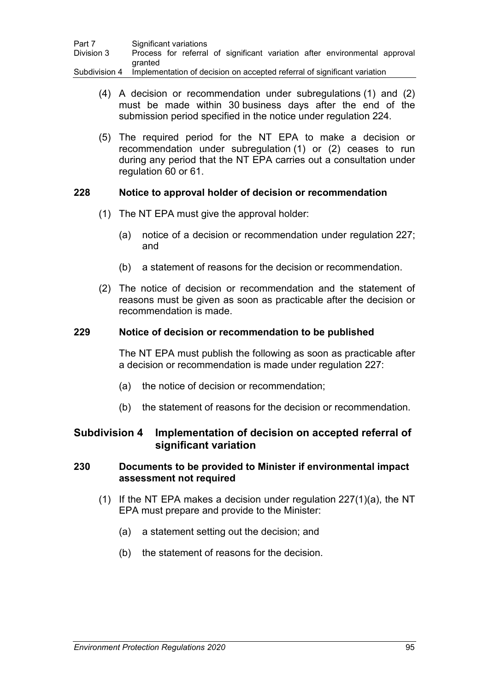| Part 7        | Significant variations                                                     |
|---------------|----------------------------------------------------------------------------|
| Division 3    | Process for referral of significant variation after environmental approval |
|               | aranted                                                                    |
| Subdivision 4 | Implementation of decision on accepted referral of significant variation   |

- (4) A decision or recommendation under subregulations (1) and (2) must be made within 30 business days after the end of the submission period specified in the notice under regulation 224.
- (5) The required period for the NT EPA to make a decision or recommendation under subregulation (1) or (2) ceases to run during any period that the NT EPA carries out a consultation under regulation 60 or 61.

## **228 Notice to approval holder of decision or recommendation**

- (1) The NT EPA must give the approval holder:
	- (a) notice of a decision or recommendation under regulation 227; and
	- (b) a statement of reasons for the decision or recommendation.
- (2) The notice of decision or recommendation and the statement of reasons must be given as soon as practicable after the decision or recommendation is made.

### **229 Notice of decision or recommendation to be published**

The NT EPA must publish the following as soon as practicable after a decision or recommendation is made under regulation 227:

- (a) the notice of decision or recommendation;
- (b) the statement of reasons for the decision or recommendation.

# **Subdivision 4 Implementation of decision on accepted referral of significant variation**

## **230 Documents to be provided to Minister if environmental impact assessment not required**

- (1) If the NT EPA makes a decision under regulation 227(1)(a), the NT EPA must prepare and provide to the Minister:
	- (a) a statement setting out the decision; and
	- (b) the statement of reasons for the decision.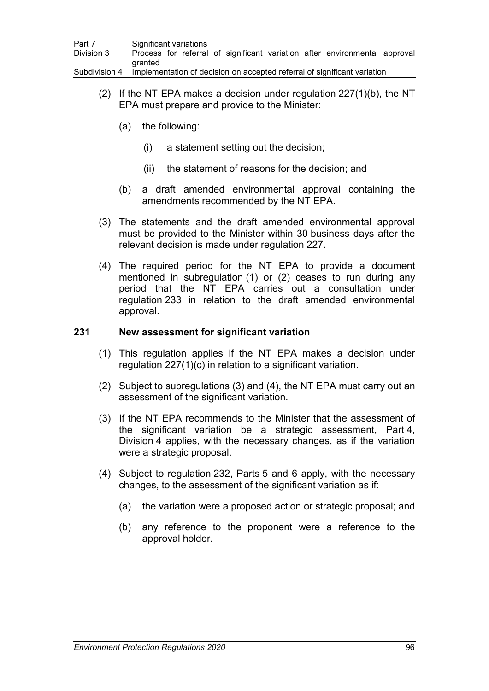| Part 7        | Significant variations                                                     |
|---------------|----------------------------------------------------------------------------|
| Division 3    | Process for referral of significant variation after environmental approval |
|               | granted                                                                    |
| Subdivision 4 | Implementation of decision on accepted referral of significant variation   |

- (2) If the NT EPA makes a decision under regulation 227(1)(b), the NT EPA must prepare and provide to the Minister:
	- (a) the following:
		- (i) a statement setting out the decision;
		- (ii) the statement of reasons for the decision; and
	- (b) a draft amended environmental approval containing the amendments recommended by the NT EPA.
- (3) The statements and the draft amended environmental approval must be provided to the Minister within 30 business days after the relevant decision is made under regulation 227.
- (4) The required period for the NT EPA to provide a document mentioned in subregulation (1) or (2) ceases to run during any period that the NT EPA carries out a consultation under regulation 233 in relation to the draft amended environmental approval.

## **231 New assessment for significant variation**

- (1) This regulation applies if the NT EPA makes a decision under regulation 227(1)(c) in relation to a significant variation.
- (2) Subject to subregulations (3) and (4), the NT EPA must carry out an assessment of the significant variation.
- (3) If the NT EPA recommends to the Minister that the assessment of the significant variation be a strategic assessment, Part 4, Division 4 applies, with the necessary changes, as if the variation were a strategic proposal.
- (4) Subject to regulation 232, Parts 5 and 6 apply, with the necessary changes, to the assessment of the significant variation as if:
	- (a) the variation were a proposed action or strategic proposal; and
	- (b) any reference to the proponent were a reference to the approval holder.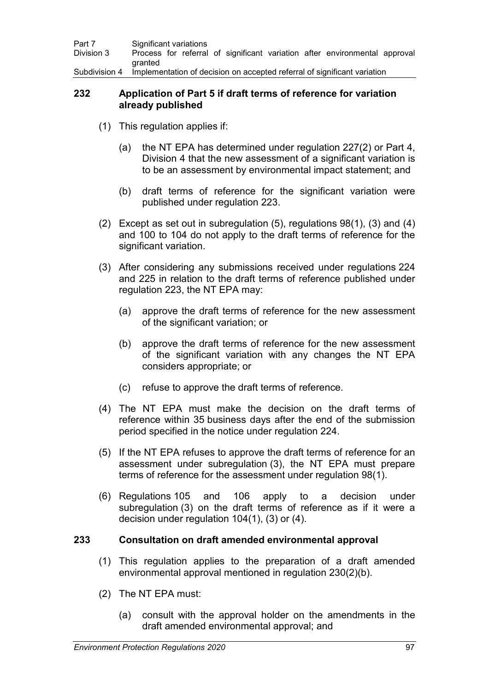| Part 7     | Significant variations                                                                 |  |  |  |
|------------|----------------------------------------------------------------------------------------|--|--|--|
| Division 3 | Process for referral of significant variation after environmental approval             |  |  |  |
|            | <b>aranted</b>                                                                         |  |  |  |
|            | Subdivision 4 Implementation of decision on accepted referral of significant variation |  |  |  |

#### **232 Application of Part 5 if draft terms of reference for variation already published**

- (1) This regulation applies if:
	- (a) the NT EPA has determined under regulation 227(2) or Part 4, Division 4 that the new assessment of a significant variation is to be an assessment by environmental impact statement; and
	- (b) draft terms of reference for the significant variation were published under regulation 223.
- (2) Except as set out in subregulation (5), regulations 98(1), (3) and (4) and 100 to 104 do not apply to the draft terms of reference for the significant variation.
- (3) After considering any submissions received under regulations 224 and 225 in relation to the draft terms of reference published under regulation 223, the NT EPA may:
	- (a) approve the draft terms of reference for the new assessment of the significant variation; or
	- (b) approve the draft terms of reference for the new assessment of the significant variation with any changes the NT EPA considers appropriate; or
	- (c) refuse to approve the draft terms of reference.
- (4) The NT EPA must make the decision on the draft terms of reference within 35 business days after the end of the submission period specified in the notice under regulation 224.
- (5) If the NT EPA refuses to approve the draft terms of reference for an assessment under subregulation (3), the NT EPA must prepare terms of reference for the assessment under regulation 98(1).
- (6) Regulations 105 and 106 apply to a decision under subregulation (3) on the draft terms of reference as if it were a decision under regulation 104(1), (3) or (4).

#### **233 Consultation on draft amended environmental approval**

- (1) This regulation applies to the preparation of a draft amended environmental approval mentioned in regulation 230(2)(b).
- (2) The NT EPA must:
	- (a) consult with the approval holder on the amendments in the draft amended environmental approval; and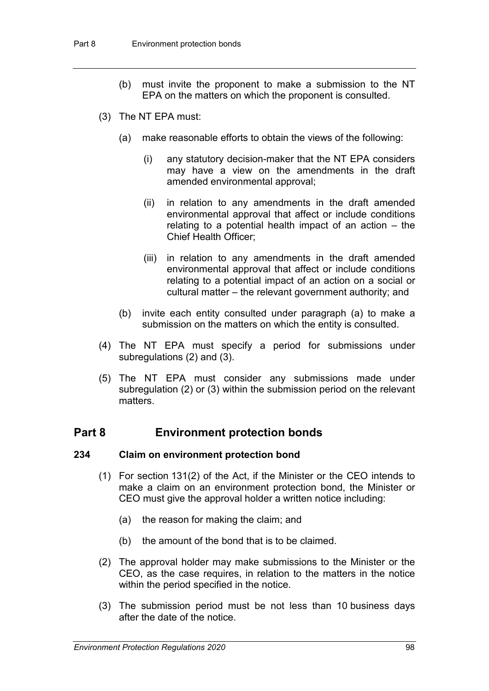- (b) must invite the proponent to make a submission to the NT EPA on the matters on which the proponent is consulted.
- (3) The NT EPA must:
	- (a) make reasonable efforts to obtain the views of the following:
		- (i) any statutory decision-maker that the NT EPA considers may have a view on the amendments in the draft amended environmental approval;
		- (ii) in relation to any amendments in the draft amended environmental approval that affect or include conditions relating to a potential health impact of an action – the Chief Health Officer;
		- (iii) in relation to any amendments in the draft amended environmental approval that affect or include conditions relating to a potential impact of an action on a social or cultural matter – the relevant government authority; and
	- (b) invite each entity consulted under paragraph (a) to make a submission on the matters on which the entity is consulted.
- (4) The NT EPA must specify a period for submissions under subregulations (2) and (3).
- (5) The NT EPA must consider any submissions made under subregulation (2) or (3) within the submission period on the relevant matters.

#### **Part 8 Environment protection bonds**

#### **234 Claim on environment protection bond**

- (1) For section 131(2) of the Act, if the Minister or the CEO intends to make a claim on an environment protection bond, the Minister or CEO must give the approval holder a written notice including:
	- (a) the reason for making the claim; and
	- (b) the amount of the bond that is to be claimed.
- (2) The approval holder may make submissions to the Minister or the CEO, as the case requires, in relation to the matters in the notice within the period specified in the notice.
- (3) The submission period must be not less than 10 business days after the date of the notice.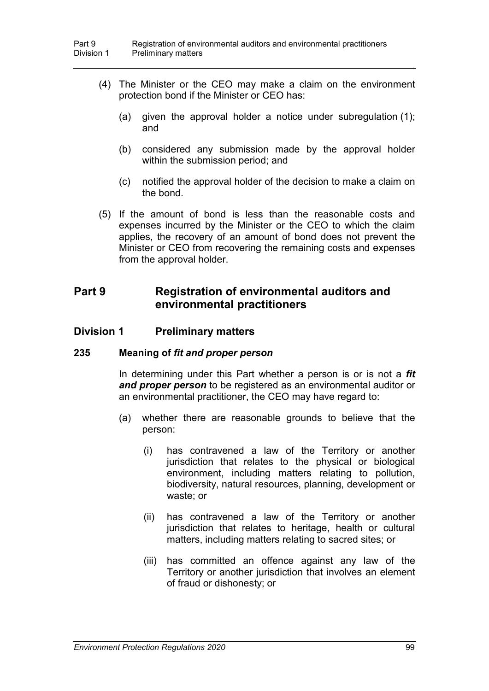- (4) The Minister or the CEO may make a claim on the environment protection bond if the Minister or CEO has:
	- (a) given the approval holder a notice under subregulation (1); and
	- (b) considered any submission made by the approval holder within the submission period; and
	- (c) notified the approval holder of the decision to make a claim on the bond.
- (5) If the amount of bond is less than the reasonable costs and expenses incurred by the Minister or the CEO to which the claim applies, the recovery of an amount of bond does not prevent the Minister or CEO from recovering the remaining costs and expenses from the approval holder.

#### **Part 9 Registration of environmental auditors and environmental practitioners**

#### **Division 1 Preliminary matters**

#### **235 Meaning of** *fit and proper person*

In determining under this Part whether a person is or is not a *fit and proper person* to be registered as an environmental auditor or an environmental practitioner, the CEO may have regard to:

- (a) whether there are reasonable grounds to believe that the person:
	- (i) has contravened a law of the Territory or another jurisdiction that relates to the physical or biological environment, including matters relating to pollution, biodiversity, natural resources, planning, development or waste; or
	- (ii) has contravened a law of the Territory or another jurisdiction that relates to heritage, health or cultural matters, including matters relating to sacred sites; or
	- (iii) has committed an offence against any law of the Territory or another jurisdiction that involves an element of fraud or dishonesty; or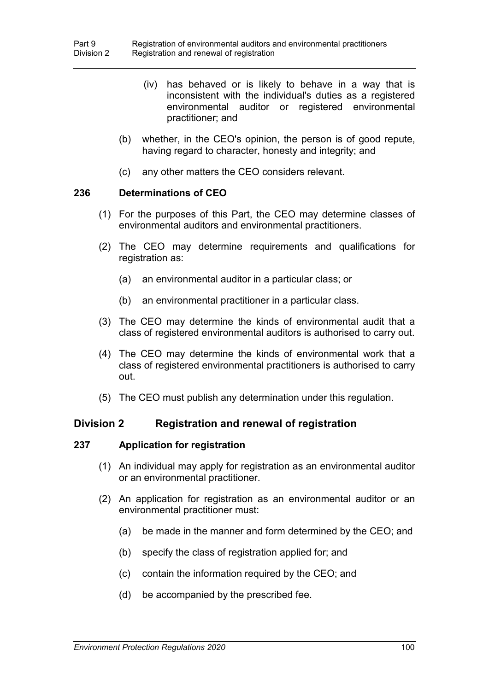- (iv) has behaved or is likely to behave in a way that is inconsistent with the individual's duties as a registered environmental auditor or registered environmental practitioner; and
- (b) whether, in the CEO's opinion, the person is of good repute, having regard to character, honesty and integrity; and
- (c) any other matters the CEO considers relevant.

#### **236 Determinations of CEO**

- (1) For the purposes of this Part, the CEO may determine classes of environmental auditors and environmental practitioners.
- (2) The CEO may determine requirements and qualifications for registration as:
	- (a) an environmental auditor in a particular class; or
	- (b) an environmental practitioner in a particular class.
- (3) The CEO may determine the kinds of environmental audit that a class of registered environmental auditors is authorised to carry out.
- (4) The CEO may determine the kinds of environmental work that a class of registered environmental practitioners is authorised to carry out.
- (5) The CEO must publish any determination under this regulation.

#### **Division 2 Registration and renewal of registration**

#### **237 Application for registration**

- (1) An individual may apply for registration as an environmental auditor or an environmental practitioner.
- (2) An application for registration as an environmental auditor or an environmental practitioner must:
	- (a) be made in the manner and form determined by the CEO; and
	- (b) specify the class of registration applied for; and
	- (c) contain the information required by the CEO; and
	- (d) be accompanied by the prescribed fee.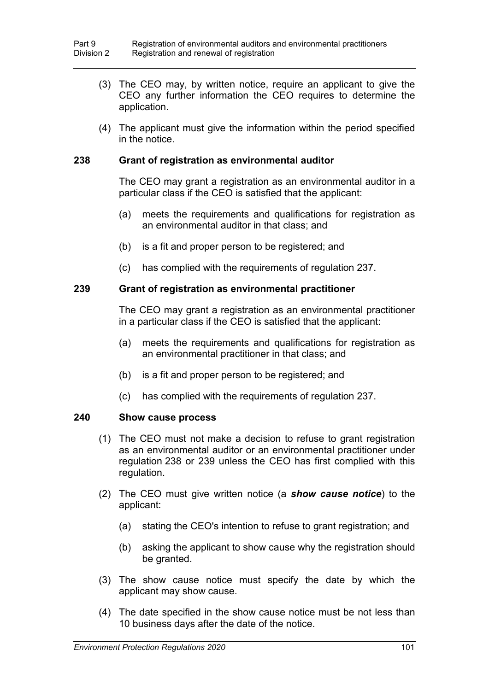- (3) The CEO may, by written notice, require an applicant to give the CEO any further information the CEO requires to determine the application.
- (4) The applicant must give the information within the period specified in the notice.

#### **238 Grant of registration as environmental auditor**

The CEO may grant a registration as an environmental auditor in a particular class if the CEO is satisfied that the applicant:

- (a) meets the requirements and qualifications for registration as an environmental auditor in that class; and
- (b) is a fit and proper person to be registered; and
- (c) has complied with the requirements of regulation 237.

#### **239 Grant of registration as environmental practitioner**

The CEO may grant a registration as an environmental practitioner in a particular class if the CEO is satisfied that the applicant:

- (a) meets the requirements and qualifications for registration as an environmental practitioner in that class; and
- (b) is a fit and proper person to be registered; and
- (c) has complied with the requirements of regulation 237.

#### **240 Show cause process**

- (1) The CEO must not make a decision to refuse to grant registration as an environmental auditor or an environmental practitioner under regulation 238 or 239 unless the CEO has first complied with this regulation.
- (2) The CEO must give written notice (a *show cause notice*) to the applicant:
	- (a) stating the CEO's intention to refuse to grant registration; and
	- (b) asking the applicant to show cause why the registration should be granted.
- (3) The show cause notice must specify the date by which the applicant may show cause.
- (4) The date specified in the show cause notice must be not less than 10 business days after the date of the notice.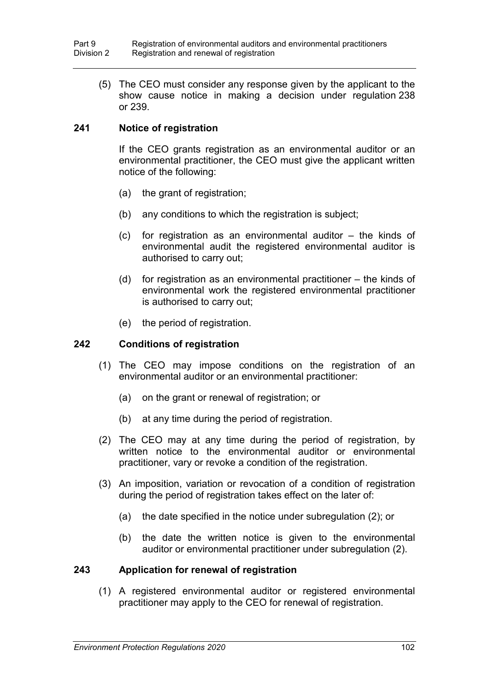(5) The CEO must consider any response given by the applicant to the show cause notice in making a decision under regulation 238 or 239.

#### **241 Notice of registration**

If the CEO grants registration as an environmental auditor or an environmental practitioner, the CEO must give the applicant written notice of the following:

- (a) the grant of registration;
- (b) any conditions to which the registration is subject;
- (c) for registration as an environmental auditor the kinds of environmental audit the registered environmental auditor is authorised to carry out;
- (d) for registration as an environmental practitioner the kinds of environmental work the registered environmental practitioner is authorised to carry out;
- (e) the period of registration.

#### **242 Conditions of registration**

- (1) The CEO may impose conditions on the registration of an environmental auditor or an environmental practitioner:
	- (a) on the grant or renewal of registration; or
	- (b) at any time during the period of registration.
- (2) The CEO may at any time during the period of registration, by written notice to the environmental auditor or environmental practitioner, vary or revoke a condition of the registration.
- (3) An imposition, variation or revocation of a condition of registration during the period of registration takes effect on the later of:
	- (a) the date specified in the notice under subregulation (2); or
	- (b) the date the written notice is given to the environmental auditor or environmental practitioner under subregulation (2).

#### **243 Application for renewal of registration**

(1) A registered environmental auditor or registered environmental practitioner may apply to the CEO for renewal of registration.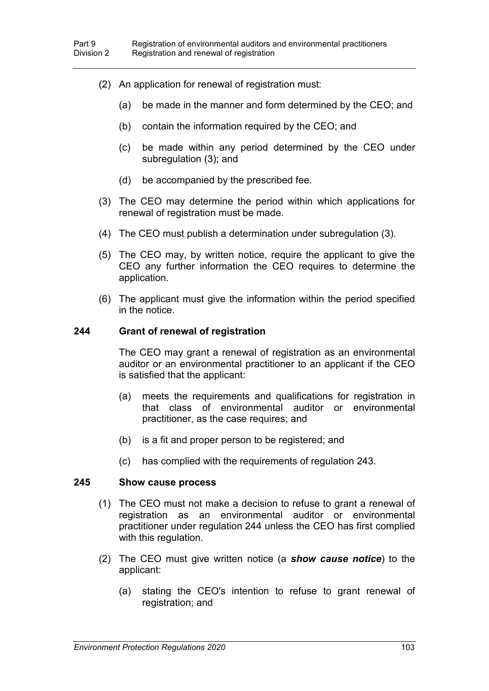- (2) An application for renewal of registration must:
	- (a) be made in the manner and form determined by the CEO; and
	- (b) contain the information required by the CEO; and
	- (c) be made within any period determined by the CEO under subregulation (3); and
	- (d) be accompanied by the prescribed fee.
- (3) The CEO may determine the period within which applications for renewal of registration must be made.
- (4) The CEO must publish a determination under subregulation (3).
- (5) The CEO may, by written notice, require the applicant to give the CEO any further information the CEO requires to determine the application.
- (6) The applicant must give the information within the period specified in the notice.

#### **244 Grant of renewal of registration**

The CEO may grant a renewal of registration as an environmental auditor or an environmental practitioner to an applicant if the CEO is satisfied that the applicant:

- (a) meets the requirements and qualifications for registration in that class of environmental auditor or environmental practitioner, as the case requires; and
- (b) is a fit and proper person to be registered; and
- (c) has complied with the requirements of regulation 243.

#### **245 Show cause process**

- (1) The CEO must not make a decision to refuse to grant a renewal of registration as an environmental auditor or environmental practitioner under regulation 244 unless the CEO has first complied with this regulation.
- (2) The CEO must give written notice (a *show cause notice*) to the applicant:
	- (a) stating the CEO's intention to refuse to grant renewal of registration; and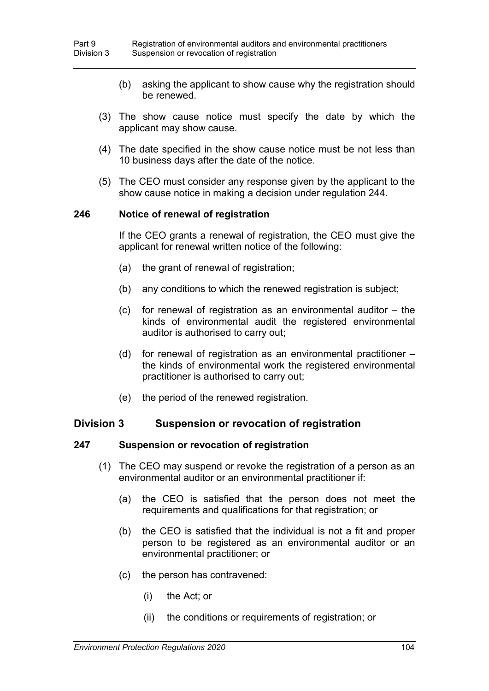- (b) asking the applicant to show cause why the registration should be renewed.
- (3) The show cause notice must specify the date by which the applicant may show cause.
- (4) The date specified in the show cause notice must be not less than 10 business days after the date of the notice.
- (5) The CEO must consider any response given by the applicant to the show cause notice in making a decision under regulation 244.

#### **246 Notice of renewal of registration**

If the CEO grants a renewal of registration, the CEO must give the applicant for renewal written notice of the following:

- (a) the grant of renewal of registration;
- (b) any conditions to which the renewed registration is subject;
- (c) for renewal of registration as an environmental auditor the kinds of environmental audit the registered environmental auditor is authorised to carry out;
- (d) for renewal of registration as an environmental practitioner the kinds of environmental work the registered environmental practitioner is authorised to carry out;
- (e) the period of the renewed registration.

#### **Division 3 Suspension or revocation of registration**

#### **247 Suspension or revocation of registration**

- (1) The CEO may suspend or revoke the registration of a person as an environmental auditor or an environmental practitioner if:
	- (a) the CEO is satisfied that the person does not meet the requirements and qualifications for that registration; or
	- (b) the CEO is satisfied that the individual is not a fit and proper person to be registered as an environmental auditor or an environmental practitioner; or
	- (c) the person has contravened:
		- (i) the Act; or
		- (ii) the conditions or requirements of registration; or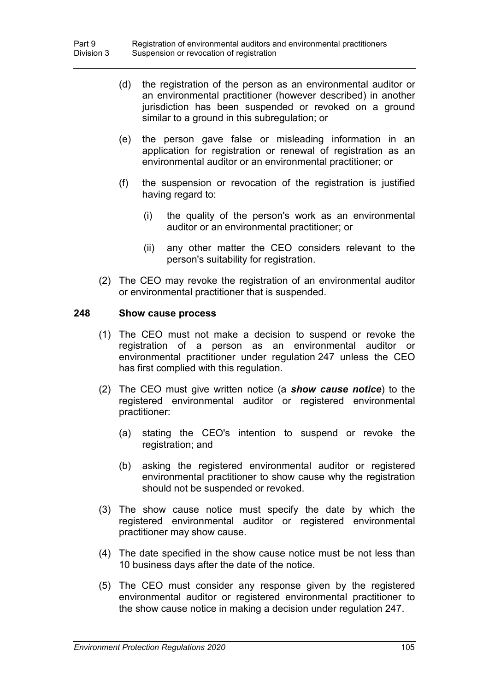- (d) the registration of the person as an environmental auditor or an environmental practitioner (however described) in another jurisdiction has been suspended or revoked on a ground similar to a ground in this subregulation; or
- (e) the person gave false or misleading information in an application for registration or renewal of registration as an environmental auditor or an environmental practitioner; or
- (f) the suspension or revocation of the registration is justified having regard to:
	- (i) the quality of the person's work as an environmental auditor or an environmental practitioner; or
	- (ii) any other matter the CEO considers relevant to the person's suitability for registration.
- (2) The CEO may revoke the registration of an environmental auditor or environmental practitioner that is suspended.

#### **248 Show cause process**

- (1) The CEO must not make a decision to suspend or revoke the registration of a person as an environmental auditor or environmental practitioner under regulation 247 unless the CEO has first complied with this regulation.
- (2) The CEO must give written notice (a *show cause notice*) to the registered environmental auditor or registered environmental practitioner:
	- (a) stating the CEO's intention to suspend or revoke the registration; and
	- (b) asking the registered environmental auditor or registered environmental practitioner to show cause why the registration should not be suspended or revoked.
- (3) The show cause notice must specify the date by which the registered environmental auditor or registered environmental practitioner may show cause.
- (4) The date specified in the show cause notice must be not less than 10 business days after the date of the notice.
- (5) The CEO must consider any response given by the registered environmental auditor or registered environmental practitioner to the show cause notice in making a decision under regulation 247.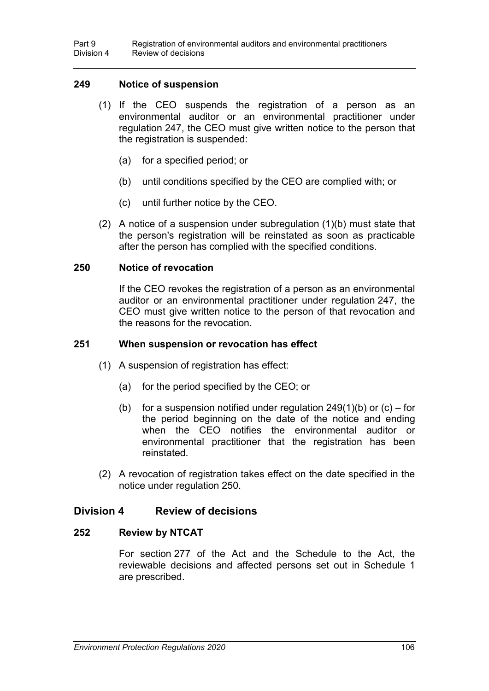#### **249 Notice of suspension**

- (1) If the CEO suspends the registration of a person as an environmental auditor or an environmental practitioner under regulation 247, the CEO must give written notice to the person that the registration is suspended:
	- (a) for a specified period; or
	- (b) until conditions specified by the CEO are complied with; or
	- (c) until further notice by the CEO.
- $(2)$  A notice of a suspension under subregulation  $(1)(b)$  must state that the person's registration will be reinstated as soon as practicable after the person has complied with the specified conditions.

#### **250 Notice of revocation**

If the CEO revokes the registration of a person as an environmental auditor or an environmental practitioner under regulation 247, the CEO must give written notice to the person of that revocation and the reasons for the revocation.

#### **251 When suspension or revocation has effect**

- (1) A suspension of registration has effect:
	- (a) for the period specified by the CEO; or
	- (b) for a suspension notified under regulation  $249(1)(b)$  or  $(c)$  for the period beginning on the date of the notice and ending when the CEO notifies the environmental auditor or environmental practitioner that the registration has been reinstated.
- (2) A revocation of registration takes effect on the date specified in the notice under regulation 250.

#### **Division 4 Review of decisions**

#### **252 Review by NTCAT**

For section 277 of the Act and the Schedule to the Act, the reviewable decisions and affected persons set out in Schedule 1 are prescribed.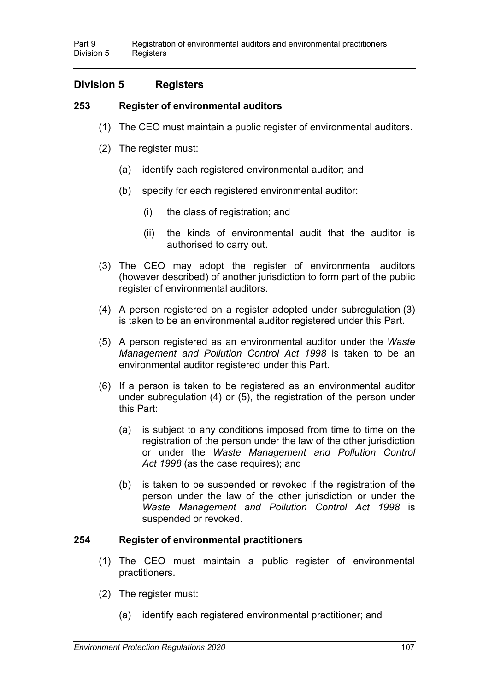#### **Division 5 Registers**

#### **253 Register of environmental auditors**

- (1) The CEO must maintain a public register of environmental auditors.
- (2) The register must:
	- (a) identify each registered environmental auditor; and
	- (b) specify for each registered environmental auditor:
		- (i) the class of registration; and
		- (ii) the kinds of environmental audit that the auditor is authorised to carry out.
- (3) The CEO may adopt the register of environmental auditors (however described) of another jurisdiction to form part of the public register of environmental auditors.
- (4) A person registered on a register adopted under subregulation (3) is taken to be an environmental auditor registered under this Part.
- (5) A person registered as an environmental auditor under the *Waste Management and Pollution Control Act 1998* is taken to be an environmental auditor registered under this Part.
- (6) If a person is taken to be registered as an environmental auditor under subregulation (4) or (5), the registration of the person under this Part:
	- (a) is subject to any conditions imposed from time to time on the registration of the person under the law of the other jurisdiction or under the *Waste Management and Pollution Control Act 1998* (as the case requires); and
	- (b) is taken to be suspended or revoked if the registration of the person under the law of the other jurisdiction or under the *Waste Management and Pollution Control Act 1998* is suspended or revoked.

#### **254 Register of environmental practitioners**

- (1) The CEO must maintain a public register of environmental practitioners.
- (2) The register must:
	- (a) identify each registered environmental practitioner; and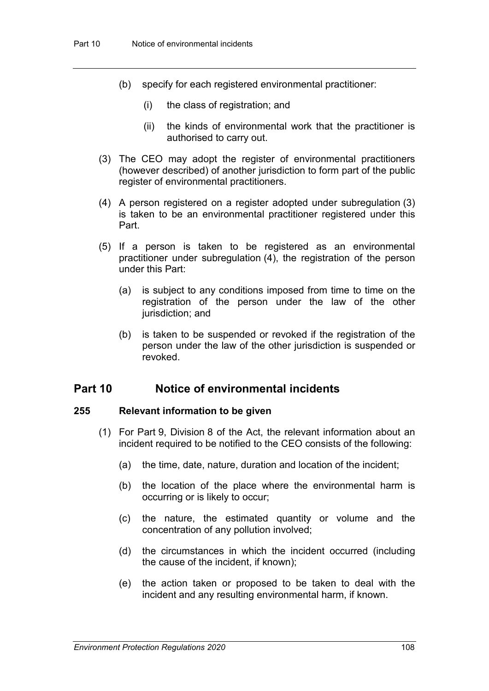- (b) specify for each registered environmental practitioner:
	- (i) the class of registration; and
	- (ii) the kinds of environmental work that the practitioner is authorised to carry out.
- (3) The CEO may adopt the register of environmental practitioners (however described) of another jurisdiction to form part of the public register of environmental practitioners.
- (4) A person registered on a register adopted under subregulation (3) is taken to be an environmental practitioner registered under this Part.
- (5) If a person is taken to be registered as an environmental practitioner under subregulation (4), the registration of the person under this Part:
	- (a) is subject to any conditions imposed from time to time on the registration of the person under the law of the other jurisdiction; and
	- (b) is taken to be suspended or revoked if the registration of the person under the law of the other jurisdiction is suspended or revoked.

#### **Part 10 Notice of environmental incidents**

#### **255 Relevant information to be given**

- (1) For Part 9, Division 8 of the Act, the relevant information about an incident required to be notified to the CEO consists of the following:
	- (a) the time, date, nature, duration and location of the incident;
	- (b) the location of the place where the environmental harm is occurring or is likely to occur;
	- (c) the nature, the estimated quantity or volume and the concentration of any pollution involved;
	- (d) the circumstances in which the incident occurred (including the cause of the incident, if known);
	- (e) the action taken or proposed to be taken to deal with the incident and any resulting environmental harm, if known.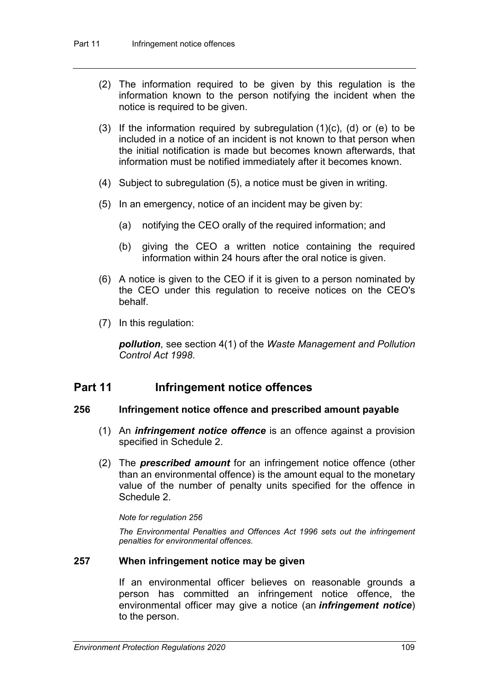- (2) The information required to be given by this regulation is the information known to the person notifying the incident when the notice is required to be given.
- (3) If the information required by subregulation  $(1)(c)$ ,  $(d)$  or  $(e)$  to be included in a notice of an incident is not known to that person when the initial notification is made but becomes known afterwards, that information must be notified immediately after it becomes known.
- (4) Subject to subregulation (5), a notice must be given in writing.
- (5) In an emergency, notice of an incident may be given by:
	- (a) notifying the CEO orally of the required information; and
	- (b) giving the CEO a written notice containing the required information within 24 hours after the oral notice is given.
- (6) A notice is given to the CEO if it is given to a person nominated by the CEO under this regulation to receive notices on the CEO's behalf.
- (7) In this regulation:

*pollution*, see section 4(1) of the *Waste Management and Pollution Control Act 1998*.

#### **Part 11 Infringement notice offences**

#### **256 Infringement notice offence and prescribed amount payable**

- (1) An *infringement notice offence* is an offence against a provision specified in Schedule 2.
- (2) The *prescribed amount* for an infringement notice offence (other than an environmental offence) is the amount equal to the monetary value of the number of penalty units specified for the offence in Schedule 2.

#### *Note for regulation 256*

*The Environmental Penalties and Offences Act 1996 sets out the infringement penalties for environmental offences.*

#### **257 When infringement notice may be given**

If an environmental officer believes on reasonable grounds a person has committed an infringement notice offence, the environmental officer may give a notice (an *infringement notice*) to the person.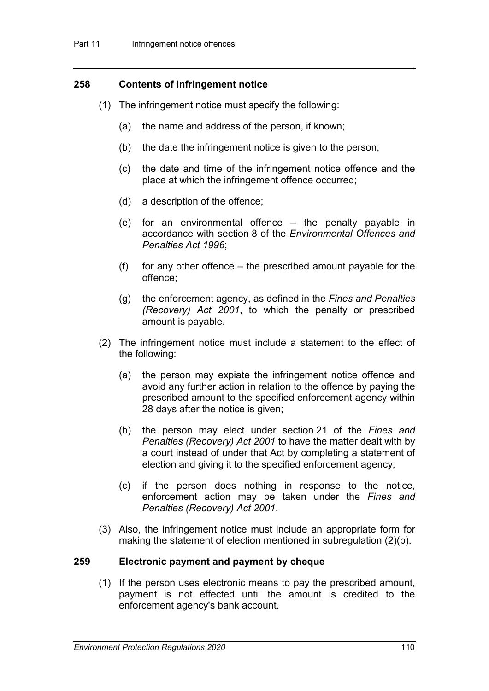#### **258 Contents of infringement notice**

- (1) The infringement notice must specify the following:
	- (a) the name and address of the person, if known;
	- (b) the date the infringement notice is given to the person;
	- (c) the date and time of the infringement notice offence and the place at which the infringement offence occurred;
	- (d) a description of the offence;
	- (e) for an environmental offence the penalty payable in accordance with section 8 of the *Environmental Offences and Penalties Act 1996*;
	- (f) for any other offence  $-$  the prescribed amount payable for the offence;
	- (g) the enforcement agency, as defined in the *Fines and Penalties (Recovery) Act 2001*, to which the penalty or prescribed amount is payable.
- (2) The infringement notice must include a statement to the effect of the following:
	- (a) the person may expiate the infringement notice offence and avoid any further action in relation to the offence by paying the prescribed amount to the specified enforcement agency within 28 days after the notice is given;
	- (b) the person may elect under section 21 of the *Fines and Penalties (Recovery) Act 2001* to have the matter dealt with by a court instead of under that Act by completing a statement of election and giving it to the specified enforcement agency;
	- (c) if the person does nothing in response to the notice, enforcement action may be taken under the *Fines and Penalties (Recovery) Act 2001*.
- (3) Also, the infringement notice must include an appropriate form for making the statement of election mentioned in subregulation (2)(b).

#### **259 Electronic payment and payment by cheque**

(1) If the person uses electronic means to pay the prescribed amount, payment is not effected until the amount is credited to the enforcement agency's bank account.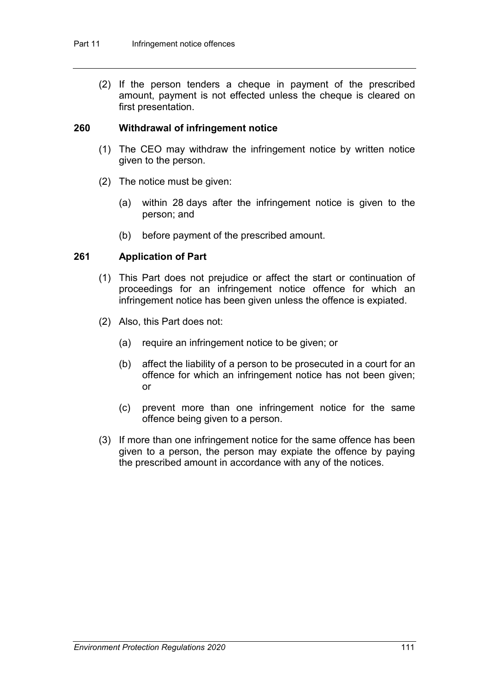(2) If the person tenders a cheque in payment of the prescribed amount, payment is not effected unless the cheque is cleared on first presentation.

#### **260 Withdrawal of infringement notice**

- (1) The CEO may withdraw the infringement notice by written notice given to the person.
- (2) The notice must be given:
	- (a) within 28 days after the infringement notice is given to the person; and
	- (b) before payment of the prescribed amount.

#### **261 Application of Part**

- (1) This Part does not prejudice or affect the start or continuation of proceedings for an infringement notice offence for which an infringement notice has been given unless the offence is expiated.
- (2) Also, this Part does not:
	- (a) require an infringement notice to be given; or
	- (b) affect the liability of a person to be prosecuted in a court for an offence for which an infringement notice has not been given; or
	- (c) prevent more than one infringement notice for the same offence being given to a person.
- (3) If more than one infringement notice for the same offence has been given to a person, the person may expiate the offence by paying the prescribed amount in accordance with any of the notices.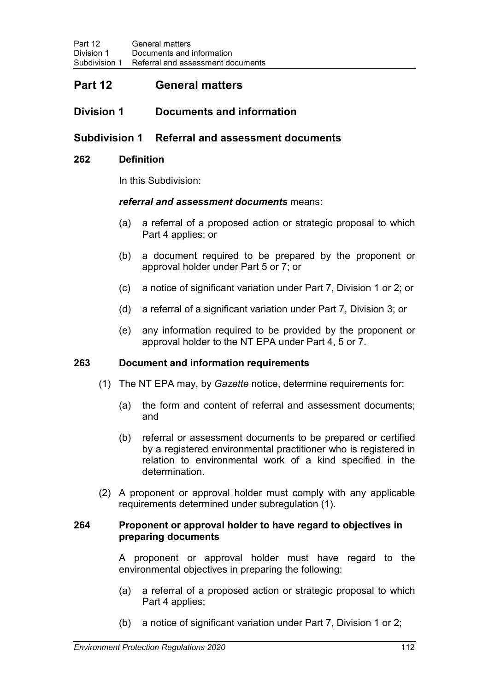#### **Part 12 General matters**

#### **Division 1 Documents and information**

#### **Subdivision 1 Referral and assessment documents**

#### **262 Definition**

In this Subdivision:

#### *referral and assessment documents* means:

- (a) a referral of a proposed action or strategic proposal to which Part 4 applies; or
- (b) a document required to be prepared by the proponent or approval holder under Part 5 or 7; or
- (c) a notice of significant variation under Part 7, Division 1 or 2; or
- (d) a referral of a significant variation under Part 7, Division 3; or
- (e) any information required to be provided by the proponent or approval holder to the NT EPA under Part 4, 5 or 7.

#### **263 Document and information requirements**

- (1) The NT EPA may, by *Gazette* notice, determine requirements for:
	- (a) the form and content of referral and assessment documents; and
	- (b) referral or assessment documents to be prepared or certified by a registered environmental practitioner who is registered in relation to environmental work of a kind specified in the determination.
- (2) A proponent or approval holder must comply with any applicable requirements determined under subregulation (1).

#### **264 Proponent or approval holder to have regard to objectives in preparing documents**

A proponent or approval holder must have regard to the environmental objectives in preparing the following:

- (a) a referral of a proposed action or strategic proposal to which Part 4 applies;
- (b) a notice of significant variation under Part 7, Division 1 or 2;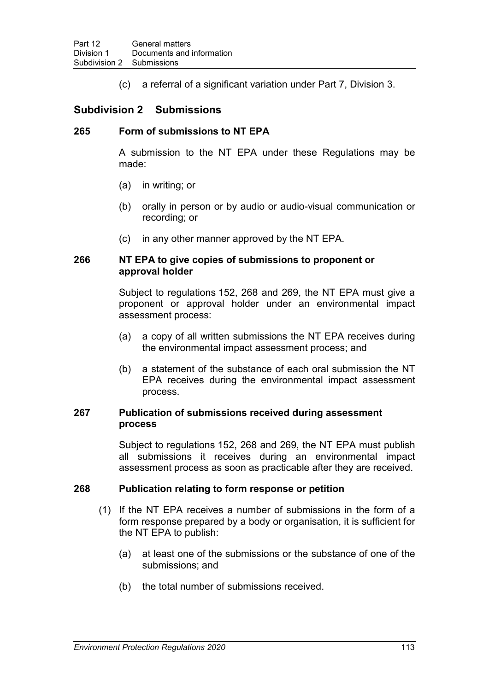(c) a referral of a significant variation under Part 7, Division 3.

#### **Subdivision 2 Submissions**

#### **265 Form of submissions to NT EPA**

A submission to the NT EPA under these Regulations may be made:

- (a) in writing; or
- (b) orally in person or by audio or audio-visual communication or recording; or
- (c) in any other manner approved by the NT EPA.

#### **266 NT EPA to give copies of submissions to proponent or approval holder**

Subject to regulations 152, 268 and 269, the NT EPA must give a proponent or approval holder under an environmental impact assessment process:

- (a) a copy of all written submissions the NT EPA receives during the environmental impact assessment process; and
- (b) a statement of the substance of each oral submission the NT EPA receives during the environmental impact assessment process.

#### **267 Publication of submissions received during assessment process**

Subject to regulations 152, 268 and 269, the NT EPA must publish all submissions it receives during an environmental impact assessment process as soon as practicable after they are received.

#### **268 Publication relating to form response or petition**

- (1) If the NT EPA receives a number of submissions in the form of a form response prepared by a body or organisation, it is sufficient for the NT EPA to publish:
	- (a) at least one of the submissions or the substance of one of the submissions; and
	- (b) the total number of submissions received.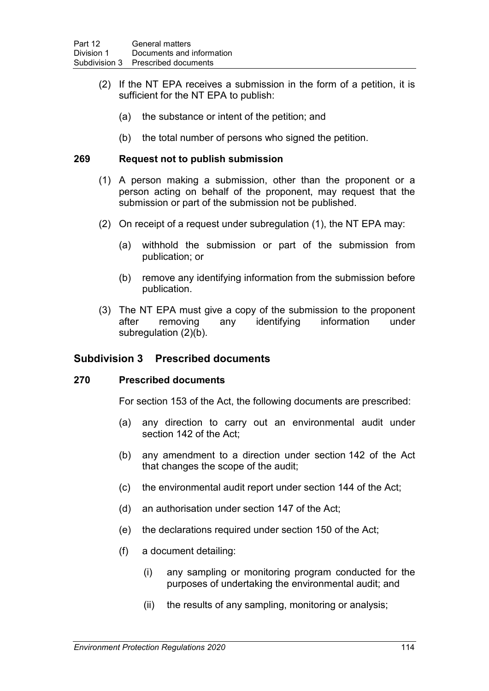- (2) If the NT EPA receives a submission in the form of a petition, it is sufficient for the NT EPA to publish:
	- (a) the substance or intent of the petition; and
	- (b) the total number of persons who signed the petition.

#### **269 Request not to publish submission**

- (1) A person making a submission, other than the proponent or a person acting on behalf of the proponent, may request that the submission or part of the submission not be published.
- (2) On receipt of a request under subregulation (1), the NT EPA may:
	- (a) withhold the submission or part of the submission from publication; or
	- (b) remove any identifying information from the submission before publication.
- (3) The NT EPA must give a copy of the submission to the proponent after removing any identifying information under subregulation (2)(b).

#### **Subdivision 3 Prescribed documents**

#### **270 Prescribed documents**

For section 153 of the Act, the following documents are prescribed:

- (a) any direction to carry out an environmental audit under section 142 of the Act;
- (b) any amendment to a direction under section 142 of the Act that changes the scope of the audit;
- (c) the environmental audit report under section 144 of the Act;
- (d) an authorisation under section 147 of the Act;
- (e) the declarations required under section 150 of the Act;
- (f) a document detailing:
	- (i) any sampling or monitoring program conducted for the purposes of undertaking the environmental audit; and
	- (ii) the results of any sampling, monitoring or analysis;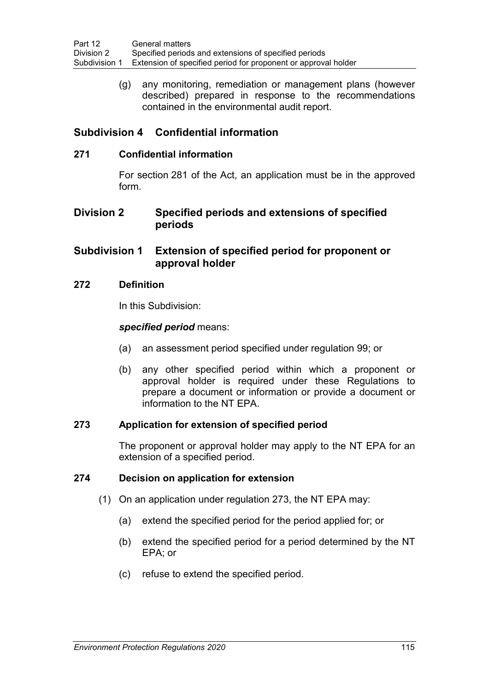(g) any monitoring, remediation or management plans (however described) prepared in response to the recommendations contained in the environmental audit report.

#### **Subdivision 4 Confidential information**

#### **271 Confidential information**

For section 281 of the Act, an application must be in the approved form.

#### **Division 2 Specified periods and extensions of specified periods**

#### **Subdivision 1 Extension of specified period for proponent or approval holder**

#### **272 Definition**

In this Subdivision:

#### *specified period* means:

- (a) an assessment period specified under regulation 99; or
- (b) any other specified period within which a proponent or approval holder is required under these Regulations to prepare a document or information or provide a document or information to the NT EPA.

#### **273 Application for extension of specified period**

The proponent or approval holder may apply to the NT EPA for an extension of a specified period.

#### **274 Decision on application for extension**

- (1) On an application under regulation 273, the NT EPA may:
	- (a) extend the specified period for the period applied for; or
	- (b) extend the specified period for a period determined by the NT EPA; or
	- (c) refuse to extend the specified period.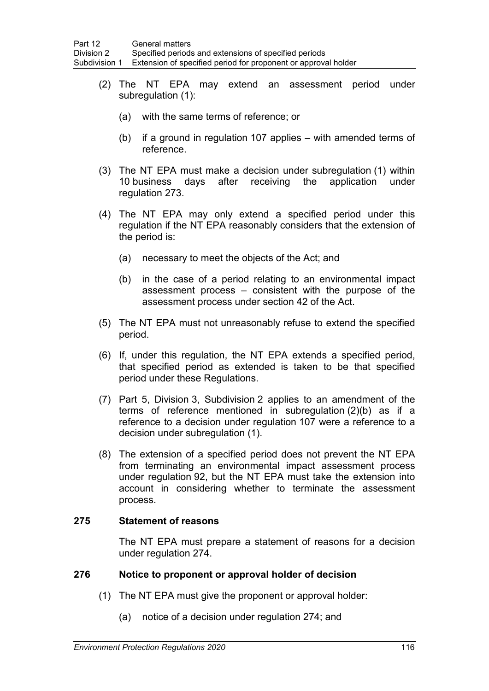- (2) The NT EPA may extend an assessment period under subregulation (1):
	- (a) with the same terms of reference; or
	- (b) if a ground in regulation 107 applies with amended terms of reference.
- (3) The NT EPA must make a decision under subregulation (1) within 10 business days after receiving the application under regulation 273.
- (4) The NT EPA may only extend a specified period under this regulation if the NT EPA reasonably considers that the extension of the period is:
	- (a) necessary to meet the objects of the Act; and
	- (b) in the case of a period relating to an environmental impact assessment process – consistent with the purpose of the assessment process under section 42 of the Act.
- (5) The NT EPA must not unreasonably refuse to extend the specified period.
- (6) If, under this regulation, the NT EPA extends a specified period, that specified period as extended is taken to be that specified period under these Regulations.
- (7) Part 5, Division 3, Subdivision 2 applies to an amendment of the terms of reference mentioned in subregulation (2)(b) as if a reference to a decision under regulation 107 were a reference to a decision under subregulation (1).
- (8) The extension of a specified period does not prevent the NT EPA from terminating an environmental impact assessment process under regulation 92, but the NT EPA must take the extension into account in considering whether to terminate the assessment process.

#### **275 Statement of reasons**

The NT EPA must prepare a statement of reasons for a decision under regulation 274.

#### **276 Notice to proponent or approval holder of decision**

- (1) The NT EPA must give the proponent or approval holder:
	- (a) notice of a decision under regulation 274; and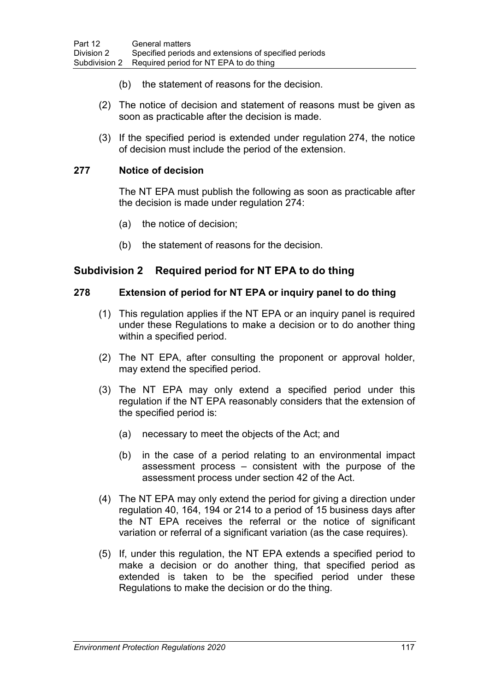- (b) the statement of reasons for the decision.
- (2) The notice of decision and statement of reasons must be given as soon as practicable after the decision is made.
- (3) If the specified period is extended under regulation 274, the notice of decision must include the period of the extension.

#### **277 Notice of decision**

The NT EPA must publish the following as soon as practicable after the decision is made under regulation 274:

- (a) the notice of decision;
- (b) the statement of reasons for the decision.

#### **Subdivision 2 Required period for NT EPA to do thing**

#### **278 Extension of period for NT EPA or inquiry panel to do thing**

- (1) This regulation applies if the NT EPA or an inquiry panel is required under these Regulations to make a decision or to do another thing within a specified period.
- (2) The NT EPA, after consulting the proponent or approval holder, may extend the specified period.
- (3) The NT EPA may only extend a specified period under this regulation if the NT EPA reasonably considers that the extension of the specified period is:
	- (a) necessary to meet the objects of the Act; and
	- (b) in the case of a period relating to an environmental impact assessment process – consistent with the purpose of the assessment process under section 42 of the Act.
- (4) The NT EPA may only extend the period for giving a direction under regulation 40, 164, 194 or 214 to a period of 15 business days after the NT EPA receives the referral or the notice of significant variation or referral of a significant variation (as the case requires).
- (5) If, under this regulation, the NT EPA extends a specified period to make a decision or do another thing, that specified period as extended is taken to be the specified period under these Regulations to make the decision or do the thing.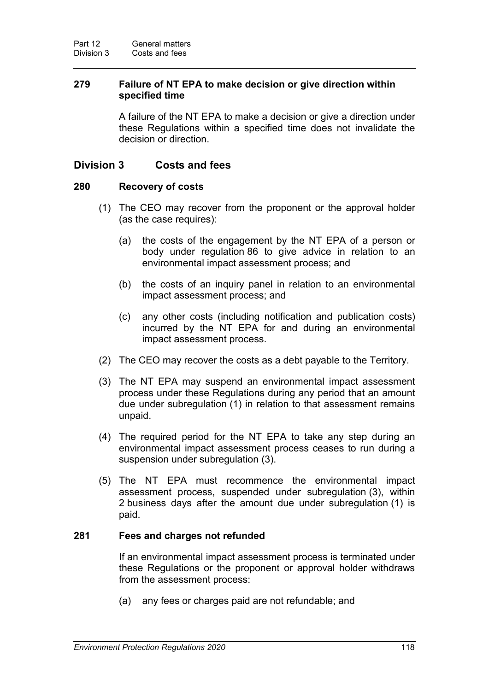#### **279 Failure of NT EPA to make decision or give direction within specified time**

A failure of the NT EPA to make a decision or give a direction under these Regulations within a specified time does not invalidate the decision or direction.

#### **Division 3 Costs and fees**

#### **280 Recovery of costs**

- (1) The CEO may recover from the proponent or the approval holder (as the case requires):
	- (a) the costs of the engagement by the NT EPA of a person or body under regulation 86 to give advice in relation to an environmental impact assessment process; and
	- (b) the costs of an inquiry panel in relation to an environmental impact assessment process; and
	- (c) any other costs (including notification and publication costs) incurred by the NT EPA for and during an environmental impact assessment process.
- (2) The CEO may recover the costs as a debt payable to the Territory.
- (3) The NT EPA may suspend an environmental impact assessment process under these Regulations during any period that an amount due under subregulation (1) in relation to that assessment remains unpaid.
- (4) The required period for the NT EPA to take any step during an environmental impact assessment process ceases to run during a suspension under subregulation (3).
- (5) The NT EPA must recommence the environmental impact assessment process, suspended under subregulation (3), within 2 business days after the amount due under subregulation (1) is paid.

#### **281 Fees and charges not refunded**

If an environmental impact assessment process is terminated under these Regulations or the proponent or approval holder withdraws from the assessment process:

(a) any fees or charges paid are not refundable; and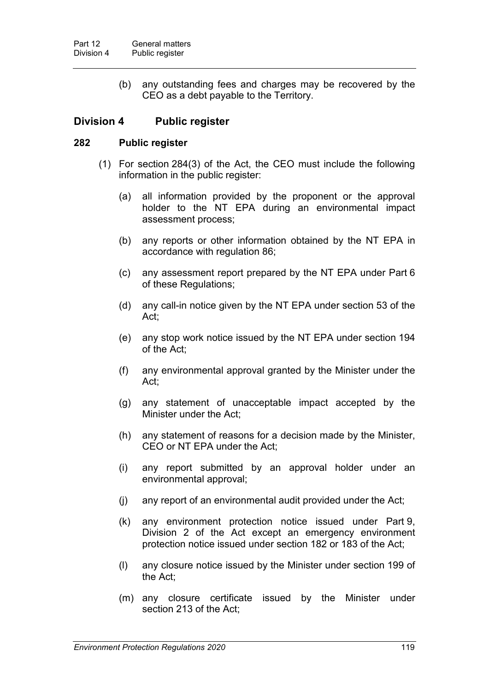(b) any outstanding fees and charges may be recovered by the CEO as a debt payable to the Territory.

#### **Division 4 Public register**

#### **282 Public register**

- (1) For section 284(3) of the Act, the CEO must include the following information in the public register:
	- (a) all information provided by the proponent or the approval holder to the NT EPA during an environmental impact assessment process;
	- (b) any reports or other information obtained by the NT EPA in accordance with regulation 86;
	- (c) any assessment report prepared by the NT EPA under Part 6 of these Regulations;
	- (d) any call-in notice given by the NT EPA under section 53 of the Act;
	- (e) any stop work notice issued by the NT EPA under section 194 of the Act;
	- (f) any environmental approval granted by the Minister under the Act;
	- (g) any statement of unacceptable impact accepted by the Minister under the Act;
	- (h) any statement of reasons for a decision made by the Minister, CEO or NT EPA under the Act;
	- (i) any report submitted by an approval holder under an environmental approval;
	- (j) any report of an environmental audit provided under the Act;
	- (k) any environment protection notice issued under Part 9, Division 2 of the Act except an emergency environment protection notice issued under section 182 or 183 of the Act;
	- (l) any closure notice issued by the Minister under section 199 of the Act;
	- (m) any closure certificate issued by the Minister under section 213 of the Act;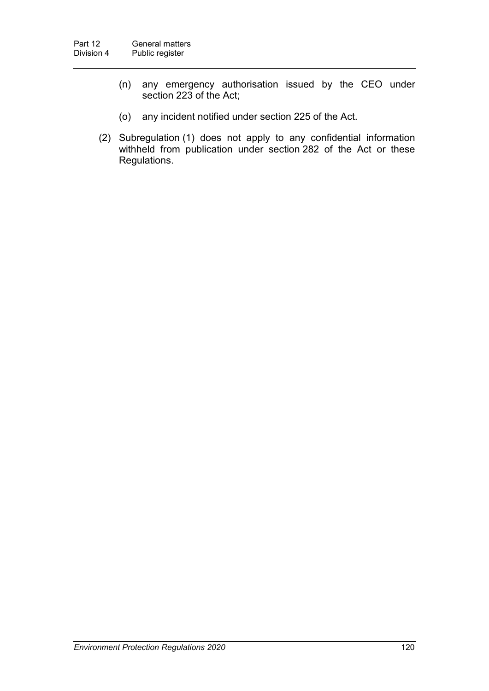- (n) any emergency authorisation issued by the CEO under section 223 of the Act;
- (o) any incident notified under section 225 of the Act.
- (2) Subregulation (1) does not apply to any confidential information withheld from publication under section 282 of the Act or these Regulations.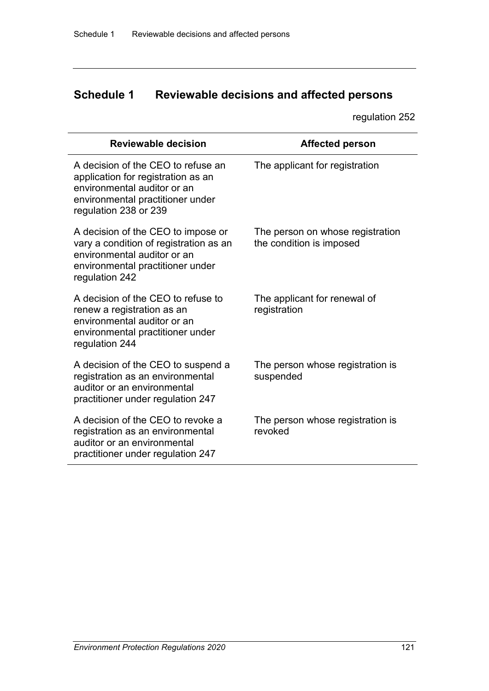## **Schedule 1 Reviewable decisions and affected persons**

regulation 252

| <b>Reviewable decision</b>                                                                                                                                           | <b>Affected person</b>                                       |
|----------------------------------------------------------------------------------------------------------------------------------------------------------------------|--------------------------------------------------------------|
| A decision of the CEO to refuse an<br>application for registration as an<br>environmental auditor or an<br>environmental practitioner under<br>regulation 238 or 239 | The applicant for registration                               |
| A decision of the CEO to impose or<br>vary a condition of registration as an<br>environmental auditor or an<br>environmental practitioner under<br>regulation 242    | The person on whose registration<br>the condition is imposed |
| A decision of the CEO to refuse to<br>renew a registration as an<br>environmental auditor or an<br>environmental practitioner under<br>regulation 244                | The applicant for renewal of<br>registration                 |
| A decision of the CEO to suspend a<br>registration as an environmental<br>auditor or an environmental<br>practitioner under regulation 247                           | The person whose registration is<br>suspended                |
| A decision of the CEO to revoke a<br>registration as an environmental<br>auditor or an environmental<br>practitioner under regulation 247                            | The person whose registration is<br>revoked                  |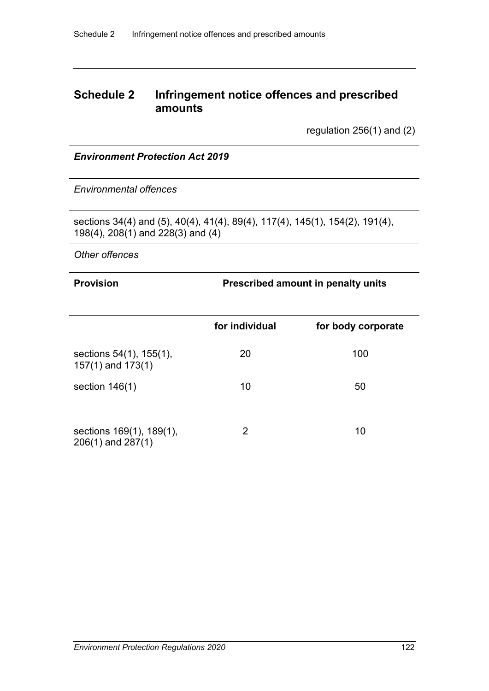### **Schedule 2 Infringement notice offences and prescribed amounts**

regulation 256(1) and (2)

#### *Environment Protection Act 2019*

*Environmental offences*

sections 34(4) and (5), 40(4), 41(4), 89(4), 117(4), 145(1), 154(2), 191(4), 198(4), 208(1) and 228(3) and (4)

*Other offences*

#### **Provision Prescribed amount in penalty units**

|                                                   | for individual | for body corporate |
|---------------------------------------------------|----------------|--------------------|
| sections 54(1), 155(1),<br>$157(1)$ and $173(1)$  | 20             | 100                |
| section $146(1)$                                  | 10             | 50                 |
| sections 169(1), 189(1),<br>$206(1)$ and $287(1)$ | 2              | 10                 |